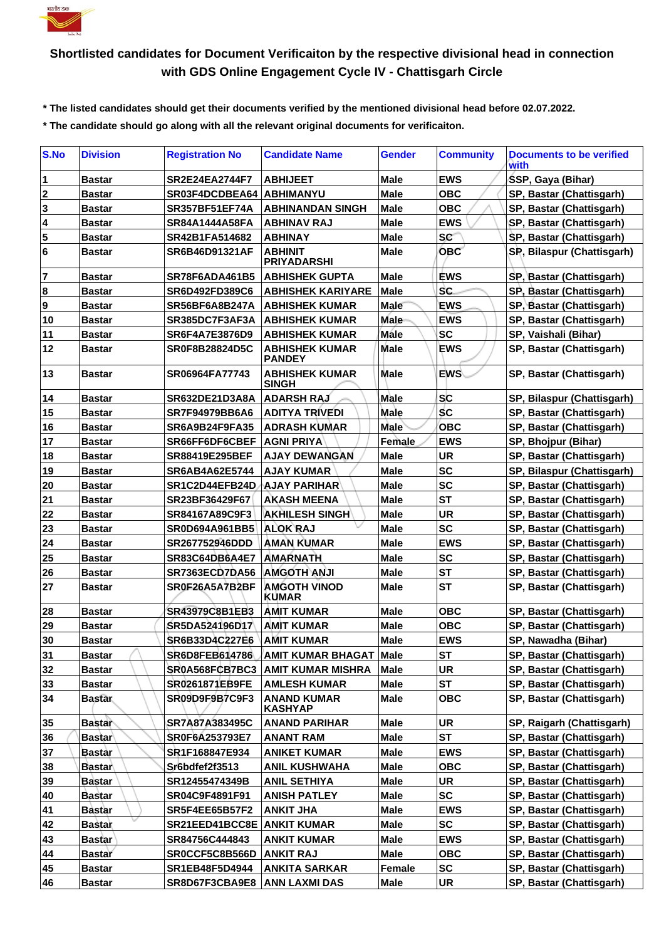

## **Shortlisted candidates for Document Verificaiton by the respective divisional head in connection with GDS Online Engagement Cycle IV - Chattisgarh Circle**

 **\* The listed candidates should get their documents verified by the mentioned divisional head before 02.07.2022.**

 **\* The candidate should go along with all the relevant original documents for verificaiton.**

| S.No        | <b>Division</b> | <b>Registration No</b>         | <b>Candidate Name</b>                  | Gender      | <b>Community</b> | Documents to be verified<br>with |
|-------------|-----------------|--------------------------------|----------------------------------------|-------------|------------------|----------------------------------|
| $\vert$ 1   | Bastar          | <b>SR2E24EA2744F7</b>          | <b>ABHIJEET</b>                        | Male        | <b>EWS</b>       | SSP, Gaya (Bihar)                |
| 2           | <b>Bastar</b>   | SR03F4DCDBEA64   ABHIMANYU     |                                        | <b>Male</b> | <b>OBC</b>       | SP, Bastar (Chattisgarh)         |
| $\mathbf 3$ | <b>Bastar</b>   | <b>SR357BF51EF74A</b>          | <b>ABHINANDAN SINGH</b>                | Male        | <b>OBC</b>       | SP, Bastar (Chattisgarh)         |
| 4           | <b>Bastar</b>   | <b>SR84A1444A58FA</b>          | <b>ABHINAV RAJ</b>                     | <b>Male</b> | <b>EWS</b>       | SP, Bastar (Chattisgarh)         |
| 5           | <b>Bastar</b>   | SR42B1FA514682                 | <b>ABHINAY</b>                         | <b>Male</b> | <b>sc</b>        | SP, Bastar (Chattisgarh)         |
| 6           | <b>Bastar</b>   | SR6B46D91321AF                 | <b>ABHINIT</b><br><b>PRIYADARSHI</b>   | Male        | <b>OBC</b>       | SP, Bilaspur (Chattisgarh)       |
| 7           | <b>Bastar</b>   | <b>SR78F6ADA461B5</b>          | <b>ABHISHEK GUPTA</b>                  | Male        | <b>EWS</b>       | SP, Bastar (Chattisgarh)         |
| 8           | <b>Bastar</b>   | <b>SR6D492FD389C6</b>          | <b>ABHISHEK KARIYARE</b>               | <b>Male</b> | SC.              | SP, Bastar (Chattisgarh)         |
| 9           | <b>Bastar</b>   | SR56BF6A8B247A                 | <b>ABHISHEK KUMAR</b>                  | Male        | <b>EWS</b>       | SP, Bastar (Chattisgarh)         |
| 10          | <b>Bastar</b>   | SR385DC7F3AF3A                 | <b>ABHISHEK KUMAR</b>                  | Male        | <b>EWS</b>       | SP, Bastar (Chattisgarh)         |
| 11          | <b>Bastar</b>   | <b>SR6F4A7E3876D9</b>          | <b>ABHISHEK KUMAR</b>                  | Mále        | SC               | SP, Vaishali (Bihar)             |
| 12          | <b>Bastar</b>   | <b>SR0F8B28824D5C</b>          | <b>ABHISHEK KUMAR</b><br><b>PANDEY</b> | Male        | <b>EWS</b>       | SP, Bastar (Chattisgarh)         |
| 13          | <b>Bastar</b>   | SR06964FA77743                 | <b>ABHISHEK KUMAR</b><br><b>SINGH</b>  | <b>Male</b> | <b>EWS</b>       | SP, Bastar (Chattisgarh)         |
| 14          | <b>Bastar</b>   | SR632DE21D3A8A                 | <b>ADARSH RAJ</b>                      | Male        | SC               | SP, Bilaspur (Chattisgarh)       |
| 15          | <b>Bastar</b>   | <b>SR7F94979BB6A6</b>          | <b>ADITYA TRIVEDI</b>                  | Male        | $\sf sc$         | SP, Bastar (Chattisgarh)         |
| 16          | <b>Bastar</b>   | <b>SR6A9B24F9FA35</b>          | <b>ADRASH KUMAR</b>                    | <b>Male</b> | <b>OBC</b>       | SP, Bastar (Chattisgarh)         |
| 17          | <b>Bastar</b>   | SR66FF6DF6CBEF                 | <b>AGNI PRIYA</b>                      | Female      | <b>EWS</b>       | SP, Bhojpur (Bihar)              |
| 18          | <b>Bastar</b>   | <b>SR88419E295BEF</b>          | <b>AJAY DEWANGAN</b>                   | Male        | UR               | SP, Bastar (Chattisgarh)         |
| 19          | <b>Bastar</b>   | SR6AB4A62E5744                 | <b>AJAY KUMAR</b>                      | <b>Male</b> | <b>SC</b>        | SP, Bilaspur (Chattisgarh)       |
| 20          | <b>Bastar</b>   | SR1C2D44EFB24D                 | <b>AJAY PARIHAR</b>                    | <b>Male</b> | <b>SC</b>        | SP, Bastar (Chattisgarh)         |
| 21          | <b>Bastar</b>   | SR23BF36429F67                 | <b>AKASH MEENA</b>                     | Male        | <b>ST</b>        | SP, Bastar (Chattisgarh)         |
| 22          | <b>Bastar</b>   | SR84167A89C9F3                 | <b>AKHILESH SINGH</b>                  | Male        | <b>UR</b>        | SP, Bastar (Chattisgarh)         |
| 23          | <b>Bastar</b>   | <b>SR0D694A961BB5</b>          | <b>ALOK RAJ</b>                        | <b>Male</b> | <b>SC</b>        | SP, Bastar (Chattisgarh)         |
| 24          | <b>Bastar</b>   | SR267752946DDD                 | <b>AMAN KUMAR</b>                      | Male        | <b>EWS</b>       | SP, Bastar (Chattisgarh)         |
| 25          | <b>Bastar</b>   | SR83C64DB6A4E7                 | <b>AMARNATH</b>                        | Male        | <b>SC</b>        | SP, Bastar (Chattisgarh)         |
| 26          | <b>Bastar</b>   | SR7363ECD7DA56                 | <b>AMGOTH ANJI</b>                     | <b>Male</b> | <b>ST</b>        | SP, Bastar (Chattisgarh)         |
| 27          | <b>Bastar</b>   | SR0F26A5A7B2BF                 | <b>AMGOTH VINOD</b><br><b>KUMAR</b>    | Male        | <b>ST</b>        | SP, Bastar (Chattisgarh)         |
| 28          | <b>Bastar</b>   | SR43979C8B1EB3                 | <b>AMIT KUMAR</b>                      | <b>Male</b> | <b>OBC</b>       | SP, Bastar (Chattisgarh)         |
| 29          | <b>Bastar</b>   | SR5DA524196D17                 | <b>AMIT KUMAR</b>                      | <b>Male</b> | <b>OBC</b>       | SP, Bastar (Chattisgarh)         |
| 30          | <b>Bastar</b>   | SR6B33D4C227E6                 | <b>AMIT KUMAR</b>                      | <b>Male</b> | <b>EWS</b>       | SP, Nawadha (Bihar)              |
| 31          | <b>Bastar</b>   | SR6D8FEB614786                 | AMIT KUMAR BHAGAT   Male               |             | <b>ST</b>        | SP, Bastar (Chattisgarh)         |
| 32          | <b>Bastar</b>   | SR0A568FCB7BC3                 | <b>AMIT KUMAR MISHRA</b>               | <b>Male</b> | <b>UR</b>        | SP, Bastar (Chattisgarh)         |
| 33          | <b>Bastar</b>   | <b>SR0261871EB9FE</b>          | <b>AMLESH KUMAR</b>                    | Male        | <b>ST</b>        | SP, Bastar (Chattisgarh)         |
| 34          | <b>Bastar</b>   | SR09D9F9B7C9F3                 | <b>ANAND KUMAR</b><br><b>KASHYAP</b>   | <b>Male</b> | <b>OBC</b>       | SP, Bastar (Chattisgarh)         |
| 35          | <b>Bastar</b>   | SR7A87A383495C                 | <b>ANAND PARIHAR</b>                   | <b>Male</b> | UR               | SP, Raigarh (Chattisgarh)        |
| 36          | <b>Bastar</b>   | SR0F6A253793E7                 | <b>ANANT RAM</b>                       | Male        | ST               | SP, Bastar (Chattisgarh)         |
| 37          | <b>Bastar</b>   | SR1F168847E934                 | <b>ANIKET KUMAR</b>                    | Male        | <b>EWS</b>       | SP, Bastar (Chattisgarh)         |
| 38          | <b>Bastar</b>   | Sr6bdfef2f3513                 | <b>ANIL KUSHWAHA</b>                   | <b>Male</b> | <b>OBC</b>       | SP, Bastar (Chattisgarh)         |
| 39          | <b>Bastar</b>   | SR12455474349B                 | <b>ANIL SETHIYA</b>                    | Male        | UR               | SP, Bastar (Chattisgarh)         |
| 40          | <b>Bastar</b>   | SR04C9F4891F91                 | <b>ANISH PATLEY</b>                    | Male        | <b>SC</b>        | SP, Bastar (Chattisgarh)         |
| 41          | <b>Bastar</b>   | <b>SR5F4EE65B57F2</b>          | <b>ANKIT JHA</b>                       | <b>Male</b> | <b>EWS</b>       | SP, Bastar (Chattisgarh)         |
| 42          | <b>Bastar</b>   | SR21EED41BCC8E                 | <b>ANKIT KUMAR</b>                     | Male        | <b>SC</b>        | SP, Bastar (Chattisgarh)         |
| 43          | <b>Bastar</b>   | SR84756C444843                 | <b>ANKIT KUMAR</b>                     | Male        | <b>EWS</b>       | SP, Bastar (Chattisgarh)         |
| 44          | Bastar          | SR0CCF5C8B566D                 | <b>ANKIT RAJ</b>                       | <b>Male</b> | <b>OBC</b>       | SP, Bastar (Chattisgarh)         |
| 45          | <b>Bastar</b>   | SR1EB48F5D4944                 | <b>ANKITA SARKAR</b>                   | Female      | <b>SC</b>        | SP, Bastar (Chattisgarh)         |
| 46          | <b>Bastar</b>   | SR8D67F3CBA9E8   ANN LAXMI DAS |                                        | Male        | UR               | SP, Bastar (Chattisgarh)         |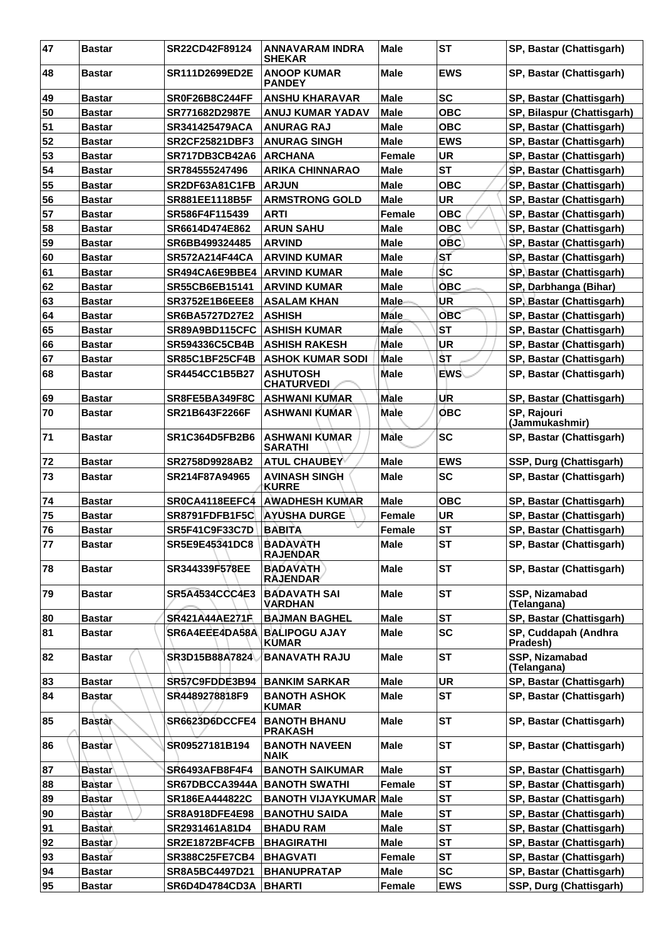| 47 | <b>Bastar</b> | SR22CD42F89124        | ANNAVARAM INDRA<br><b>SHEKAR</b>       | <b>Male</b>   | <b>ST</b>  | SP, Bastar (Chattisgarh)      |
|----|---------------|-----------------------|----------------------------------------|---------------|------------|-------------------------------|
| 48 | <b>Bastar</b> | <b>SR111D2699ED2E</b> | <b>ANOOP KUMAR</b><br><b>PANDEY</b>    | <b>Male</b>   | <b>EWS</b> | SP, Bastar (Chattisgarh)      |
| 49 | <b>Bastar</b> | SR0F26B8C244FF        | <b>ANSHU KHARAVAR</b>                  | <b>Male</b>   | <b>SC</b>  | SP, Bastar (Chattisgarh)      |
| 50 | <b>Bastar</b> | SR771682D2987E        | <b>ANUJ KUMAR YADAV</b>                | <b>Male</b>   | <b>OBC</b> | SP, Bilaspur (Chattisgarh)    |
| 51 | <b>Bastar</b> | SR341425479ACA        | <b>ANURAG RAJ</b>                      | <b>Male</b>   | <b>OBC</b> | SP, Bastar (Chattisgarh)      |
| 52 | <b>Bastar</b> | <b>SR2CF25821DBF3</b> | <b>ANURAG SINGH</b>                    | <b>Male</b>   | <b>EWS</b> | SP, Bastar (Chattisgarh)      |
| 53 | <b>Bastar</b> | <b>SR717DB3CB42A6</b> | <b>ARCHANA</b>                         | <b>Female</b> | <b>UR</b>  | SP, Bastar (Chattisgarh)      |
| 54 | <b>Bastar</b> | SR784555247496        | <b>ARIKA CHINNARAO</b>                 | <b>Male</b>   | <b>ST</b>  | SP, Bastar (Chattisgarh)      |
| 55 | <b>Bastar</b> | SR2DF63A81C1FB        | <b>ARJUN</b>                           | <b>Male</b>   | <b>OBC</b> | SP, Bastar (Chattisgarh)      |
| 56 | <b>Bastar</b> | SR881EE1118B5F        | <b>ARMSTRONG GOLD</b>                  | <b>Male</b>   | <b>UR</b>  | SP, Bastar (Chattisgarh)      |
| 57 | <b>Bastar</b> | SR586F4F115439        | <b>ARTI</b>                            | <b>Female</b> | <b>OBC</b> | SP, Bastar (Chattisgarh)      |
| 58 | <b>Bastar</b> | SR6614D474E862        | <b>ARUN SAHU</b>                       | <b>Male</b>   | <b>OBC</b> | SP, Bastar (Chattisgarh)      |
| 59 | <b>Bastar</b> | SR6BB499324485        | <b>ARVIND</b>                          | <b>Male</b>   | <b>OBC</b> | SP, Bastar (Chattisgarh)      |
| 60 | <b>Bastar</b> | <b>SR572A214F44CA</b> | <b>ARVIND KUMAR</b>                    | <b>Male</b>   | 'st        | SP, Bastar (Chattisgarh)      |
| 61 | <b>Bastar</b> | SR494CA6E9BBE4        | <b>ARVIND KUMAR</b>                    | <b>Male</b>   | <b>SC</b>  | SP, Bastar (Chattisgarh)      |
| 62 | <b>Bastar</b> | SR55CB6EB15141        | <b>ARVIND KUMAR</b>                    | <b>Male</b>   | <b>OBC</b> | SP, Darbhanga (Bihar)         |
| 63 | <b>Bastar</b> | <b>SR3752E1B6EEE8</b> | <b>ASALAM KHAN</b>                     | Male          | UR         | SP, Bastar (Chattisgarh)      |
| 64 | <b>Bastar</b> | <b>SR6BA5727D27E2</b> | <b>ASHISH</b>                          | <b>Male</b>   | <b>OBC</b> | SP, Bastar (Chattisgarh)      |
| 65 | <b>Bastar</b> | SR89A9BD115CFC        | <b>ASHISH KUMAR</b>                    | Male          | <b>ST</b>  | SP, Bastar (Chattisgarh)      |
| 66 | <b>Bastar</b> | SR594336C5CB4B        | <b>ASHISH RAKESH</b>                   | <b>Male</b>   | UR         | SP, Bastar (Chattisgarh)      |
| 67 | <b>Bastar</b> | SR85C1BF25CF4B        | <b>ASHOK KUMAR SODI</b>                | <b>Male</b>   | ŜT         | SP, Bastar (Chattisgarh)      |
| 68 | <b>Bastar</b> | <b>SR4454CC1B5B27</b> | <b>ASHUTOSH</b>                        | <b>Male</b>   | <b>EWS</b> | SP, Bastar (Chattisgarh)      |
|    |               |                       | <b>CHATURVEDI</b>                      |               |            |                               |
| 69 | <b>Bastar</b> | SR8FE5BA349F8C        | <b>ASHWANI KUMAR</b>                   | Male          | UR         | SP, Bastar (Chattisgarh)      |
| 70 | <b>Bastar</b> | SR21B643F2266F        | <b>ASHWANI KUMAR</b>                   | Male          | <b>OBC</b> | SP, Rajouri<br>(Jammukashmir) |
| 71 | <b>Bastar</b> | <b>SR1C364D5FB2B6</b> | <b>ASHWANI KUMAR</b><br><b>SARATHI</b> | <b>Male</b>   | <b>SC</b>  | SP, Bastar (Chattisgarh)      |
| 72 | <b>Bastar</b> | <b>SR2758D9928AB2</b> | <b>ATUL CHAUBEY</b>                    | Male          | <b>EWS</b> | SSP, Durg (Chattisgarh)       |
| 73 | <b>Bastar</b> | SR214F87A94965        | <b>AVINASH SINGH</b><br><b>KURRE</b>   | Male          | <b>SC</b>  | SP, Bastar (Chattisgarh)      |
| 74 | <b>Bastar</b> | SR0CA4118EEFC4        | <b>AWADHESH KUMAR</b>                  | <b>Male</b>   | <b>OBC</b> | SP, Bastar (Chattisgarh)      |
| 75 | <b>Bastar</b> | SR8791FDFB1F5C        | <b>AYUSHA DURGE</b>                    | <b>Female</b> | <b>UR</b>  | SP, Bastar (Chattisgarh)      |
| 76 | <b>Bastar</b> | <b>SR5F41C9F33C7D</b> | <b>BABITA</b>                          | <b>Female</b> | <b>ST</b>  | SP, Bastar (Chattisgarh)      |
| 77 | <b>Bastar</b> | SR5E9E45341DC8        | <b>BADAVATH</b><br><b>RAJENDAR</b>     | Male          | SТ         | SP, Bastar (Chattisgarh)      |
| 78 | <b>Bastar</b> | SR344339F578EE        | <b>BADAVATH</b><br><b>RAJENDAR</b>     | <b>Male</b>   | <b>ST</b>  | SP, Bastar (Chattisgarh)      |
| 79 | <b>Bastar</b> | <b>SR5A4534CCC4E3</b> | <b>BADAVATH SAI</b><br><b>VARDHAN</b>  | <b>Male</b>   | <b>ST</b>  | SSP, Nizamabad<br>(Telangana) |
| 80 | <b>Bastar</b> | SR421A44AE271F        | <b>BAJMAN BAGHEL</b>                   | <b>Male</b>   | <b>ST</b>  | SP, Bastar (Chattisgarh)      |
| 81 | <b>Bastar</b> | SR6A4EEE4DA58A        | <b>BALIPOGU AJAY</b>                   | <b>Male</b>   | <b>SC</b>  | SP, Cuddapah (Andhra          |
|    |               |                       | <b>KUMAR</b>                           |               |            | Pradesh)                      |
| 82 | <b>Bastar</b> | SR3D15B88A7824        | <b>BANAVATH RAJU</b>                   | <b>Male</b>   | <b>ST</b>  | SSP, Nizamabad<br>(Telangana) |
| 83 | <b>Bastar</b> | SR57C9FDDE3B94        | <b>BANKIM SARKAR</b>                   | <b>Male</b>   | <b>UR</b>  | SP, Bastar (Chattisgarh)      |
| 84 | <b>Bastar</b> | SR4489278818F9        | <b>BANOTH ASHOK</b><br><b>KUMAR</b>    | <b>Male</b>   | <b>ST</b>  | SP, Bastar (Chattisgarh)      |
| 85 | <b>Bastar</b> | SR6623D6DCCFE4        | <b>BANOTH BHANU</b><br><b>PRAKASH</b>  | <b>Male</b>   | <b>ST</b>  | SP, Bastar (Chattisgarh)      |
| 86 | Bastar        | SR09527181B194        | <b>BANOTH NAVEEN</b><br><b>NAIK</b>    | <b>Male</b>   | <b>ST</b>  | SP, Bastar (Chattisgarh)      |
| 87 | <b>Bastar</b> | SR6493AFB8F4F4        | <b>BANOTH SAIKUMAR</b>                 | <b>Male</b>   | <b>ST</b>  | SP, Bastar (Chattisgarh)      |
| 88 | <b>Bastar</b> | SR67DBCCA3944A        | <b>BANOTH SWATHI</b>                   | <b>Female</b> | <b>ST</b>  | SP, Bastar (Chattisgarh)      |
| 89 | <b>Bastar</b> | SR186EA444822C        | <b>BANOTH VIJAYKUMAR Male</b>          |               | <b>ST</b>  | SP, Bastar (Chattisgarh)      |
| 90 | <b>Bastar</b> | <b>SR8A918DFE4E98</b> | <b>BANOTHU SAIDA</b>                   | <b>Male</b>   | <b>ST</b>  | SP, Bastar (Chattisgarh)      |
| 91 | <b>Bastar</b> | SR2931461A81D4        | <b>BHADU RAM</b>                       | <b>Male</b>   | <b>ST</b>  | SP, Bastar (Chattisgarh)      |
| 92 | <b>Bastar</b> | SR2E1872BF4CFB        | <b>BHAGIRATHI</b>                      | <b>Male</b>   | <b>ST</b>  | SP, Bastar (Chattisgarh)      |
| 93 | <b>Bastar</b> | <b>SR388C25FE7CB4</b> | <b>BHAGVATI</b>                        | Female        | <b>ST</b>  | SP, Bastar (Chattisgarh)      |
| 94 | <b>Bastar</b> | SR8A5BC4497D21        | <b>BHANUPRATAP</b>                     | <b>Male</b>   | <b>SC</b>  | SP, Bastar (Chattisgarh)      |
| 95 | <b>Bastar</b> | SR6D4D4784CD3A        | <b>BHARTI</b>                          | Female        | <b>EWS</b> | SSP, Durg (Chattisgarh)       |
|    |               |                       |                                        |               |            |                               |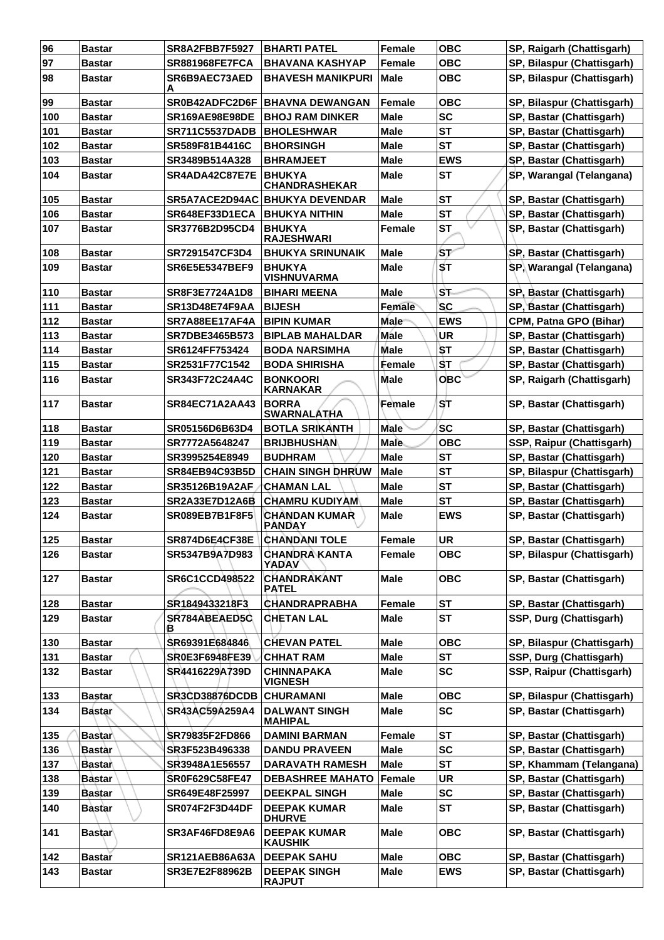| 96    | <b>Bastar</b> | <b>SR8A2FBB7F5927</b> | <b>BHARTI PATEL</b>                    | <b>Female</b> | <b>OBC</b> | SP, Raigarh (Chattisgarh)     |
|-------|---------------|-----------------------|----------------------------------------|---------------|------------|-------------------------------|
| 97    | <b>Bastar</b> | <b>SR881968FE7FCA</b> | <b>BHAVANA KASHYAP</b>                 | Female        | <b>OBC</b> | SP, Bilaspur (Chattisgarh)    |
| 98    | <b>Bastar</b> | SR6B9AEC73AED<br>A    | <b>BHAVESH MANIKPURI</b>               | <b>Male</b>   | <b>OBC</b> | SP, Bilaspur (Chattisgarh)    |
| 99    | <b>Bastar</b> | SR0B42ADFC2D6F        | <b>BHAVNA DEWANGAN</b>                 | Female        | <b>OBC</b> | SP, Bilaspur (Chattisgarh)    |
| 100   | <b>Bastar</b> | <b>SR169AE98E98DE</b> | <b>BHOJ RAM DINKER</b>                 | Male          | <b>SC</b>  | SP, Bastar (Chattisgarh)      |
| 101   | <b>Bastar</b> | <b>SR711C5537DADB</b> | <b>BHOLESHWAR</b>                      | <b>Male</b>   | <b>ST</b>  | SP, Bastar (Chattisgarh)      |
| 102   | <b>Bastar</b> | SR589F81B4416C        | <b>BHORSINGH</b>                       | <b>Male</b>   | <b>ST</b>  | SP, Bastar (Chattisgarh)      |
| 103   | <b>Bastar</b> | SR3489B514A328        | <b>BHRAMJEET</b>                       | <b>Male</b>   | <b>EWS</b> | SP, Bastar (Chattisgarh)      |
| 104   | <b>Bastar</b> | SR4ADA42C87E7E        | <b>BHUKYA</b><br><b>CHANDRASHEKAR</b>  | <b>Male</b>   | <b>ST</b>  | SP, Warangal (Telangana)      |
| 105   | <b>Bastar</b> | SR5A7ACE2D94AC        | <b>BHUKYA DEVENDAR</b>                 | <b>Male</b>   | <b>ST</b>  | SP, Bastar (Chattisgarh)      |
| 106   | <b>Bastar</b> | SR648EF33D1ECA        | <b>BHUKYA NITHIN</b>                   | <b>Male</b>   | <b>ST</b>  | SP, Bastar (Chattisgarh)      |
| 107   | <b>Bastar</b> | SR3776B2D95CD4        | <b>BHUKYA</b><br><b>RAJESHWARI</b>     | <b>Female</b> | <b>ST</b>  | SP, Bastar (Chattisgarh)      |
| 108   | <b>Bastar</b> | SR7291547CF3D4        | <b>BHUKYA SRINUNAIK</b>                | <b>Male</b>   | 'ST        | SP, Bastar (Chattisgarh)      |
| 109   | <b>Bastar</b> | <b>SR6E5E5347BEF9</b> | <b>BHUKYA</b><br><b>VISHNUVARMA</b>    | Male          | <b>ST</b>  | SP, Warangal (Telangana)      |
| 110   | <b>Bastar</b> | SR8F3E7724A1D8        | <b>BIHARI MEENA</b>                    | <b>Male</b>   | ST         | SP, Bastar (Chattisgarh)      |
| 111   | <b>Bastar</b> | <b>SR13D48E74F9AA</b> | <b>BIJESH</b>                          | <b>Female</b> | <b>SC</b>  | SP, Bastar (Chattisgarh)      |
| 112   | <b>Bastar</b> | SR7A88EE17AF4A        | <b>BIPIN KUMAR</b>                     | Male          | <b>EWS</b> | <b>CPM, Patna GPO (Bihar)</b> |
| 113   | <b>Bastar</b> | <b>SR7DBE3465B573</b> | <b>BIPLAB MAHALDAR</b>                 | <b>Male</b>   | UR         | SP, Bastar (Chattisgarh)      |
| 114   | <b>Bastar</b> | SR6124FF753424        | <b>BODA NARSIMHA</b>                   | <b>Male</b>   | SТ         | SP, Bastar (Chattisgarh)      |
| 115   | <b>Bastar</b> | SR2531F77C1542        | <b>BODA SHIRISHA</b>                   | Female        | ۱SТ        | SP, Bastar (Chattisgarh)      |
| 116   | <b>Bastar</b> | SR343F72C24A4C        | <b>BONKOORI</b><br><b>KARNAKAR</b>     | <b>Male</b>   | <b>OBC</b> | SP, Raigarh (Chattisgarh)     |
| 117   | <b>Bastar</b> | <b>SR84EC71A2AA43</b> | <b>BORRA</b><br><b>SWARNALATHA</b>     | Female        | ST         | SP, Bastar (Chattisgarh)      |
| 118   | <b>Bastar</b> | <b>SR05156D6B63D4</b> | <b>BOTLA SRIKANTH</b>                  | <b>Male</b>   | <b>SC</b>  | SP, Bastar (Chattisgarh)      |
| 119   | <b>Bastar</b> | SR7772A5648247        | <b>BRIJBHUSHAN</b>                     | Male          | <b>OBC</b> | SSP, Raipur (Chattisgarh)     |
| 120   | <b>Bastar</b> | SR3995254E8949        | <b>BUDHRAM</b>                         | <b>Male</b>   | <b>ST</b>  | SP, Bastar (Chattisgarh)      |
| 121   | <b>Bastar</b> | <b>SR84EB94C93B5D</b> | <b>CHAIN SINGH DHRUW</b>               | <b>Male</b>   | <b>ST</b>  | SP, Bilaspur (Chattisgarh)    |
| 122   | <b>Bastar</b> | SR35126B19A2AF        | <b>CHAMAN LAL</b>                      | <b>Male</b>   | <b>ST</b>  | SP, Bastar (Chattisgarh)      |
| 123   | <b>Bastar</b> | <b>SR2A33E7D12A6B</b> | <b>CHAMRU KUDIYAM</b>                  | <b>Male</b>   | <b>ST</b>  | SP, Bastar (Chattisgarh)      |
| 124   | Bastar        | <b>SR089EB7B1F8F5</b> | <b>CHANDAN KUMAR</b><br><b>PANDAY</b>  | <b>Male</b>   | <b>EWS</b> | SP, Bastar (Chattisgarh)      |
| $125$ | <b>Bastar</b> | SR874D6E4CF38E        | <b>CHANDANI TOLE</b>                   | Female        | UR         | SP, Bastar (Chattisgarh)      |
| 126   | Bastar        | SR5347B9A7D983        | <b>CHANDRA KANTA</b><br>YADAV          | <b>Female</b> | овс        | SP, Bilaspur (Chattisgarh)    |
| 127   | Bastar        | SR6C1CCD498522        | <b>CHANDRAKANT</b><br><b>PATEL</b>     | <b>Male</b>   | <b>OBC</b> | SP, Bastar (Chattisgarh)      |
| 128   | <b>Bastar</b> | SR1849433218F3        | <b>CHANDRAPRABHA</b>                   | <b>Female</b> | <b>ST</b>  | SP, Bastar (Chattisgarh)      |
| 129   | <b>Bastar</b> | SR784ABEAED5C<br>в    | <b>CHETAN LAL</b>                      | <b>Male</b>   | <b>ST</b>  | SSP, Durg (Chattisgarh)       |
| 130   | <b>Bastar</b> | SR69391E684846        | <b>CHEVAN PATEL</b>                    | <b>Male</b>   | <b>OBC</b> | SP, Bilaspur (Chattisgarh)    |
| 131   | <b>Bastar</b> | SR0E3F6948FE39        | <b>CHHAT RAM</b>                       | <b>Male</b>   | <b>ST</b>  | SSP, Durg (Chattisgarh)       |
| 132   | Bastar        | SR4416229A739D        | <b>CHINNAPAKA</b><br><b>VIGNESH</b>    | <b>Male</b>   | <b>SC</b>  | SSP, Raipur (Chattisgarh)     |
| 133   | <b>Bastar</b> | <b>SR3CD38876DCDB</b> | <b>CHURAMANI</b>                       | <b>Male</b>   | <b>OBC</b> | SP, Bilaspur (Chattisgarh)    |
| 134   | <b>Bastar</b> | SR43AC59A259A4        | <b>DALWANT SINGH</b><br><b>MAHIPAL</b> | <b>Male</b>   | <b>SC</b>  | SP, Bastar (Chattisgarh)      |
| 135   | <b>Bastar</b> | SR79835F2FD866        | <b>DAMINI BARMAN</b>                   | Female        | <b>ST</b>  | SP, Bastar (Chattisgarh)      |
| 136   | Bastàr        | SR3F523B496338        | <b>DANDU PRAVEEN</b>                   | <b>Male</b>   | <b>SC</b>  | SP, Bastar (Chattisgarh)      |
| 137   | <b>Bastar</b> | SR3948A1E56557        | <b>DARAVATH RAMESH</b>                 | <b>Male</b>   | <b>ST</b>  | SP, Khammam (Telangana)       |
| 138   | <b>Bastar</b> | <b>SR0F629C58FE47</b> | <b>DEBASHREE MAHATO</b>                | Female        | <b>UR</b>  | SP, Bastar (Chattisgarh)      |
| 139   | <b>Bastar</b> | SR649E48F25997        | <b>DEEKPAL SINGH</b>                   | <b>Male</b>   | <b>SC</b>  | SP, Bastar (Chattisgarh)      |
| 140   | <b>Bastar</b> | <b>SR074F2F3D44DF</b> | <b>DEEPAK KUMAR</b><br><b>DHURVE</b>   | <b>Male</b>   | <b>ST</b>  | SP, Bastar (Chattisgarh)      |
| 141   | Bastar∖       | SR3AF46FD8E9A6        | <b>DEEPAK KUMAR</b><br><b>KAUSHIK</b>  | <b>Male</b>   | <b>OBC</b> | SP, Bastar (Chattisgarh)      |
| 142   | <b>Bastar</b> | SR121AEB86A63A        | <b>DEEPAK SAHU</b>                     | <b>Male</b>   | <b>OBC</b> | SP, Bastar (Chattisgarh)      |
| 143   | <b>Bastar</b> | SR3E7E2F88962B        | <b>DEEPAK SINGH</b><br><b>RAJPUT</b>   | <b>Male</b>   | <b>EWS</b> | SP, Bastar (Chattisgarh)      |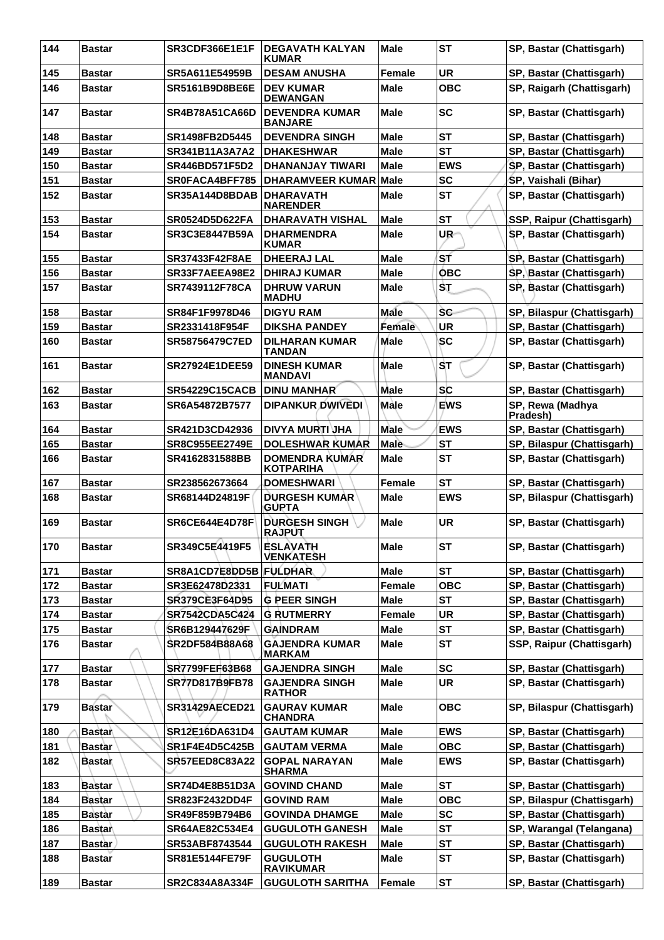| 144 | <b>Bastar</b> | SR3CDF366E1E1F        | <b>DEGAVATH KALYAN</b><br><b>KUMAR</b>    | <b>Male</b>   | <b>ST</b>  | SP, Bastar (Chattisgarh)     |
|-----|---------------|-----------------------|-------------------------------------------|---------------|------------|------------------------------|
| 145 | <b>Bastar</b> | SR5A611E54959B        | <b>DESAM ANUSHA</b>                       | <b>Female</b> | <b>UR</b>  | SP, Bastar (Chattisgarh)     |
| 146 | <b>Bastar</b> | <b>SR5161B9D8BE6E</b> | <b>DEV KUMAR</b><br><b>DEWANGAN</b>       | Male          | <b>OBC</b> | SP, Raigarh (Chattisgarh)    |
| 147 | <b>Bastar</b> | <b>SR4B78A51CA66D</b> | <b>DEVENDRA KUMAR</b><br><b>BANJARE</b>   | <b>Male</b>   | <b>SC</b>  | SP, Bastar (Chattisgarh)     |
| 148 | <b>Bastar</b> | SR1498FB2D5445        | <b>DEVENDRA SINGH</b>                     | Male          | <b>ST</b>  | SP, Bastar (Chattisgarh)     |
| 149 | <b>Bastar</b> | SR341B11A3A7A2        | <b>DHAKESHWAR</b>                         | <b>Male</b>   | <b>ST</b>  | SP, Bastar (Chattisgarh)     |
| 150 | <b>Bastar</b> | SR446BD571F5D2        | <b>DHANANJAY TIWARI</b>                   | <b>Male</b>   | <b>EWS</b> | SP, Bastar (Chattisgarh)     |
| 151 | <b>Bastar</b> | SR0FACA4BFF785        | <b>DHARAMVEER KUMAR Male</b>              |               | <b>SC</b>  | SP, Vaishali (Bihar)         |
| 152 | <b>Bastar</b> | SR35A144D8BDAB        | <b>DHARAVATH</b><br><b>NARENDER</b>       | Male          | <b>ST</b>  | SP, Bastar (Chattisgarh)     |
| 153 | <b>Bastar</b> | <b>SR0524D5D622FA</b> | <b>DHARAVATH VISHAL</b>                   | <b>Male</b>   | <b>ST</b>  | SSP, Raipur (Chattisgarh)    |
| 154 | <b>Bastar</b> | <b>SR3C3E8447B59A</b> | <b>DHARMENDRA</b><br><b>KUMAR</b>         | Male          | UR-        | SP, Bastar (Chattisgarh)     |
| 155 | <b>Bastar</b> | <b>SR37433F42F8AE</b> | <b>DHEERAJ LAL</b>                        | <b>Male</b>   | ST         | SP, Bastar (Chattisgarh)     |
| 156 | <b>Bastar</b> | SR33F7AEEA98E2        | <b>DHIRAJ KUMAR</b>                       | <b>Male</b>   | <b>OBC</b> | SP, Bastar (Chattisgarh)     |
| 157 | <b>Bastar</b> | SR7439112F78CA        | <b>DHRUW VARUN</b><br><b>MADHU</b>        | Male          | ŜŢ         | SP, Bastar (Chattisgarh)     |
| 158 | <b>Bastar</b> | SR84F1F9978D46        | <b>DIGYU RAM</b>                          | Male          | <b>SC</b>  | SP, Bilaspur (Chattisgarh)   |
| 159 | <b>Bastar</b> | SR2331418F954F        | <b>DIKSHA PANDEY</b>                      | Female        | <b>UR</b>  | SP, Bastar (Chattisgarh)     |
| 160 | <b>Bastar</b> | SR58756479C7ED        | <b>DILHARAN KUMAR</b><br><b>TANDAN</b>    | Male          | SC         | SP, Bastar (Chattisgarh)     |
| 161 | <b>Bastar</b> | <b>SR27924E1DEE59</b> | <b>DINESH KUMAR</b><br><b>MANDAVI</b>     | Male          | IST.       | SP, Bastar (Chattisgarh)     |
| 162 | <b>Bastar</b> | <b>SR54229C15CACB</b> | <b>DINU MANHAR</b>                        | Male          | <b>SC</b>  | SP, Bastar (Chattisgarh)     |
| 163 | Bastar        | SR6A54872B7577        | <b>DIPANKUR DWIVEDI</b>                   | Màle          | <b>EWS</b> | SP, Rewa (Madhya<br>Pradesh) |
| 164 | <b>Bastar</b> | SR421D3CD42936        | <b>DIVYA MURTI JHA</b>                    | <b>Male</b>   | <b>EWS</b> | SP, Bastar (Chattisgarh)     |
| 165 | <b>Bastar</b> | <b>SR8C955EE2749E</b> | <b>DOLESHWAR KUMAR</b>                    | <b>Male</b>   | <b>ST</b>  | SP, Bilaspur (Chattisgarh)   |
| 166 | <b>Bastar</b> | SR4162831588BB        | <b>DOMENDRA KUMAR</b><br><b>KOTPARIHA</b> | <b>Male</b>   | <b>ST</b>  | SP, Bastar (Chattisgarh)     |
| 167 | <b>Bastar</b> | SR238562673664        | <b>DOMESHWARI</b>                         | <b>Female</b> | <b>ST</b>  | SP, Bastar (Chattisgarh)     |
| 168 | Bastar        | SR68144D24819F        | <b>DURGESH KUMAR</b><br><b>GUPTA</b>      | Male          | <b>EWS</b> | SP, Bilaspur (Chattisgarh)   |
| 169 | <b>Bastar</b> | SR6CE644E4D78F        | <b>DURGESH SINGH</b><br><b>RAJPUT</b>     | <b>Male</b>   | <b>UR</b>  | SP, Bastar (Chattisgarh)     |
| 170 | Bastar        | SR349C5E4419F5        | <b>ESLAVATH</b><br><b>VENKATESH</b>       | <b>Male</b>   | <b>ST</b>  | SP, Bastar (Chattisgarh)     |
| 171 | <b>Bastar</b> | SR8A1CD7E8DD5B        | <b>FULDHAR</b>                            | <b>Male</b>   | <b>ST</b>  | SP, Bastar (Chattisgarh)     |
| 172 | <b>Bastar</b> | SR3E62478D2331        | <b>FULMATI</b>                            | <b>Female</b> | <b>OBC</b> | SP, Bastar (Chattisgarh)     |
| 173 | <b>Bastar</b> | SR379CE3F64D95        | <b>G PEER SINGH</b>                       | <b>Male</b>   | <b>ST</b>  | SP, Bastar (Chattisgarh)     |
| 174 | <b>Bastar</b> | <b>SR7542CDA5C424</b> | <b>G RUTMERRY</b>                         | Female        | UR         | SP, Bastar (Chattisgarh)     |
| 175 | <b>Bastar</b> | SR6B129447629F        | <b>GAINDRAM</b>                           | <b>Male</b>   | <b>ST</b>  | SP, Bastar (Chattisgarh)     |
| 176 | <b>Bastar</b> | SR2DF584B88A68        | <b>GAJENDRA KUMAR</b><br>MARKAM           | <b>Male</b>   | <b>ST</b>  | SSP, Raipur (Chattisgarh)    |
| 177 | <b>Bastar</b> | SR7799FEF63B68        | <b>GAJENDRA SINGH</b>                     | <b>Male</b>   | <b>SC</b>  | SP, Bastar (Chattisgarh)     |
| 178 | <b>Bastar</b> | SR77D817B9FB78        | <b>GAJENDRA SINGH</b><br><b>RATHOR</b>    | <b>Male</b>   | <b>UR</b>  | SP, Bastar (Chattisgarh)     |
| 179 | <b>Bastar</b> | <b>SR31429AECED21</b> | <b>GAURAV KUMAR</b><br><b>CHANDRA</b>     | <b>Male</b>   | <b>OBC</b> | SP, Bilaspur (Chattisgarh)   |
| 180 | <b>Bastar</b> | SR12E16DA631D4        | <b>GAUTAM KUMAR</b>                       | <b>Male</b>   | <b>EWS</b> | SP, Bastar (Chattisgarh)     |
| 181 | <b>Bastar</b> | SR1F4E4D5C425B        | <b>GAUTAM VERMA</b>                       | <b>Male</b>   | <b>OBC</b> | SP, Bastar (Chattisgarh)     |
| 182 | <b>Bastar</b> | <b>SR57EED8C83A22</b> | <b>GOPAL NARAYAN</b><br><b>SHARMA</b>     | <b>Male</b>   | <b>EWS</b> | SP, Bastar (Chattisgarh)     |
| 183 | <b>Bastar</b> | SR74D4E8B51D3A        | <b>GOVIND CHAND</b>                       | <b>Male</b>   | <b>ST</b>  | SP, Bastar (Chattisgarh)     |
| 184 | <b>Bastar</b> | SR823F2432DD4F        | <b>GOVIND RAM</b>                         | <b>Male</b>   | <b>OBC</b> | SP, Bilaspur (Chattisgarh)   |
| 185 | <b>Bastar</b> | SR49F859B794B6        | <b>GOVINDA DHAMGE</b>                     | <b>Male</b>   | <b>SC</b>  | SP, Bastar (Chattisgarh)     |
| 186 | <b>Bastar</b> | <b>SR64AE82C534E4</b> | <b>GUGULOTH GANESH</b>                    | <b>Male</b>   | <b>ST</b>  | SP, Warangal (Telangana)     |
| 187 | <b>Bastar</b> | SR53ABF8743544        | <b>GUGULOTH RAKESH</b>                    | Male          | <b>ST</b>  | SP, Bastar (Chattisgarh)     |
| 188 | <b>Bastar</b> | SR81E5144FE79F        | <b>GUGULOTH</b><br><b>RAVIKUMAR</b>       | <b>Male</b>   | <b>ST</b>  | SP, Bastar (Chattisgarh)     |
| 189 | <b>Bastar</b> | SR2C834A8A334F        | <b>GUGULOTH SARITHA</b>                   | Female        | <b>ST</b>  | SP, Bastar (Chattisgarh)     |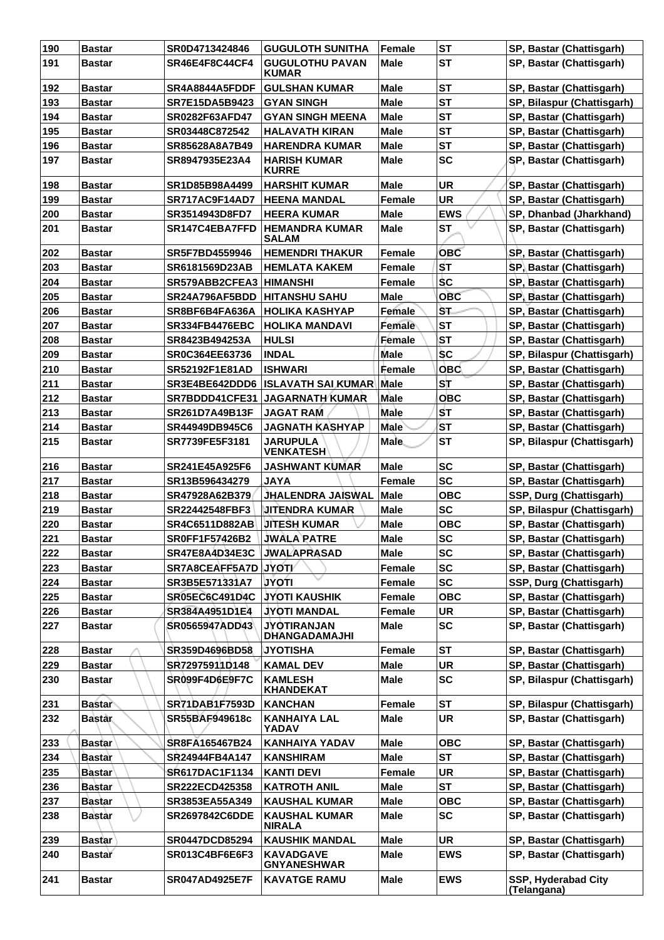| 190 | <b>Bastar</b> | SR0D4713424846        | <b>GUGULOTH SUNITHA</b>                    | <b>Female</b> | <b>ST</b>  | SP, Bastar (Chattisgarh)           |
|-----|---------------|-----------------------|--------------------------------------------|---------------|------------|------------------------------------|
| 191 | <b>Bastar</b> | SR46E4F8C44CF4        | <b>GUGULOTHU PAVAN</b><br><b>KUMAR</b>     | Male          | <b>ST</b>  | SP, Bastar (Chattisgarh)           |
| 192 | Bastar        | SR4A8844A5FDDF        | <b>GULSHAN KUMAR</b>                       | <b>Male</b>   | <b>ST</b>  | SP, Bastar (Chattisgarh)           |
| 193 | <b>Bastar</b> | SR7E15DA5B9423        | <b>GYAN SINGH</b>                          | Male          | <b>ST</b>  | SP, Bilaspur (Chattisgarh)         |
| 194 | <b>Bastar</b> | SR0282F63AFD47        | <b>GYAN SINGH MEENA</b>                    | Male          | <b>ST</b>  | SP, Bastar (Chattisgarh)           |
| 195 | <b>Bastar</b> | SR03448C872542        | <b>HALAVATH KIRAN</b>                      | <b>Male</b>   | <b>ST</b>  | SP, Bastar (Chattisgarh)           |
| 196 | <b>Bastar</b> | SR85628A8A7B49        | <b>HARENDRA KUMAR</b>                      | Male          | <b>ST</b>  | SP, Bastar (Chattisgarh)           |
| 197 | <b>Bastar</b> | SR8947935E23A4        | HARISH KUMAR<br><b>KURRE</b>               | Male          | <b>SC</b>  | SP, Bastar (Chattisgarh)           |
| 198 | Bastar        | SR1D85B98A4499        | <b>HARSHIT KUMAR</b>                       | <b>Male</b>   | <b>UR</b>  | SP, Bastar (Chattisgarh)           |
| 199 | <b>Bastar</b> | SR717AC9F14AD7        | <b>HEENA MANDAL</b>                        | <b>Female</b> | <b>UR</b>  | SP, Bastar (Chattisgarh)           |
| 200 | <b>Bastar</b> | SR3514943D8FD7        | <b>HEERA KUMAR</b>                         | Male          | <b>EWS</b> | SP, Dhanbad (Jharkhand)            |
| 201 | <b>Bastar</b> | SR147C4EBA7FFD        | <b>HEMANDRA KUMAR</b><br>SALAM             | <b>Male</b>   | <b>ST</b>  | SP, Bastar (Chattisgarh)           |
| 202 | <b>Bastar</b> | SR5F7BD4559946        | <b>HEMENDRI THAKUR</b>                     | <b>Female</b> | <b>OBC</b> | SP, Bastar (Chattisgarh)           |
| 203 | <b>Bastar</b> | SR6181569D23AB        | <b>HEMLATA KAKEM</b>                       | Female        | <b>ST</b>  | SP, Bastar (Chattisgarh)           |
| 204 | <b>Bastar</b> | SR579ABB2CFEA3        | <b>HIMANSHI</b>                            | <b>Female</b> | <b>SC</b>  | SP, Bastar (Chattisgarh)           |
| 205 | <b>Bastar</b> | SR24A796AF5BDD        | <b>HITANSHU SAHU</b>                       | Male          | <b>OBC</b> | SP, Bastar (Chattisgarh)           |
| 206 | <b>Bastar</b> | SR8BF6B4FA636A        | <b>HOLIKA KASHYAP</b>                      | Female        | ST.        | SP, Bastar (Chattisgarh)           |
| 207 | <b>Bastar</b> | <b>SR334FB4476EBC</b> | <b>HOLIKA MANDAVI</b>                      | Female        | <b>ST</b>  | SP, Bastar (Chattisgarh)           |
| 208 | <b>Bastar</b> | SR8423B494253A        | <b>HULSI</b>                               | <b>Female</b> | <b>ST</b>  | SP, Bastar (Chattisgarh)           |
| 209 | <b>Bastar</b> | SR0C364EE63736        | <b>INDAL</b>                               | Male          | <b>SC</b>  | SP, Bilaspur (Chattisgarh)         |
| 210 |               | <b>SR52192F1E81AD</b> | <b>ISHWARI</b>                             | Female        | <b>OBC</b> | SP, Bastar (Chattisgarh)           |
|     | <b>Bastar</b> |                       |                                            |               | ST         |                                    |
| 211 | <b>Bastar</b> | SR3E4BE642DDD6        | ∣ISLAVATH SAI KUMAR∖                       | Male          |            | SP, Bastar (Chattisgarh)           |
| 212 | <b>Bastar</b> | SR7BDDD41CFE31        | <b>JAGARNATH KUMAR</b>                     | Male          | <b>OBC</b> | SP, Bastar (Chattisgarh)           |
| 213 | <b>Bastar</b> | SR261D7A49B13F        | <b>JAGAT RAM</b>                           | Male          | <b>ST</b>  | SP, Bastar (Chattisgarh)           |
| 214 | <b>Bastar</b> | SR44949DB945C6        | <b>JAGNATH KASHYAP</b>                     | <b>Male</b>   | <b>ST</b>  | SP, Bastar (Chattisgarh)           |
| 215 | <b>Bastar</b> | SR7739FE5F3181        | <b>JARUPULA</b><br><b>VENKATESH</b>        | <b>Male</b>   | <b>ST</b>  | SP, Bilaspur (Chattisgarh)         |
| 216 | Bastar        | SR241E45A925F6        | <b>JASHWANT KUMAR</b>                      | <b>Male</b>   | <b>SC</b>  | SP, Bastar (Chattisgarh)           |
| 217 | <b>Bastar</b> | SR13B596434279        | <b>JAYA</b>                                | <b>Female</b> | <b>SC</b>  | SP, Bastar (Chattisgarh)           |
| 218 | <b>Bastar</b> | SR47928A62B379        | JHALENDRA JAISWAL                          | <b>Male</b>   | <b>OBC</b> | SSP, Durg (Chattisgarh)            |
| 219 | <b>Bastar</b> | SR22442548FBF3        | JITENDRA KUMAR                             | <b>Male</b>   | <b>SC</b>  | SP, Bilaspur (Chattisgarh)         |
| 220 | <b>Bastar</b> | <b>SR4C6511D882AB</b> | <b>JITESH KUMAR</b>                        | <b>Male</b>   | <b>OBC</b> | SP, Bastar (Chattisgarh)           |
| 221 | <b>Bastar</b> | SR0FF1F57426B2        | <b>JWALA PATRE</b>                         | <b>Male</b>   | <b>SC</b>  | SP, Bastar (Chattisgarh)           |
| 222 | Bastar        | SR47E8A4D34E3C        | <b>JWALAPRASAD</b>                         | <b>Male</b>   | <b>SC</b>  | SP, Bastar (Chattisgarh)           |
| 223 | <b>Bastar</b> | SR7A8CEAFF5A7D JYOT/  |                                            | Female        | <b>SC</b>  | SP, Bastar (Chattisgarh)           |
| 224 | <b>Bastar</b> | SR3B5E571331A7        | <b>JYOTI</b>                               | Female        | <b>SC</b>  | SSP, Durg (Chattisgarh)            |
| 225 | Bastar        | <b>SR05EC6C491D4C</b> | <b>JYOTI KAUSHIK</b>                       | Female        | <b>OBC</b> | SP, Bastar (Chattisgarh)           |
| 226 | <b>Bastar</b> | SR384A4951D1E4        | <b>JYOTI MANDAL</b>                        | Female        | <b>UR</b>  | SP, Bastar (Chattisgarh)           |
| 227 | Bastar        | SR0565947ADD43        | <b>JYOTIRANJAN</b><br><b>DHANGADAMAJHI</b> | Male          | <b>SC</b>  | SP, Bastar (Chattisgarh)           |
| 228 | <b>Bastar</b> | SR359D4696BD58        | JYOTISHA                                   | Female        | <b>ST</b>  | SP, Bastar (Chattisgarh)           |
| 229 | <b>Bastar</b> | SR72975911D148        | <b>KAMAL DEV</b>                           | <b>Male</b>   | <b>UR</b>  | SP, Bastar (Chattisgarh)           |
| 230 | <b>Bastar</b> | <b>SR099F4D6E9F7C</b> | <b>KAMLESH</b><br><b>KHANDEKAT</b>         | Male          | <b>SC</b>  | SP, Bilaspur (Chattisgarh)         |
| 231 | <b>Bastar</b> | SR71DAB1F7593D        | <b>KANCHAN</b>                             | Female        | <b>ST</b>  | SP, Bilaspur (Chattisgarh)         |
| 232 | <b>Bastar</b> | SR55BAF949618c        | <b>KANHAIYA LAL</b><br>YADAV               | Male          | <b>UR</b>  | SP, Bastar (Chattisgarh)           |
| 233 | Bastar        | SR8FA165467B24        | <b>KANHAIYA YADAV</b>                      | <b>Male</b>   | <b>OBC</b> | SP, Bastar (Chattisgarh)           |
| 234 | Bastar        | SR24944FB4A147        | <b>KANSHIRAM</b>                           | <b>Male</b>   | <b>ST</b>  | SP, Bastar (Chattisgarh)           |
| 235 | <b>Bastar</b> | SR617DAC1F1134        | <b>KANTI DEVI</b>                          | Female        | <b>UR</b>  | SP, Bastar (Chattisgarh)           |
| 236 | <b>Bastar</b> | <b>SR222ECD425358</b> | <b>KATROTH ANIL</b>                        | <b>Male</b>   | <b>ST</b>  | SP, Bastar (Chattisgarh)           |
| 237 | <b>Bastar</b> | SR3853EA55A349        | <b>KAUSHAL KUMAR</b>                       | <b>Male</b>   | <b>OBC</b> | SP, Bastar (Chattisgarh)           |
| 238 | <b>Bastar</b> | <b>SR2697842C6DDE</b> | <b>KAUSHAL KUMAR</b>                       | Male          | <b>SC</b>  | SP, Bastar (Chattisgarh)           |
|     |               |                       | <b>NIRALA</b>                              |               |            |                                    |
| 239 | <b>Bastar</b> | <b>SR0447DCD85294</b> | <b>KAUSHIK MANDAL</b>                      | <b>Male</b>   | <b>UR</b>  | SP, Bastar (Chattisgarh)           |
| 240 | <b>Bastar</b> | SR013C4BF6E6F3        | <b>KAVADGAVE</b><br><b>GNYANESHWAR</b>     | <b>Male</b>   | <b>EWS</b> | SP, Bastar (Chattisgarh)           |
| 241 | <b>Bastar</b> | <b>SR047AD4925E7F</b> | <b>KAVATGE RAMU</b>                        | Male          | <b>EWS</b> | SSP, Hyderabad City<br>(Telangana) |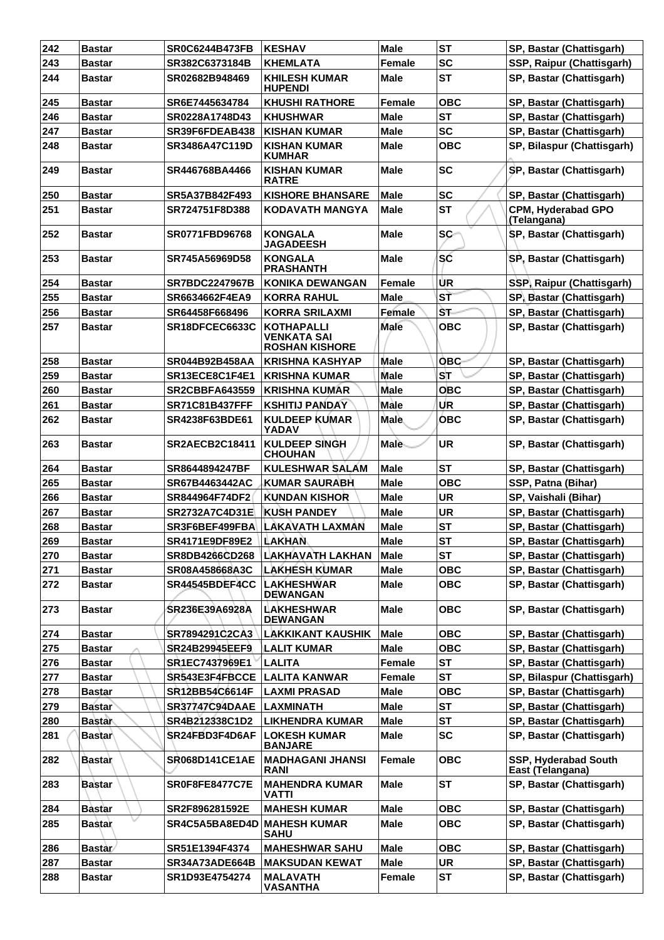| 242 | <b>Bastar</b> | <b>SR0C6244B473FB</b> | <b>KESHAV</b>                                             | Male          | <b>ST</b>  | SP, Bastar (Chattisgarh)                 |
|-----|---------------|-----------------------|-----------------------------------------------------------|---------------|------------|------------------------------------------|
| 243 | <b>Bastar</b> | SR382C6373184B        | <b>KHEMLATA</b>                                           | Female        | <b>SC</b>  | SSP, Raipur (Chattisgarh)                |
| 244 | <b>Bastar</b> | SR02682B948469        | <b>KHILESH KUMAR</b><br><b>HUPENDI</b>                    | <b>Male</b>   | <b>ST</b>  | SP, Bastar (Chattisgarh)                 |
| 245 | <b>Bastar</b> | SR6E7445634784        | <b>KHUSHI RATHORE</b>                                     | Female        | <b>OBC</b> | SP, Bastar (Chattisgarh)                 |
| 246 | <b>Bastar</b> | SR0228A1748D43        | <b>KHUSHWAR</b>                                           | Male          | <b>ST</b>  | SP, Bastar (Chattisgarh)                 |
| 247 | <b>Bastar</b> | SR39F6FDEAB438        | <b>KISHAN KUMAR</b>                                       | <b>Male</b>   | <b>SC</b>  | SP, Bastar (Chattisgarh)                 |
| 248 | <b>Bastar</b> | SR3486A47C119D        | <b>KISHAN KUMAR</b><br><b>KUMHAR</b>                      | <b>Male</b>   | <b>OBC</b> | SP, Bilaspur (Chattisgarh)               |
| 249 | <b>Bastar</b> | SR446768BA4466        | <b>KISHAN KUMAR</b><br><b>RATRE</b>                       | Male          | <b>SC</b>  | SP, Bastar (Chattisgarh)                 |
| 250 | <b>Bastar</b> | SR5A37B842F493        | <b>KISHORE BHANSARE</b>                                   | <b>Male</b>   | <b>SC</b>  | SP, Bastar (Chattisgarh)                 |
| 251 | <b>Bastar</b> | SR724751F8D388        | <b>KODAVATH MANGYA</b>                                    | Male          | <b>ST</b>  | <b>CPM, Hyderabad GPO</b><br>(Telangana) |
| 252 | <b>Bastar</b> | SR0771FBD96768        | <b>KONGALA</b><br><b>JAGADEESH</b>                        | Male          | <b>SC</b>  | SP, Bastar (Chattisgarh)                 |
| 253 | <b>Bastar</b> | SR745A56969D58        | <b>KONGALA</b><br><b>PRASHANTH</b>                        | <b>Male</b>   | <b>SC</b>  | SP, Bastar (Chattisgarh)                 |
| 254 | <b>Bastar</b> | <b>SR7BDC2247967B</b> | <b>KONIKA DEWANGAN</b>                                    | Female        | UR         | SSP, Raipur (Chattisgarh)                |
| 255 | <b>Bastar</b> | SR6634662F4EA9        | <b>KORRA RAHUL</b>                                        | <b>Male</b>   | ST         | SP, Bastar (Chattisgarh)                 |
| 256 | <b>Bastar</b> | SR64458F668496        | <b>KORRA SRILAXMI</b>                                     | Female        | ŠТ         | SP, Bastar (Chattisgarh)                 |
| 257 | <b>Bastar</b> | SR18DFCEC6633C        | <b>KOTHAPALLI</b><br>VENKATA SAI<br><b>ROSHAN KISHORE</b> | Male          | овс        | SP, Bastar (Chattisgarh)                 |
| 258 | <b>Bastar</b> | <b>SR044B92B458AA</b> | <b>KRISHNA KASHYAP</b>                                    | Male          | <b>OBC</b> | SP, Bastar (Chattisgarh)                 |
| 259 | <b>Bastar</b> | SR13ECE8C1F4E1        | <b>KRISHNA KUMAR</b>                                      | <b>Male</b>   | ST         | SP, Bastar (Chattisgarh)                 |
| 260 | <b>Bastar</b> | <b>SR2CBBFA643559</b> | <b>KRISHNA KUMAR</b>                                      | Male          | ОВС        | SP, Bastar (Chattisgarh)                 |
| 261 | <b>Bastar</b> | <b>SR71C81B437FFF</b> | <b>KSHITIJ PANDAY</b>                                     | Male          | <b>UR</b>  | SP, Bastar (Chattisgarh)                 |
| 262 | <b>Bastar</b> | SR4238F63BDE61        | <b>KULDEEP KUMAR</b><br>YADAV                             | <b>Male</b>   | <b>OBC</b> | SP, Bastar (Chattisgarh)                 |
| 263 | <b>Bastar</b> | <b>SR2AECB2C18411</b> | <b>KULDEEP SINGH</b><br><b>CHOUHAN</b>                    | Male          | UR         | SP, Bastar (Chattisgarh)                 |
| 264 | Bastar        | SR8644894247BF        | <b>KULESHWAR SALAM</b>                                    | <b>Male</b>   | <b>ST</b>  | SP, Bastar (Chattisgarh)                 |
| 265 | <b>Bastar</b> | SR67B4463442AC        | <b>KUMAR SAURABH</b>                                      | <b>Male</b>   | <b>OBC</b> | SSP, Patna (Bihar)                       |
| 266 | <b>Bastar</b> | SR844964F74DF2        | <b>KUNDAN KISHOR</b>                                      | <b>Male</b>   | <b>UR</b>  | SP, Vaishali (Bihar)                     |
| 267 | <b>Bastar</b> | SR2732A7C4D31E        | <b>IKUSH PANDEY</b>                                       | <b>Male</b>   | <b>UR</b>  | SP, Bastar (Chattisgarh)                 |
| 268 | <b>Bastar</b> | SR3F6BEF499FBA        | LAKAVATH LAXMAN                                           | <b>Male</b>   | <b>ST</b>  | SP, Bastar (Chattisgarh)                 |
| 269 | <b>Bastar</b> | SR4171E9DF89E2        | <b>LAKHAN</b>                                             | <b>Male</b>   | <b>ST</b>  | SP, Bastar (Chattisgarh)                 |
| 270 | <b>Bastar</b> | SR8DB4266CD268        | <b>LAKHAVATH LAKHAN</b>                                   | Male          | <b>ST</b>  | SP, Bastar (Chattisgarh)                 |
| 271 | <b>Bastar</b> | SR08A458668A3C        | <b>LAKHESH KUMAR</b>                                      | <b>Male</b>   | <b>OBC</b> | SP, Bastar (Chattisgarh)                 |
| 272 | <b>Bastar</b> | SR44545BDEF4CC        | <b>LAKHESHWAR</b><br><b>DEWANGAN</b>                      | Male          | <b>OBC</b> | SP, Bastar (Chattisgarh)                 |
| 273 | <b>Bastar</b> | SR236E39A6928A        | <b>LAKHESHWAR</b><br><b>DEWANGAN</b>                      | <b>Male</b>   | <b>OBC</b> | SP, Bastar (Chattisgarh)                 |
| 274 | <b>Bastar</b> | SR7894291C2CA3        | LAKKIKANT KAUSHIK                                         | <b>Male</b>   | <b>OBC</b> | SP, Bastar (Chattisgarh)                 |
| 275 | <b>Bastar</b> | <b>SR24B29945EEF9</b> | <b>LALIT KUMAR</b>                                        | <b>Male</b>   | <b>OBC</b> | SP, Bastar (Chattisgarh)                 |
| 276 | <b>Bastar</b> | SR1EC7437969E1        | <b>LALITA</b>                                             | <b>Female</b> | <b>ST</b>  | SP, Bastar (Chattisgarh)                 |
| 277 | <b>Bastar</b> | SR543E3F4FBCCE        | <b>LALITA KANWAR</b>                                      | Female        | <b>ST</b>  | SP, Bilaspur (Chattisgarh)               |
| 278 | <b>Bastar</b> | SR12BB54C6614F        | <b>LAXMI PRASAD</b>                                       | <b>Male</b>   | овс        | SP, Bastar (Chattisgarh)                 |
| 279 | <b>Bastar</b> | <b>SR37747C94DAAE</b> | <b>LAXMINATH</b>                                          | <b>Male</b>   | <b>ST</b>  | SP, Bastar (Chattisgarh)                 |
| 280 | <b>Bastar</b> | SR4B212338C1D2        | <b>LIKHENDRA KUMAR</b>                                    | <b>Male</b>   | <b>ST</b>  | SP, Bastar (Chattisgarh)                 |
| 281 | <b>Bastar</b> | SR24FBD3F4D6AF        | <b>LOKESH KUMAR</b><br><b>BANJARE</b>                     | <b>Male</b>   | <b>SC</b>  | SP, Bastar (Chattisgarh)                 |
| 282 | <b>Bastar</b> | <b>SR068D141CE1AE</b> | <b>MADHAGANI JHANSI</b><br><b>RANI</b>                    | Female        | <b>OBC</b> | SSP, Hyderabad South<br>East (Telangana) |
| 283 | Bastar        | <b>SR0F8FE8477C7E</b> | <b>MAHENDRA KUMAR</b><br><b>VATTI</b>                     | <b>Male</b>   | <b>ST</b>  | SP, Bastar (Chattisgarh)                 |
| 284 | <b>Bastar</b> | SR2F896281592E        | <b>MAHESH KUMAR</b>                                       | <b>Male</b>   | <b>OBC</b> | SP, Bastar (Chattisgarh)                 |
| 285 | <b>Bastar</b> | SR4C5A5BA8ED4D        | <b>MAHESH KUMAR</b><br><b>SAHU</b>                        | Male          | <b>OBC</b> | SP, Bastar (Chattisgarh)                 |
| 286 | <b>Bastar</b> | SR51E1394F4374        | <b>MAHESHWAR SAHU</b>                                     | <b>Male</b>   | <b>OBC</b> | SP, Bastar (Chattisgarh)                 |
| 287 | <b>Bastar</b> | SR34A73ADE664B        | <b>MAKSUDAN KEWAT</b>                                     | Male          | <b>UR</b>  | SP, Bastar (Chattisgarh)                 |
| 288 | <b>Bastar</b> | SR1D93E4754274        | <b>MALAVATH</b><br><b>VASANTHA</b>                        | Female        | <b>ST</b>  | SP, Bastar (Chattisgarh)                 |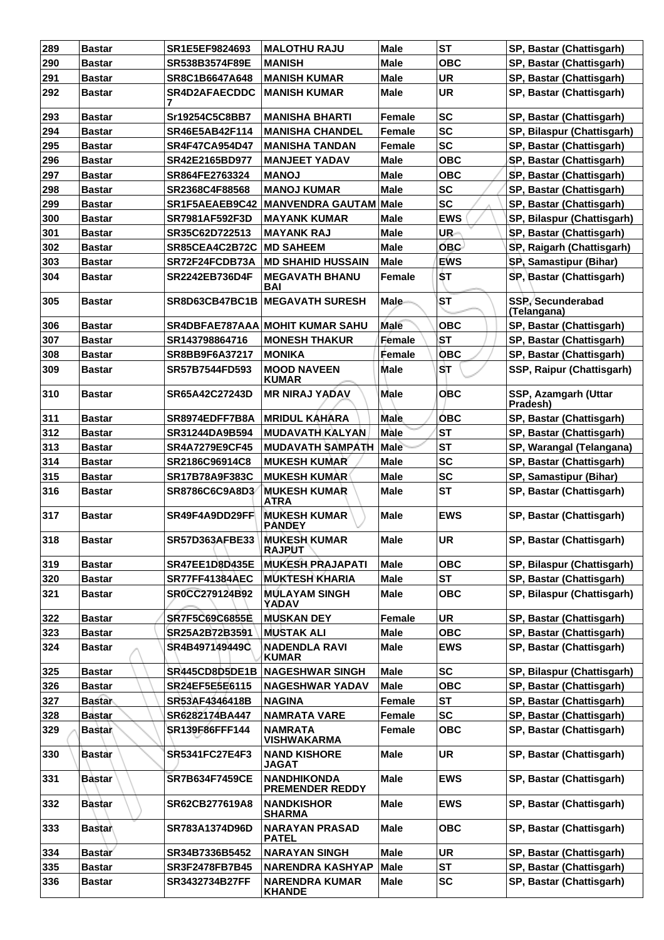| 289 | <b>Bastar</b> | SR1E5EF9824693        | <b>MALOTHU RAJU</b>                          | <b>Male</b>   | <b>ST</b>  | SP, Bastar (Chattisgarh)         |
|-----|---------------|-----------------------|----------------------------------------------|---------------|------------|----------------------------------|
| 290 | <b>Bastar</b> | SR538B3574F89E        | <b>MANISH</b>                                | <b>Male</b>   | <b>OBC</b> | SP, Bastar (Chattisgarh)         |
| 291 | <b>Bastar</b> | SR8C1B6647A648        | <b>MANISH KUMAR</b>                          | <b>Male</b>   | <b>UR</b>  | SP, Bastar (Chattisgarh)         |
| 292 | Bastar        | <b>SR4D2AFAECDDC</b>  | <b>MANISH KUMAR</b>                          | <b>Male</b>   | <b>UR</b>  | SP, Bastar (Chattisgarh)         |
| 293 | Bastar        | Sr19254C5C8BB7        | <b>MANISHA BHARTI</b>                        | Female        | <b>SC</b>  | SP, Bastar (Chattisgarh)         |
| 294 | <b>Bastar</b> | SR46E5AB42F114        | <b>MANISHA CHANDEL</b>                       | Female        | <b>SC</b>  | SP, Bilaspur (Chattisgarh)       |
| 295 | <b>Bastar</b> | <b>SR4F47CA954D47</b> | <b>MANISHA TANDAN</b>                        | Female        | <b>SC</b>  | SP, Bastar (Chattisgarh)         |
| 296 | <b>Bastar</b> | SR42E2165BD977        | <b>MANJEET YADAV</b>                         | <b>Male</b>   | <b>OBC</b> | SP, Bastar (Chattisgarh)         |
| 297 | Bastar        | SR864FE2763324        | <b>MANOJ</b>                                 | <b>Male</b>   | <b>OBC</b> | SP, Bastar (Chattisgarh)         |
| 298 | Bastar        | SR2368C4F88568        | <b>MANOJ KUMAR</b>                           | <b>Male</b>   | <b>SC</b>  | SP, Bastar (Chattisgarh)         |
| 299 | <b>Bastar</b> | SR1F5AEAEB9C42        | MANVENDRA GAUTAM Male                        |               | <b>SC</b>  | SP, Bastar (Chattisgarh)         |
| 300 | <b>Bastar</b> | SR7981AF592F3D        | <b>MAYANK KUMAR</b>                          | <b>Male</b>   | <b>EWS</b> | SP, Bilaspur (Chattisgarh)       |
| 301 | <b>Bastar</b> | SR35C62D722513        | <b>MAYANK RAJ</b>                            | <b>Male</b>   | UR-        | SP, Bastar (Chattisgarh)         |
| 302 | <b>Bastar</b> | SR85CEA4C2B72C        | <b>MD SAHEEM</b>                             | <b>Male</b>   | <b>OBC</b> | SP, Raigarh (Chattisgarh)        |
|     |               |                       |                                              |               |            |                                  |
| 303 | Bastar        | SR72F24FCDB73A        | <b>MD SHAHID HUSSAIN</b>                     | <b>Male</b>   | <b>EWS</b> | SP, Samastipur (Bihar)           |
| 304 | Bastar        | SR2242EB736D4F        | <b>MEGAVATH BHANU</b><br><b>BAI</b>          | Female        | ST         | SP, Bastar (Chattisgarh)         |
| 305 | <b>Bastar</b> |                       | <b>SR8D63CB47BC1B MEGAVATH SURESH</b>        | <b>Male</b>   | <b>ST</b>  | SSP, Secunderabad<br>(Telangana) |
| 306 | Bastar        |                       | <b>SR4DBFAE787AAA MOHIT KUMAR SAHU</b>       | <b>Male</b>   | <b>OBC</b> | SP, Bastar (Chattisgarh)         |
| 307 | <b>Bastar</b> | SR143798864716        | <b>MONESH THAKUR</b>                         | Female        | <b>ST</b>  | SP, Bastar (Chattisgarh)         |
| 308 | <b>Bastar</b> | SR8BB9F6A37217        | <b>MONIKA</b>                                | Female        | <b>OBC</b> | SP, Bastar (Chattisgarh)         |
| 309 | <b>Bastar</b> | SR57B7544FD593        | <b>MOOD NAVEEN</b><br><b>KUMAR</b>           | <b>Male</b>   | <b>ST</b>  | SSP, Raipur (Chattisgarh)        |
| 310 | <b>Bastar</b> | <b>SR65A42C27243D</b> | <b>MR NIRAJ YADAV</b>                        | <b>Male</b>   | <b>OBC</b> | SSP, Azamgarh (Uttar<br>Pradesh) |
| 311 | Bastar        | SR8974EDFF7B8A        | <b>MRIDUL KAHARA</b>                         | <b>Male</b>   | <b>OBC</b> | SP, Bastar (Chattisgarh)         |
| 312 | <b>Bastar</b> | SR31244DA9B594        | <b>MUDAVATH KALYAN</b>                       | Màle          | <b>ST</b>  | SP, Bastar (Chattisgarh)         |
| 313 | <b>Bastar</b> | <b>SR4A7279E9CF45</b> | <b>MUDAVATH SAMPATH</b>                      | Male          | <b>ST</b>  | SP, Warangal (Telangana)         |
| 314 | <b>Bastar</b> | SR2186C96914C8        | <b>MUKESH KUMAR</b>                          | <b>Male</b>   | <b>SC</b>  | SP, Bastar (Chattisgarh)         |
| 315 | Bastar        | <b>SR17B78A9F383C</b> | <b>MUKESH KUMAR</b>                          | <b>Male</b>   | <b>SC</b>  | SP, Samastipur (Bihar)           |
| 316 | Bastar        | SR8786C6C9A8D3        | <b>MUKESH KUMAR</b><br>ATRA                  | <b>Male</b>   | <b>ST</b>  | SP, Bastar (Chattisgarh)         |
| 317 | <b>Bastar</b> | SR49F4A9DD29FF        | <b>MUKESH KUMAR</b><br><b>PANDEY</b>         | <b>Male</b>   | <b>EWS</b> | SP, Bastar (Chattisgarh)         |
| 318 | <b>Bastar</b> | <b>SR57D363AFBE33</b> | <b>MUKESH KUMAR</b><br><b>RAJPUT</b>         | <b>Male</b>   | <b>UR</b>  | SP, Bastar (Chattisgarh)         |
| 319 | Bastar        | <b>SR47EE1D8D435E</b> | <b>MUKESH PRAJAPATI</b>                      | Male          | <b>OBC</b> | SP, Bilaspur (Chattisgarh)       |
| 320 | <b>Bastar</b> | <b>SR77FF41384AEC</b> | <b>MUKTESH KHARIA</b>                        | <b>Male</b>   | <b>ST</b>  | SP, Bastar (Chattisgarh)         |
| 321 | Bastar        | SR0CC279124B92        | <b>MULAYAM SINGH</b><br>YADAV                | <b>Male</b>   | <b>OBC</b> | SP, Bilaspur (Chattisgarh)       |
| 322 | Bastar        | <b>SR7F5C69C6855E</b> | <b>MUSKAN DEY</b>                            | <b>Female</b> | <b>UR</b>  | SP, Bastar (Chattisgarh)         |
| 323 | <b>Bastar</b> | SR25A2B72B3591        | <b>MUSTAK ALI</b>                            | <b>Male</b>   | <b>OBC</b> | SP, Bastar (Chattisgarh)         |
| 324 | Bastar        | SR4B497149449C        | <b>NADENDLA RAVI</b><br><b>KUMAR</b>         | <b>Male</b>   | <b>EWS</b> | SP, Bastar (Chattisgarh)         |
| 325 | Bastar        | SR445CD8D5DE1B        | <b>NAGESHWAR SINGH</b>                       | <b>Male</b>   | <b>SC</b>  | SP, Bilaspur (Chattisgarh)       |
| 326 | <b>Bastar</b> | SR24EF5E5E6115        | <b>NAGESHWAR YADAV</b>                       | <b>Male</b>   | <b>OBC</b> | SP, Bastar (Chattisgarh)         |
| 327 | <b>Bastar</b> | SR53AF4346418B        | <b>NAGINA</b>                                | Female        | <b>ST</b>  | SP, Bastar (Chattisgarh)         |
| 328 | <b>Bastar</b> | SR6282174BA447        | <b>NAMRATA VARE</b>                          | Female        | <b>SC</b>  | SP, Bastar (Chattisgarh)         |
| 329 | Bastar        | SR139F86FFF144        | <b>NAMRATA</b><br><b>VISHWAKARMA</b>         | Female        | <b>OBC</b> | SP, Bastar (Chattisgarh)         |
| 330 | Bastar        | <b>SR5341FC27E4F3</b> | <b>NAND KISHORE</b><br><b>JAGAT</b>          | <b>Male</b>   | <b>UR</b>  | SP, Bastar (Chattisgarh)         |
| 331 | Bastar        | SR7B634F7459CE        | <b>NANDHIKONDA</b><br><b>PREMENDER REDDY</b> | <b>Male</b>   | <b>EWS</b> | SP, Bastar (Chattisgarh)         |
| 332 | <b>Bastar</b> | SR62CB277619A8        | <b>NANDKISHOR</b><br><b>SHARMA</b>           | <b>Male</b>   | <b>EWS</b> | SP, Bastar (Chattisgarh)         |
| 333 | <b>Bastan</b> | SR783A1374D96D        | <b>NARAYAN PRASAD</b><br><b>PATEL</b>        | Male          | <b>OBC</b> | SP, Bastar (Chattisgarh)         |
| 334 | Bastar        | SR34B7336B5452        | <b>NARAYAN SINGH</b>                         | <b>Male</b>   | UR         | SP, Bastar (Chattisgarh)         |
| 335 | <b>Bastar</b> | SR3F2478FB7B45        | <b>NARENDRA KASHYAP</b>                      | <b>Male</b>   | <b>ST</b>  | SP, Bastar (Chattisgarh)         |
| 336 | <b>Bastar</b> | SR3432734B27FF        | <b>NARENDRA KUMAR</b><br><b>KHANDE</b>       | <b>Male</b>   | <b>SC</b>  | SP, Bastar (Chattisgarh)         |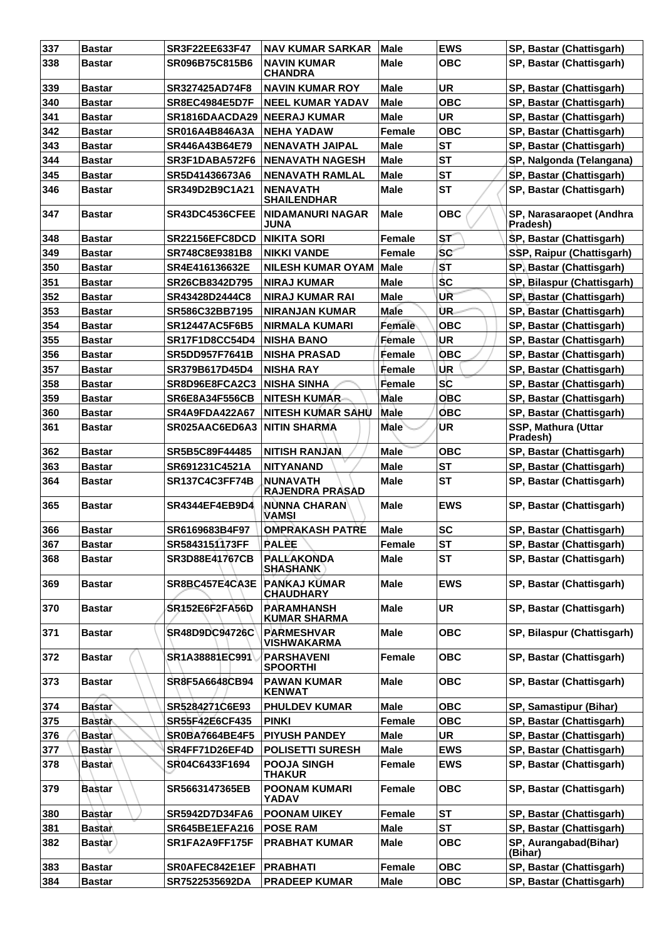| 337 | <b>Bastar</b> | <b>SR3F22EE633F47</b> | NAV KUMAR SARKAR                          | <b>Male</b>   | <b>EWS</b>     | SP, Bastar (Chattisgarh)             |
|-----|---------------|-----------------------|-------------------------------------------|---------------|----------------|--------------------------------------|
| 338 | <b>Bastar</b> | SR096B75C815B6        | NAVIN KUMAR<br><b>CHANDRA</b>             | Male          | <b>OBC</b>     | SP, Bastar (Chattisgarh)             |
| 339 | <b>Bastar</b> | SR327425AD74F8        | <b>NAVIN KUMAR ROY</b>                    | <b>Male</b>   | <b>UR</b>      | SP, Bastar (Chattisgarh)             |
| 340 | Bastar        | <b>SR8EC4984E5D7F</b> | <b>NEEL KUMAR YADAV</b>                   | Male          | <b>OBC</b>     | SP, Bastar (Chattisgarh)             |
| 341 | <b>Bastar</b> | SR1816DAACDA29        | <b>NEERAJ KUMAR</b>                       | Male          | <b>UR</b>      | SP, Bastar (Chattisgarh)             |
| 342 | <b>Bastar</b> | SR016A4B846A3A        | <b>NEHA YADAW</b>                         | Female        | <b>OBC</b>     | SP, Bastar (Chattisgarh)             |
| 343 | <b>Bastar</b> | SR446A43B64E79        | <b>NENAVATH JAIPAL</b>                    | <b>Male</b>   | <b>ST</b>      | SP, Bastar (Chattisgarh)             |
| 344 | <b>Bastar</b> | SR3F1DABA572F6        | <b>NENAVATH NAGESH</b>                    | Male          | <b>ST</b>      | SP, Nalgonda (Telangana)             |
| 345 | <b>Bastar</b> | SR5D41436673A6        | <b>NENAVATH RAMLAL</b>                    | <b>Male</b>   | <b>ST</b>      | SP, Bastar (Chattisgarh)             |
| 346 | <b>Bastar</b> | SR349D2B9C1A21        | <b>NENAVATH</b><br><b>SHAILENDHAR</b>     | <b>Male</b>   | <b>ST</b>      | SP, Bastar (Chattisgarh)             |
| 347 | <b>Bastar</b> | SR43DC4536CFEE        | <b>NIDAMANURI NAGAR</b><br>JUNA           | Male          | <b>OBC</b>     | SP, Narasaraopet (Andhra<br>Pradesh) |
| 348 | <b>Bastar</b> | SR22156EFC8DCD        | <b>NIKITA SORI</b>                        | <b>Female</b> | ST <sup></sup> | SP, Bastar (Chattisgarh)             |
| 349 | <b>Bastar</b> | SR748C8E9381B8        | <b>NIKKI VANDE</b>                        | <b>Female</b> | <b>SC</b>      | SSP, Raipur (Chattisgarh)            |
| 350 | <b>Bastar</b> | SR4E416136632E        | <b>NILESH KUMAR OYAM</b>                  | Male          | ŚТ             | SP, Bastar (Chattisgarh)             |
| 351 | <b>Bastar</b> | SR26CB8342D795        | <b>NIRAJ KUMAR</b>                        | <b>Male</b>   | \$C            | SP, Bilaspur (Chattisgarh)           |
| 352 | <b>Bastar</b> | SR43428D2444C8        | <b>NIRAJ KUMAR RAI</b>                    | Male          | UR             | SP, Bastar (Chattisgarh)             |
| 353 | <b>Bastar</b> | SR586C32BB7195        | <b>NIRANJAN KUMAR</b>                     | Male          | ÙR.            | SP, Bastar (Chattisgarh)             |
| 354 | <b>Bastar</b> | <b>SR12447AC5F6B5</b> | <b>NIRMALA KUMARI</b>                     | Female        | <b>OBC</b>     | SP, Bastar (Chattisgarh)             |
| 355 | <b>Bastar</b> | <b>SR17F1D8CC54D4</b> | <b>NISHA BANO</b>                         | <b>Female</b> | <b>UR</b>      | SP, Bastar (Chattisgarh)             |
| 356 | <b>Bastar</b> | <b>SR5DD957F7641B</b> | <b>NISHA PRASAD</b>                       | Female        | <b>OBC</b>     | SP, Bastar (Chattisgarh)             |
| 357 | <b>Bastar</b> | SR379B617D45D4        | <b>NISHA RAY</b>                          | Female        | UR.            | SP, Bastar (Chattisgarh)             |
| 358 | <b>Bastar</b> | SR8D96E8FCA2C3        | <b>NISHA SINHA</b>                        | Female        | <b>SC</b>      | SP, Bastar (Chattisgarh)             |
| 359 | <b>Bastar</b> | <b>SR6E8A34F556CB</b> | <b>NITESH KUMÁR</b>                       | Male          | <b>OBC</b>     | SP, Bastar (Chattisgarh)             |
| 360 | <b>Bastar</b> | <b>SR4A9FDA422A67</b> | <b>NITESH KUMAR SAHU</b>                  | Male          | <b>OBC</b>     | SP, Bastar (Chattisgarh)             |
| 361 | <b>Bastar</b> | SR025AAC6ED6A3        | <b>NITIN SHARMA</b>                       | <b>Male</b>   | ΊUR.           | SSP, Mathura (Uttar<br>Pradesh)      |
| 362 | <b>Bastar</b> | <b>SR5B5C89F44485</b> | <b>NITISH RANJAN</b>                      | Male          | <b>OBC</b>     | SP, Bastar (Chattisgarh)             |
| 363 | <b>Bastar</b> | SR691231C4521A        | <b>NITYANAND</b>                          | <b>Male</b>   | <b>ST</b>      | SP, Bastar (Chattisgarh)             |
| 364 | <b>Bastar</b> | SR137C4C3FF74B        | <b>NUNAVATH</b><br><b>RAJENDRA PRASAD</b> | Male          | <b>ST</b>      | SP, Bastar (Chattisgarh)             |
| 365 | <b>Bastar</b> | <b>SR4344EF4EB9D4</b> | <b>NUNNA CHARAN</b><br><b>VAMSI</b>       | Male          | <b>EWS</b>     | SP, Bastar (Chattisgarh)             |
| 366 | Bastar        | SR6169683B4F97        | <b>OMPRAKASH PATRE</b>                    | <b>Male</b>   | <b>SC</b>      | SP, Bastar (Chattisgarh)             |
| 367 | <b>Bastar</b> | SR5843151173FF        | <b>RALEE</b>                              | Female        | ST             | SP, Bastar (Chattisgarh)             |
| 368 | <b>Bastar</b> | <b>SR3D88E41767CB</b> | <b>PALLAKONDA</b><br><b>SHASHANK</b>      | <b>Male</b>   | <b>ST</b>      | SP, Bastar (Chattisgarh)             |
| 369 | <b>Bastar</b> | SR8BC457E4CA3E        | <b>PANKAJ KUMAR</b><br><b>CHAUDHARY</b>   | <b>Male</b>   | <b>EWS</b>     | SP, Bastar (Chattisgarh)             |
| 370 | <b>Bastar</b> | <b>SR152E6F2FA56D</b> | <b>PARAMHANSH</b><br><b>KUMAR SHARMA</b>  | <b>Male</b>   | <b>UR</b>      | SP, Bastar (Chattisgarh)             |
| 371 | <b>Bastar</b> | SR48D9DC94726C        | <b>PARMESHVAR</b><br><b>VISHWAKARMA</b>   | Male          | <b>OBC</b>     | SP, Bilaspur (Chattisgarh)           |
| 372 | <b>Bastar</b> | SR1A38881EC991        | <b>PARSHAVENI</b><br><b>SPOORTHI</b>      | Female        | <b>OBC</b>     | SP, Bastar (Chattisgarh)             |
| 373 | <b>Bastar</b> | SR8F5A6648CB94        | <b>PAWAN KUMAR</b><br><b>KENWAT</b>       | <b>Male</b>   | <b>OBC</b>     | SP, Bastar (Chattisgarh)             |
| 374 | <b>Bastar</b> | SR5284271C6E93        | <b>PHULDEV KUMAR</b>                      | <b>Male</b>   | <b>OBC</b>     | SP, Samastipur (Bihar)               |
| 375 | <b>Bastar</b> | SR55F42E6CF435        | <b>PINKI</b>                              | Female        | <b>OBC</b>     | SP, Bastar (Chattisgarh)             |
| 376 | <b>Bastar</b> | <b>SR0BA7664BE4F5</b> | <b>PIYUSH PANDEY</b>                      | <b>Male</b>   | <b>UR</b>      | SP, Bastar (Chattisgarh)             |
| 377 | <b>Bastar</b> | SR4FF71D26EF4D        | <b>POLISETTI SURESH</b>                   | <b>Male</b>   | <b>EWS</b>     | SP, Bastar (Chattisgarh)             |
| 378 | ∣Bastar∖      | SR04C6433F1694        | <b>POOJA SINGH</b><br><b>THAKUR</b>       | Female        | <b>EWS</b>     | SP, Bastar (Chattisgarh)             |
| 379 | <b>Bastar</b> | SR5663147365EB        | <b>POONAM KUMARI</b><br>YADAV             | <b>Female</b> | <b>OBC</b>     | SP, Bastar (Chattisgarh)             |
| 380 | <b>Bastar</b> | SR5942D7D34FA6        | <b>POONAM UIKEY</b>                       | Female        | <b>ST</b>      | SP, Bastar (Chattisgarh)             |
| 381 | <b>Bastar</b> | SR645BE1EFA216        | <b>POSE RAM</b>                           | <b>Male</b>   | <b>ST</b>      | SP, Bastar (Chattisgarh)             |
| 382 | <b>Bastar</b> | SR1FA2A9FF175F        | <b>PRABHAT KUMAR</b>                      | Male          | <b>OBC</b>     | SP, Aurangabad(Bihar)<br>(Bihar)     |
| 383 | <b>Bastar</b> | SR0AFEC842E1EF        | <b>PRABHATI</b>                           | Female        | <b>OBC</b>     | SP, Bastar (Chattisgarh)             |
| 384 | <b>Bastar</b> | SR7522535692DA        | <b>PRADEEP KUMAR</b>                      | <b>Male</b>   | <b>OBC</b>     | SP, Bastar (Chattisgarh)             |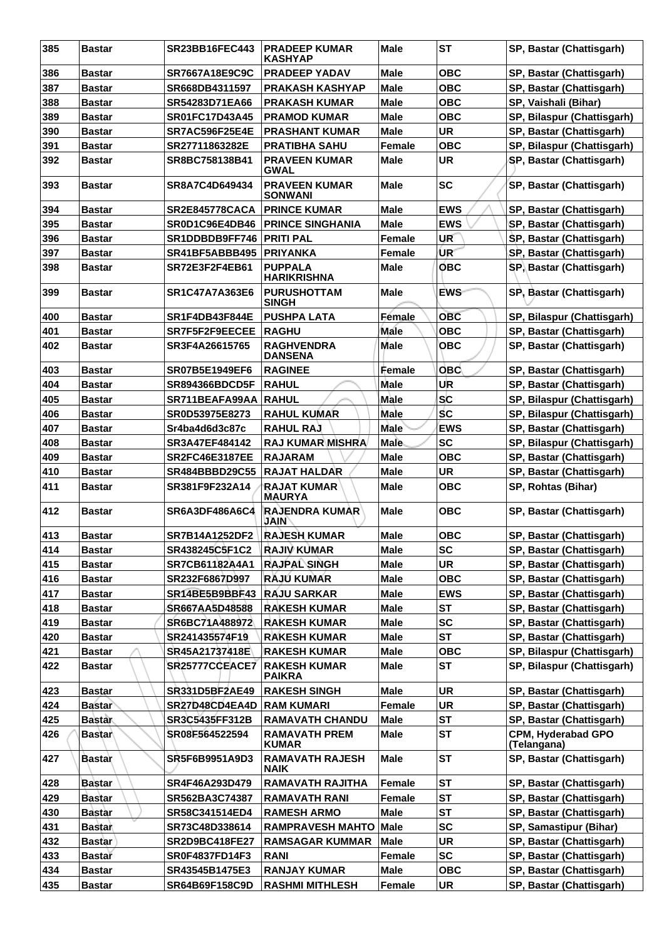| 385 | <b>Bastar</b> | <b>SR23BB16FEC443</b>     | <b>PRADEEP KUMAR</b><br><b>KASHYAP</b> | <b>Male</b>   | <b>ST</b>  | SP, Bastar (Chattisgarh)          |
|-----|---------------|---------------------------|----------------------------------------|---------------|------------|-----------------------------------|
| 386 | <b>Bastar</b> | SR7667A18E9C9C            | <b>PRADEEP YADAV</b>                   | Male          | OBC        | SP, Bastar (Chattisgarh)          |
| 387 | <b>Bastar</b> | SR668DB4311597            | <b>PRAKASH KASHYAP</b>                 | <b>Male</b>   | <b>OBC</b> | SP, Bastar (Chattisgarh)          |
| 388 | <b>Bastar</b> | SR54283D71EA66            | <b>PRAKASH KUMAR</b>                   | Male          | OBC        | SP, Vaishali (Bihar)              |
| 389 | <b>Bastar</b> | <b>SR01FC17D43A45</b>     | <b>PRAMOD KUMAR</b>                    | Male          | <b>OBC</b> | SP, Bilaspur (Chattisgarh)        |
| 390 | <b>Bastar</b> | <b>SR7AC596F25E4E</b>     | <b>PRASHANT KUMAR</b>                  | <b>Male</b>   | <b>UR</b>  | SP, Bastar (Chattisgarh)          |
| 391 | <b>Bastar</b> | SR27711863282E            | <b>PRATIBHA SAHU</b>                   | <b>Female</b> | <b>OBC</b> | SP, Bilaspur (Chattisgarh)        |
| 392 | <b>Bastar</b> | SR8BC758138B41            | <b>PRAVEEN KUMAR</b><br><b>GWAL</b>    | Male          | <b>UR</b>  | SP, Bastar (Chattisgarh)          |
| 393 | <b>Bastar</b> | SR8A7C4D649434            | <b>PRAVEEN KUMAR</b><br><b>SONWANI</b> | <b>Male</b>   | <b>SC</b>  | SP, Bastar (Chattisgarh)          |
| 394 | <b>Bastar</b> | <b>SR2E845778CACA</b>     | <b>PRINCE KUMAR</b>                    | <b>Male</b>   | <b>EWS</b> | SP, Bastar (Chattisgarh)          |
| 395 | <b>Bastar</b> | SR0D1C96E4DB46            | <b>PRINCE SINGHANIA</b>                | Male          | <b>EWS</b> | SP, Bastar (Chattisgarh)          |
| 396 | <b>Bastar</b> | SR1DDBDB9FF746            | <b>PRITI PAL</b>                       | <b>Female</b> | <b>UR</b>  | SP, Bastar (Chattisgarh)          |
| 397 | <b>Bastar</b> | SR41BF5ABBB495   PRIYANKA |                                        | <b>Female</b> | UR'        | SP, Bastar (Chattisgarh)          |
| 398 | <b>Bastar</b> | <b>SR72E3F2F4EB61</b>     | <b>PUPPALA</b><br><b>HARIKRISHNA</b>   | <b>Male</b>   | <b>OBC</b> | SP, Bastar (Chattisgarh)          |
| 399 | <b>Bastar</b> | <b>SR1C47A7A363E6</b>     | <b>PURUSHOTTAM</b><br><b>SINGH</b>     | <b>Male</b>   | <b>EWS</b> | SP, Bastar (Chattisgarh)          |
| 400 | <b>Bastar</b> | <b>SR1F4DB43F844E</b>     | <b>PUSHPA LATA</b>                     | <b>Female</b> | <b>OBC</b> | SP, Bilaspur (Chattisgarh)        |
| 401 | <b>Bastar</b> | SR7F5F2F9EECEE            | <b>RAGHU</b>                           | Male          | <b>OBC</b> | SP, Bastar (Chattisgarh)          |
| 402 | <b>Bastar</b> | SR3F4A26615765            | <b>RAGHVENDRA</b><br><b>DANSENA</b>    | Male          | <b>OBC</b> | SP, Bastar (Chattisgarh)          |
| 403 | <b>Bastar</b> | <b>SR07B5E1949EF6</b>     | <b>RAGINEE</b>                         | Female        | <b>OBC</b> | SP, Bastar (Chattisgarh)          |
| 404 | <b>Bastar</b> | <b>SR894366BDCD5F</b>     | <b>RAHUL</b>                           | <b>Male</b>   | UR         | SP, Bastar (Chattisgarh)          |
| 405 | <b>Bastar</b> | SR711BEAFA99AA RAHUL      |                                        | Male          | <b>SC</b>  | SP, Bilaspur (Chattisgarh)        |
| 406 | <b>Bastar</b> | SR0D53975E8273            | <b>RAHUL KUMAR</b>                     | Male          | ŚС         | SP, Bilaspur (Chattisgarh)        |
| 407 | <b>Bastar</b> | Sr4ba4d6d3c87c            | <b>RAHUL RAJ</b>                       | <b>Male</b>   | <b>EWS</b> | SP, Bastar (Chattisgarh)          |
| 408 | <b>Bastar</b> | SR3A47EF484142            | <b>RAJ KUMAR MISHRA</b>                | <b>Male</b>   | <b>SC</b>  | SP, Bilaspur (Chattisgarh)        |
| 409 | <b>Bastar</b> | <b>SR2FC46E3187EE</b>     | <b>RAJARAM</b>                         | <b>Male</b>   | OBC        | SP, Bastar (Chattisgarh)          |
| 410 | <b>Bastar</b> | SR484BBBD29C55            | <b>RAJAT HALDAR</b>                    | <b>Male</b>   | <b>UR</b>  | SP, Bastar (Chattisgarh)          |
| 411 | <b>Bastar</b> | SR381F9F232A14            | <b>RAJAT KUMAR</b><br><b>MAURYA</b>    | <b>Male</b>   | <b>OBC</b> | SP, Rohtas (Bihar)                |
| 412 | <b>Bastar</b> | SR6A3DF486A6C4            | <b>RAJENDRA KUMAR</b><br><b>JAIN</b>   | Male          | овс        | SP, Bastar (Chattisgarh)          |
| 413 | <b>Bastar</b> | <b>SR7B14A1252DF2</b>     | <b>IRAJESH KUMAR</b>                   | Male          | <b>OBC</b> | SP, Bastar (Chattisgarh)          |
| 414 | <b>Bastar</b> | SR438245C5F1C2            | <b>RAJIV KUMAR</b>                     | <b>Male</b>   | <b>SC</b>  | SP, Bastar (Chattisgarh)          |
| 415 | <b>Bastar</b> | <b>SR7CB61182A4A1</b>     | <b>RAJPAL SINGH</b>                    | <b>Male</b>   | <b>UR</b>  | SP, Bastar (Chattisgarh)          |
| 416 | <b>Bastar</b> | SR232F6867D997            | <b>RAJU KUMAR</b>                      | <b>Male</b>   | <b>OBC</b> | SP, Bastar (Chattisgarh)          |
| 417 | <b>Bastar</b> | SR14BE5B9BBF43            | <b>RAJU SARKAR</b>                     | <b>Male</b>   | <b>EWS</b> | SP, Bastar (Chattisgarh)          |
| 418 | <b>Bastar</b> | SR667AA5D48588            | <b>RAKESH KUMAR</b>                    | Male          | <b>ST</b>  | SP, Bastar (Chattisgarh)          |
| 419 | <b>Bastar</b> | SR6BC71A488972            | <b>RAKESH KUMAR</b>                    | Male          | <b>SC</b>  | SP, Bastar (Chattisgarh)          |
| 420 | <b>Bastar</b> | SR241435574F19            | <b>RAKESH KUMAR</b>                    | <b>Male</b>   | <b>ST</b>  | SP, Bastar (Chattisgarh)          |
| 421 | <b>Bastar</b> | SR45A21737418E            | <b>RAKESH KUMAR</b>                    | Male          | ОВС        | SP, Bilaspur (Chattisgarh)        |
| 422 | <b>Bastar</b> | SR25777CCEACE7            | <b>RAKESH KUMAR</b><br><b>PAIKRA</b>   | <b>Male</b>   | <b>ST</b>  | SP, Bilaspur (Chattisgarh)        |
| 423 | <b>Bastar</b> | <b>SR331D5BF2AE49</b>     | <b>RAKESH SINGH</b>                    | <b>Male</b>   | <b>UR</b>  | SP, Bastar (Chattisgarh)          |
| 424 | <b>Bastar</b> | SR27D48CD4EA4D            | <b>RAM KUMARI</b>                      | Female        | <b>UR</b>  | SP, Bastar (Chattisgarh)          |
| 425 | <b>Bastar</b> | SR3C5435FF312B            | <b>RAMAVATH CHANDU</b>                 | <b>Male</b>   | <b>ST</b>  | SP, Bastar (Chattisgarh)          |
| 426 | <b>Bastar</b> | SR08F564522594            | <b>RAMAVATH PREM</b><br><b>KUMAR</b>   | <b>Male</b>   | <b>ST</b>  | CPM, Hyderabad GPO<br>(Telangana) |
| 427 | <b>Bastar</b> | SR5F6B9951A9D3            | <b>RAMAVATH RAJESH</b><br><b>NAIK</b>  | <b>Male</b>   | <b>ST</b>  | SP, Bastar (Chattisgarh)          |
| 428 | <b>Bastar</b> | SR4F46A293D479            | RAMAVATH RAJITHA                       | Female        | <b>ST</b>  | SP, Bastar (Chattisgarh)          |
| 429 | <b>Bastar</b> | SR562BA3C74387            | <b>RAMAVATH RANI</b>                   | Female        | <b>ST</b>  | SP, Bastar (Chattisgarh)          |
| 430 | <b>Bastar</b> | SR58C341514ED4            | <b>RAMESH ARMO</b>                     | Male          | <b>ST</b>  | SP, Bastar (Chattisgarh)          |
| 431 | <b>Bastar</b> | SR73C48D338614            | <b>RAMPRAVESH MAHTO</b>                | Male          | <b>SC</b>  | SP, Samastipur (Bihar)            |
| 432 | <b>Bastar</b> | <b>SR2D9BC418FE27</b>     | <b>RAMSAGAR KUMMAR</b>                 | <b>Male</b>   | <b>UR</b>  | SP, Bastar (Chattisgarh)          |
| 433 | <b>Bastar</b> | <b>SR0F4837FD14F3</b>     | <b>RANI</b>                            | Female        | <b>SC</b>  | SP, Bastar (Chattisgarh)          |
| 434 | Bastar        | SR43545B1475E3            | <b>RANJAY KUMAR</b>                    | <b>Male</b>   | <b>OBC</b> | SP, Bastar (Chattisgarh)          |
| 435 | Bastar        | SR64B69F158C9D            | <b>RASHMI MITHLESH</b>                 | Female        | UR         | SP, Bastar (Chattisgarh)          |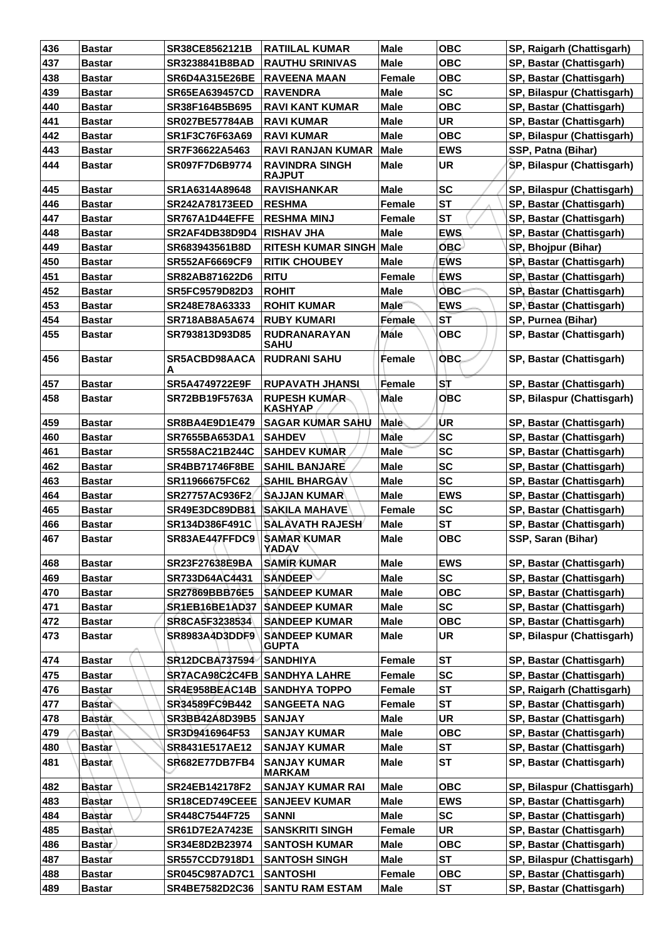| 436 | <b>Bastar</b> | SR38CE8562121B                      | <b>RATIILAL KUMAR</b>                  | <b>Male</b>   | <b>OBC</b> | SP, Raigarh (Chattisgarh)  |
|-----|---------------|-------------------------------------|----------------------------------------|---------------|------------|----------------------------|
| 437 | Bastar        | SR3238841B8BAD                      | <b>RAUTHU SRINIVAS</b>                 | Male          | <b>OBC</b> | SP, Bastar (Chattisgarh)   |
| 438 | <b>Bastar</b> | <b>SR6D4A315E26BE</b>               | <b>RAVEENA MAAN</b>                    | <b>Female</b> | <b>OBC</b> | SP, Bastar (Chattisgarh)   |
| 439 | <b>Bastar</b> | <b>SR65EA639457CD</b>               | <b>RAVENDRA</b>                        | <b>Male</b>   | <b>SC</b>  | SP, Bilaspur (Chattisgarh) |
| 440 | <b>Bastar</b> | SR38F164B5B695                      | <b>RAVI KANT KUMAR</b>                 | <b>Male</b>   | <b>OBC</b> | SP, Bastar (Chattisgarh)   |
| 441 | <b>Bastar</b> | <b>SR027BE57784AB</b>               | <b>RAVI KUMAR</b>                      | <b>Male</b>   | <b>UR</b>  | SP, Bastar (Chattisgarh)   |
| 442 | <b>Bastar</b> | SR1F3C76F63A69                      | <b>RAVI KUMAR</b>                      | <b>Male</b>   | <b>OBC</b> | SP, Bilaspur (Chattisgarh) |
| 443 | Bastar        | SR7F36622A5463                      | <b>RAVI RANJAN KUMAR</b>               | <b>Male</b>   | <b>EWS</b> | SSP, Patna (Bihar)         |
| 444 | <b>Bastar</b> | SR097F7D6B9774                      | <b>RAVINDRA SINGH</b><br><b>RAJPUT</b> | Male          | <b>UR</b>  | SP, Bilaspur (Chattisgarh) |
| 445 | <b>Bastar</b> | SR1A6314A89648                      | <b>RAVISHANKAR</b>                     | <b>Male</b>   | <b>SC</b>  | SP, Bilaspur (Chattisgarh) |
| 446 | <b>Bastar</b> | <b>SR242A78173EED</b>               | <b>RESHMA</b>                          | <b>Female</b> | <b>ST</b>  | SP, Bastar (Chattisgarh)   |
| 447 | <b>Bastar</b> | SR767A1D44EFFE                      | <b>RESHMA MINJ</b>                     | <b>Female</b> | <b>ST</b>  | SP, Bastar (Chattisgarh)   |
| 448 | <b>Bastar</b> | SR2AF4DB38D9D4                      | <b>RISHAV JHA</b>                      | <b>Male</b>   | <b>EWS</b> | SP, Bastar (Chattisgarh)   |
| 449 | <b>Bastar</b> | SR683943561B8D                      | RITESH KUMAR SINGH Male                |               | <b>OBC</b> | SP, Bhojpur (Bihar)        |
| 450 | <b>Bastar</b> | <b>SR552AF6669CF9</b>               | <b>RITIK CHOUBEY</b>                   | <b>Male</b>   | <b>EWS</b> | SP, Bastar (Chattisgarh)   |
| 451 | <b>Bastar</b> | SR82AB871622D6                      | <b>RITU</b>                            | <b>Female</b> | <b>EWS</b> | SP, Bastar (Chattisgarh)   |
| 452 | Bastar        | <b>SR5FC9579D82D3</b>               | <b>ROHIT</b>                           | <b>Male</b>   | <b>OBC</b> | SP, Bastar (Chattisgarh)   |
| 453 | Bastar        | SR248E78A63333                      | <b>ROHIT KUMAR</b>                     | <b>Male</b>   | <b>EWS</b> | SP, Bastar (Chattisgarh)   |
| 454 | <b>Bastar</b> | SR718AB8A5A674                      | <b>RUBY KUMARI</b>                     | Female        | <b>ST</b>  | SP, Purnea (Bihar)         |
| 455 | <b>Bastar</b> | SR793813D93D85                      | <b>RUDRANARAYAN</b><br><b>SAHU</b>     | Mále          | овс        | SP, Bastar (Chattisgarh)   |
| 456 | <b>Bastar</b> | SR5ACBD98AACA<br>А                  | <b>RUDRANI SAHU</b>                    | Female        | <b>OBC</b> | SP, Bastar (Chattisgarh)   |
| 457 | <b>Bastar</b> | SR5A4749722E9F                      | <b>RUPAVATH JHANSI</b>                 | Female        | SΤ         | SP, Bastar (Chattisgarh)   |
| 458 | <b>Bastar</b> | SR72BB19F5763A                      | <b>RUPESH KUMAR</b><br><b>KASHYAP</b>  | Male          | <b>OBC</b> | SP, Bilaspur (Chattisgarh) |
| 459 | <b>Bastar</b> | <b>SR8BA4E9D1E479</b>               | SAGAR KUMAR SAHU                       | Male          | UR         | SP, Bastar (Chattisgarh)   |
| 460 | <b>Bastar</b> | SR7655BA653DA1                      | <b>SAHDEV</b>                          | Male          | <b>SC</b>  | SP, Bastar (Chattisgarh)   |
| 461 | <b>Bastar</b> | <b>SR558AC21B244C</b>               | <b>SAHDEV KUMAR</b>                    | <b>Male</b>   | SC         | SP, Bastar (Chattisgarh)   |
| 462 | Bastar        | <b>SR4BB71746F8BE</b>               | <b>SAHIL BANJARE</b>                   | <b>Male</b>   | <b>SC</b>  | SP, Bastar (Chattisgarh)   |
| 463 | <b>Bastar</b> | SR11966675FC62                      | <b>SAHIL BHARGAV</b>                   | <b>Male</b>   | <b>SC</b>  | SP, Bastar (Chattisgarh)   |
| 464 | <b>Bastar</b> | SR27757AC936F2                      | <b>SAJJAN KUMAR</b>                    | <b>Male</b>   | <b>EWS</b> | SP, Bastar (Chattisgarh)   |
| 465 | <b>Bastar</b> | SR49E3DC89DB81                      | <b>SAKILA MAHAVE</b>                   | <b>Female</b> | <b>SC</b>  | SP, Bastar (Chattisgarh)   |
| 466 | <b>Bastar</b> | SR134D386F491C                      | <b>SALAVATH RAJESH</b>                 | <b>Male</b>   | <b>ST</b>  | SP, Bastar (Chattisgarh)   |
| 467 | <b>Bastar</b> | SR83AE447FFDC9 SAMAR KUMAR          | <b>YADAV</b>                           | Male          | <b>OBC</b> | SSP, Saran (Bihar)         |
| 468 | <b>Bastar</b> | SR23F27638E9BA                      | <b>SAMIR KUMAR</b>                     | <b>Male</b>   | <b>EWS</b> | SP, Bastar (Chattisgarh)   |
| 469 | <b>Bastar</b> | SR733D64AC4431                      | <b>SANDEEP</b>                         | <b>Male</b>   | <b>SC</b>  | SP, Bastar (Chattisgarh)   |
| 470 | Bastar        | SR27869BBB76E5                      | <b>SANDEEP KUMAR</b>                   | Male          | <b>OBC</b> | SP, Bastar (Chattisgarh)   |
| 471 | Bastar        | SR1EB16BE1AD37                      | <b>SANDEEP KUMAR</b>                   | <b>Male</b>   | <b>SC</b>  | SP, Bastar (Chattisgarh)   |
| 472 | <b>Bastar</b> | SR8CA5F3238534                      | <b>SANDEEP KUMAR</b>                   | <b>Male</b>   | <b>OBC</b> | SP, Bastar (Chattisgarh)   |
| 473 | <b>Bastar</b> | <b>SR8983A4D3DDF9</b>               | <b>SANDEEP KUMAR</b><br><b>GUPTA</b>   | <b>Male</b>   | UR         | SP, Bilaspur (Chattisgarh) |
| 474 | Bastar        | SR12DCBA737594                      | <b>SANDHIYA</b>                        | Female        | <b>ST</b>  | SP, Bastar (Chattisgarh)   |
| 475 | <b>Bastar</b> | <b>SR7ACA98C2C4FB SANDHYA LAHRE</b> |                                        | <b>Female</b> | <b>SC</b>  | SP, Bastar (Chattisgarh)   |
| 476 | <b>Bastar</b> | SR4E958BEAC14B SANDHYA TOPPO        |                                        | Female        | <b>ST</b>  | SP, Raigarh (Chattisgarh)  |
| 477 | <b>Bastar</b> | SR34589FC9B442                      | <b>SANGEETA NAG</b>                    | <b>Female</b> | <b>ST</b>  | SP, Bastar (Chattisgarh)   |
| 478 | <b>Bastar</b> | SR3BB42A8D39B5                      | <b>SANJAY</b>                          | <b>Male</b>   | <b>UR</b>  | SP, Bastar (Chattisgarh)   |
| 479 | <b>Bastar</b> | SR3D9416964F53                      | <b>SANJAY KUMAR</b>                    | Male          | <b>OBC</b> | SP, Bastar (Chattisgarh)   |
| 480 | <b>Bastar</b> | SR8431E517AE12                      | <b>SANJAY KUMAR</b>                    | <b>Male</b>   | <b>ST</b>  | SP, Bastar (Chattisgarh)   |
| 481 | Bastar        | SR682E77DB7FB4                      | <b>SANJAY KUMAR</b><br><b>MARKAM</b>   | <b>Male</b>   | <b>ST</b>  | SP, Bastar (Chattisgarh)   |
| 482 | <b>Bastar</b> | SR24EB142178F2                      | <b>SANJAY KUMAR RAI</b>                | <b>Male</b>   | <b>OBC</b> | SP, Bilaspur (Chattisgarh) |
| 483 | <b>Bastar</b> | SR18CED749CEEE                      | <b>SANJEEV KUMAR</b>                   | <b>Male</b>   | <b>EWS</b> | SP, Bastar (Chattisgarh)   |
| 484 | <b>Bastar</b> | SR448C7544F725                      | <b>SANNI</b>                           | <b>Male</b>   | <b>SC</b>  | SP, Bastar (Chattisgarh)   |
| 485 | <b>Bastar</b> | SR61D7E2A7423E                      | <b>SANSKRITI SINGH</b>                 | Female        | <b>UR</b>  | SP, Bastar (Chattisgarh)   |
| 486 | <b>Bastar</b> | SR34E8D2B23974                      | <b>SANTOSH KUMAR</b>                   | <b>Male</b>   | <b>OBC</b> | SP, Bastar (Chattisgarh)   |
| 487 | <b>Bastar</b> | <b>SR557CCD7918D1</b>               | <b>SANTOSH SINGH</b>                   | <b>Male</b>   | <b>ST</b>  | SP, Bilaspur (Chattisgarh) |
| 488 | <b>Bastar</b> | SR045C987AD7C1                      | <b>SANTOSHI</b>                        | <b>Female</b> | <b>OBC</b> | SP, Bastar (Chattisgarh)   |
| 489 | <b>Bastar</b> | SR4BE7582D2C36                      | <b>SANTU RAM ESTAM</b>                 | Male          | <b>ST</b>  | SP, Bastar (Chattisgarh)   |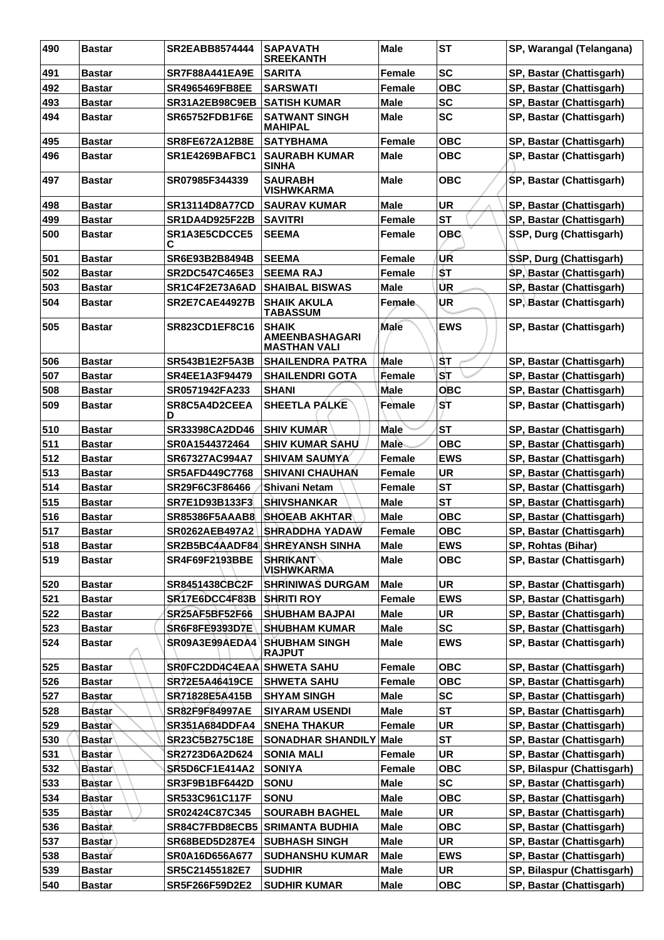| 490 | <b>Bastar</b> | SR2EABB8574444             | <b>SAPAVATH</b><br><b>SREEKANTH</b>                          | <b>Male</b>   | <b>ST</b>  | SP, Warangal (Telangana)   |
|-----|---------------|----------------------------|--------------------------------------------------------------|---------------|------------|----------------------------|
| 491 | <b>Bastar</b> | <b>SR7F88A441EA9E</b>      | <b>SARITA</b>                                                | <b>Female</b> | <b>SC</b>  | SP, Bastar (Chattisgarh)   |
| 492 | <b>Bastar</b> | <b>SR4965469FB8EE</b>      | <b>SARSWATI</b>                                              | <b>Female</b> | <b>OBC</b> | SP, Bastar (Chattisgarh)   |
| 493 | <b>Bastar</b> | SR31A2EB98C9EB             | <b>SATISH KUMAR</b>                                          | <b>Male</b>   | <b>SC</b>  | SP, Bastar (Chattisgarh)   |
| 494 | <b>Bastar</b> | <b>SR65752FDB1F6E</b>      | <b>SATWANT SINGH</b><br><b>MAHIPAL</b>                       | Male          | <b>SC</b>  | SP, Bastar (Chattisgarh)   |
| 495 | <b>Bastar</b> | <b>SR8FE672A12B8E</b>      | <b>SATYBHAMA</b>                                             | <b>Female</b> | <b>OBC</b> | SP, Bastar (Chattisgarh)   |
| 496 | <b>Bastar</b> | SR1E4269BAFBC1             | <b>SAURABH KUMAR</b><br><b>SINHA</b>                         | Male          | <b>OBC</b> | SP, Bastar (Chattisgarh)   |
| 497 | <b>Bastar</b> | SR07985F344339             | <b>SAURABH</b><br><b>VISHWKARMA</b>                          | Male          | <b>OBC</b> | SP, Bastar (Chattisgarh)   |
| 498 | <b>Bastar</b> | <b>SR13114D8A77CD</b>      | <b>SAURAV KUMAR</b>                                          | <b>Male</b>   | <b>UR</b>  | SP, Bastar (Chattisgarh)   |
| 499 | <b>Bastar</b> | <b>SR1DA4D925F22B</b>      | <b>SAVITRI</b>                                               | Female        | <b>ST</b>  | SP, Bastar (Chattisgarh)   |
| 500 | <b>Bastar</b> | SR1A3E5CDCCE5<br>С         | <b>SEEMA</b>                                                 | <b>Female</b> | овс        | SSP, Durg (Chattisgarh)    |
| 501 | <b>Bastar</b> | SR6E93B2B8494B             | <b>SEEMA</b>                                                 | Female        | UR         | SSP, Durg (Chattisgarh)    |
| 502 | <b>Bastar</b> | SR2DC547C465E3             | <b>SEEMA RAJ</b>                                             | Female        | <b>ST</b>  | SP, Bastar (Chattisgarh)   |
| 503 | <b>Bastar</b> | SR1C4F2E73A6AD             | <b>SHAIBAL BISWAS</b>                                        | <b>Male</b>   | UR         | SP, Bastar (Chattisgarh)   |
| 504 | <b>Bastar</b> | <b>SR2E7CAE44927B</b>      | <b>SHAIK AKULA</b><br><b>TABASSUM</b>                        | <b>Female</b> | UR         | SP, Bastar (Chattisgarh)   |
| 505 | <b>Bastar</b> | <b>SR823CD1EF8C16</b>      | <b>SHAIK</b><br><b>AMEENBASHAGARI</b><br><b>MASTHAN VALI</b> | Male          | <b>EWS</b> | SP, Bastar (Chattisgarh)   |
| 506 | <b>Bastar</b> | <b>SR543B1E2F5A3B</b>      | <b>SHAILENDRA PATRA</b>                                      | Male          | ŜT         | SP, Bastar (Chattisgarh)   |
| 507 | <b>Bastar</b> | <b>SR4EE1A3F94479</b>      | <b>SHAILENDRI GOTA</b>                                       | <b>Female</b> | <b>ST</b>  | SP, Bastar (Chattisgarh)   |
| 508 | <b>Bastar</b> | SR0571942FA233             | <b>SHANI</b>                                                 | Male          | <b>OBC</b> | SP, Bastar (Chattisgarh)   |
| 509 | <b>Bastar</b> | SR8C5A4D2CEEA<br>D         | <b>SHEETLA PALKE</b>                                         | Female        | <b>ST</b>  | SP, Bastar (Chattisgarh)   |
| 510 | <b>Bastar</b> | <b>SR33398CA2DD46</b>      | <b>SHIV KUMAR</b>                                            | Male          | <b>ST</b>  | SP, Bastar (Chattisgarh)   |
| 511 | <b>Bastar</b> | SR0A1544372464             | <b>SHIV KUMAR SAHU</b>                                       | <b>Male</b>   | овс        | SP, Bastar (Chattisgarh)   |
| 512 | <b>Bastar</b> | SR67327AC994A7             | <b>SHIVAM SAUMYA</b>                                         | <b>Female</b> | <b>EWS</b> | SP, Bastar (Chattisgarh)   |
| 513 | <b>Bastar</b> | <b>SR5AFD449C7768</b>      | <b>SHIVANI CHAUHAN</b>                                       | Female        | <b>UR</b>  | SP, Bastar (Chattisgarh)   |
| 514 | <b>Bastar</b> | SR29F6C3F86466             | Shivani Netam                                                | Female        | <b>ST</b>  | SP, Bastar (Chattisgarh)   |
| 515 | <b>Bastar</b> | SR7E1D93B133F3             | <b>SHIVSHANKAR</b>                                           | Male          | <b>ST</b>  | SP, Bastar (Chattisgarh)   |
| 516 | <b>Bastar</b> | <b>SR85386F5AAAB8</b>      | ISHOEAB AKHTAR                                               | Male          | овс        | SP, Bastar (Chattisgarh)   |
| 517 | <b>Bastar</b> | <b>SR0262AEB497A2</b>      | <b>SHRADDHA YADAW</b>                                        | <b>Female</b> | овс        | SP, Bastar (Chattisgarh)   |
| 518 | <b>Bastar</b> |                            | SR2B5BC4AADF84 SHREYANSH SINHA                               | Male          | EWS        | SP, Rohtas (Bihar)         |
| 519 | <b>Bastar</b> | <b>SR4F69F2193BBE</b>      | <b>SHRIKANT</b><br><b>VISHWKARMA</b>                         | <b>Male</b>   | <b>OBC</b> | SP, Bastar (Chattisgarh)   |
| 520 | <b>Bastar</b> | <b>SR8451438CBC2F</b>      | <b>SHRINIWAS DURGAM</b>                                      | <b>Male</b>   | <b>UR</b>  | SP, Bastar (Chattisgarh)   |
| 521 | <b>Bastar</b> | SR17E6DCC4F83B             | SHRITI ROY                                                   | <b>Female</b> | <b>EWS</b> | SP, Bastar (Chattisgarh)   |
| 522 | <b>Bastar</b> | <b>SR25AF5BF52F66</b>      | <b>SHUBHAM BAJPAI</b>                                        | <b>Male</b>   | <b>UR</b>  | SP, Bastar (Chattisgarh)   |
| 523 | <b>Bastar</b> | <b>SR6F8FE9393D7E</b>      | <b>SHUBHAM KUMAR</b>                                         | <b>Male</b>   | <b>SC</b>  | SP, Bastar (Chattisgarh)   |
| 524 | <b>Bastar</b> | SR09A3E99AEDA4             | <b>SHUBHAM SINGH</b><br>RAJPUT                               | Male          | <b>EWS</b> | SP, Bastar (Chattisgarh)   |
| 525 | <b>Bastar</b> | SR0FC2DD4C4EAA SHWETA SAHU |                                                              | Female        | овс        | SP, Bastar (Chattisgarh)   |
| 526 | <b>Bastar</b> | SR72E5A46419CE             | <b>SHWETA SAHU</b>                                           | Female        | <b>OBC</b> | SP, Bastar (Chattisgarh)   |
| 527 | <b>Bastar</b> | SR71828E5A415B             | <b>SHYAM SINGH</b>                                           | <b>Male</b>   | <b>SC</b>  | SP, Bastar (Chattisgarh)   |
| 528 | <b>Bastar</b> | <b>SR82F9F84997AE</b>      | <b>SIYARAM USENDI</b>                                        | <b>Male</b>   | <b>ST</b>  | SP, Bastar (Chattisgarh)   |
| 529 | <b>Bastar</b> | <b>SR351A684DDFA4</b>      | SNEHA THAKUR                                                 | <b>Female</b> | <b>UR</b>  | SP, Bastar (Chattisgarh)   |
| 530 | <b>Bastar</b> | SR23C5B275C18E             | <b>SONADHAR SHANDILY</b>                                     | <b>Male</b>   | <b>ST</b>  | SP, Bastar (Chattisgarh)   |
| 531 | Bastar        | SR2723D6A2D624             | <b>SONIA MALI</b>                                            | <b>Female</b> | <b>UR</b>  | SP, Bastar (Chattisgarh)   |
| 532 | <b>Bastar</b> | SR5D6CF1E414A2             | <b>SONIYA</b>                                                | Female        | <b>OBC</b> | SP, Bilaspur (Chattisgarh) |
| 533 | <b>Bastar</b> | SR3F9B1BF6442D             | <b>SONU</b>                                                  | <b>Male</b>   | <b>SC</b>  | SP, Bastar (Chattisgarh)   |
| 534 | <b>Bastar</b> | SR533C961C117F             | <b>SONU</b>                                                  | <b>Male</b>   | <b>OBC</b> | SP, Bastar (Chattisgarh)   |
| 535 | <b>Bastar</b> | SR02424C87C345             | <b>SOURABH BAGHEL</b>                                        | <b>Male</b>   | <b>UR</b>  | SP, Bastar (Chattisgarh)   |
| 536 | <b>Bastan</b> | SR84C7FBD8ECB5             | SRIMANTA BUDHIA                                              | <b>Male</b>   | <b>OBC</b> | SP, Bastar (Chattisgarh)   |
| 537 | <b>Bastar</b> | <b>SR68BED5D287E4</b>      | <b>SUBHASH SINGH</b>                                         | <b>Male</b>   | <b>UR</b>  | SP, Bastar (Chattisgarh)   |
| 538 | <b>Bastar</b> | SR0A16D656A677             | <b>SUDHANSHU KUMAR</b>                                       | Male          | <b>EWS</b> | SP, Bastar (Chattisgarh)   |
| 539 | <b>Bastar</b> | SR5C21455182E7             | <b>SUDHIR</b>                                                | <b>Male</b>   | <b>UR</b>  | SP, Bilaspur (Chattisgarh) |
| 540 | <b>Bastar</b> | SR5F266F59D2E2             | <b>SUDHIR KUMAR</b>                                          | Male          | <b>OBC</b> | SP, Bastar (Chattisgarh)   |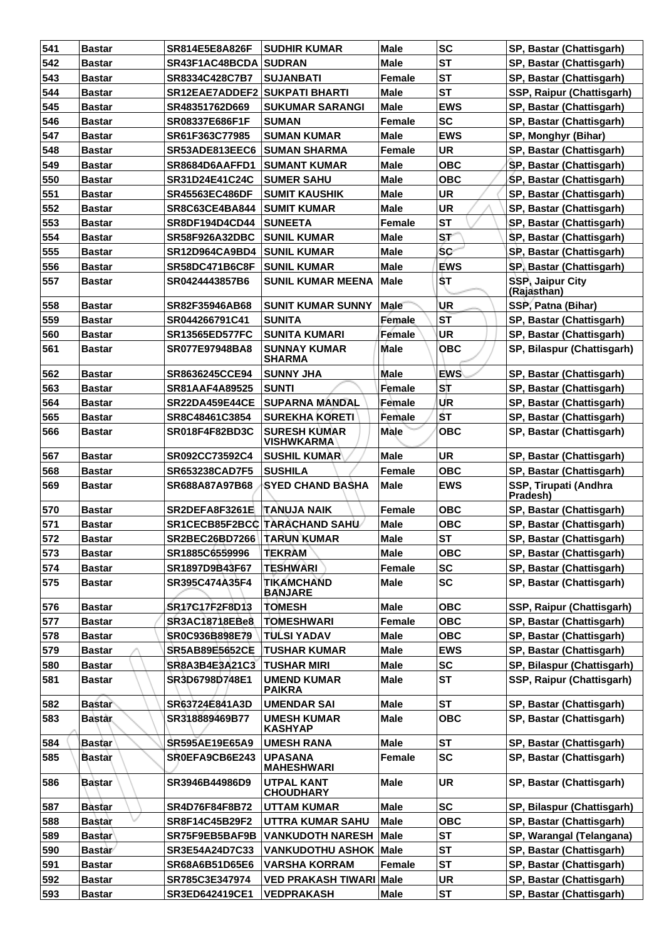| 541        | <b>Bastar</b>                  | SR814E5E8A826F                       | <b>SUDHIR KUMAR</b>                           | <b>Male</b> | <b>SC</b>              | SP, Bastar (Chattisgarh)          |
|------------|--------------------------------|--------------------------------------|-----------------------------------------------|-------------|------------------------|-----------------------------------|
| 542        | <b>Bastar</b>                  | SR43F1AC48BCDA SUDRAN                |                                               | <b>Male</b> | <b>ST</b>              | SP, Bastar (Chattisgarh)          |
| 543        | <b>Bastar</b>                  | SR8334C428C7B7                       | <b>SUJANBATI</b>                              | Female      | <b>ST</b>              | SP, Bastar (Chattisgarh)          |
| 544        | <b>Bastar</b>                  | <b>SR12EAE7ADDEF2 SUKPATI BHARTI</b> |                                               | <b>Male</b> | <b>ST</b>              | SSP, Raipur (Chattisgarh)         |
| 545        | <b>Bastar</b>                  | SR48351762D669                       | <b>SUKUMAR SARANGI</b>                        | Male        | <b>EWS</b>             | SP, Bastar (Chattisgarh)          |
| 546        | <b>Bastar</b>                  | SR08337E686F1F                       | <b>SUMAN</b>                                  | Female      | <b>SC</b>              | SP, Bastar (Chattisgarh)          |
| 547        | <b>Bastar</b>                  | SR61F363C77985                       | <b>SUMAN KUMAR</b>                            | <b>Male</b> | <b>EWS</b>             | SP, Monghyr (Bihar)               |
| 548        | <b>Bastar</b>                  | SR53ADE813EEC6                       | SUMAN SHARMA                                  | Female      | <b>UR</b>              | SP, Bastar (Chattisgarh)          |
| 549        | <b>Bastar</b>                  | SR8684D6AAFFD1                       | <b>SUMANT KUMAR</b>                           | Male        | <b>OBC</b>             | SP, Bastar (Chattisgarh)          |
| 550        | <b>Bastar</b>                  | SR31D24E41C24C                       | <b>SUMER SAHU</b>                             | Male        | <b>OBC</b>             | SP, Bastar (Chattisgarh)          |
| 551        | <b>Bastar</b>                  | <b>SR45563EC486DF</b>                | <b>SUMIT KAUSHIK</b>                          | <b>Male</b> | <b>UR</b>              | SP, Bastar (Chattisgarh)          |
| 552        | <b>Bastar</b>                  | <b>SR8C63CE4BA844</b>                | <b>SUMIT KUMAR</b>                            | <b>Male</b> | <b>UR</b>              | SP, Bastar (Chattisgarh)          |
| 553        | <b>Bastar</b>                  | <b>SR8DF194D4CD44</b>                | <b>SUNEETA</b>                                | Female      | <b>ST</b>              | SP, Bastar (Chattisgarh)          |
| 554        | <b>Bastar</b>                  | <b>SR58F926A32DBC</b>                | <b>SUNIL KUMAR</b>                            | Male        | $S_{\mathcal{F}}$      | SP, Bastar (Chattisgarh)          |
| 555        | <b>Bastar</b>                  | <b>SR12D964CA9BD4</b>                | <b>SUNIL KUMAR</b>                            | <b>Male</b> | <b>SC</b>              | SP, Bastar (Chattisgarh)          |
| 556        | <b>Bastar</b>                  | <b>SR58DC471B6C8F</b>                | <b>SUNIL KUMAR</b>                            | <b>Male</b> | <b>EWS</b>             | SP, Bastar (Chattisgarh)          |
| 557        | <b>Bastar</b>                  | SR0424443857B6                       | <b>SUNIL KUMAR MEENA</b>                      | Male        | \$T                    | SSP, Jaipur City                  |
|            |                                |                                      |                                               |             |                        | (Rajasthan)                       |
| 558        | <b>Bastar</b>                  | SR82F35946AB68                       | <b>SUNIT KUMAR SUNNY</b>                      | <b>Male</b> | UR                     | SSP, Patna (Bihar)                |
| 559        | <b>Bastar</b>                  | SR044266791C41                       | <b>SUNITA</b>                                 | Female      | <b>ST</b>              | SP, Bastar (Chattisgarh)          |
| 560        | <b>Bastar</b>                  | <b>SR13565ED577FC</b>                | <b>SUNITA KUMARI</b>                          | Female      | <b>UR</b>              | SP, Bastar (Chattisgarh)          |
| 561        | <b>Bastar</b>                  | <b>SR077E97948BA8</b>                | <b>SUNNAY KUMAR</b><br><b>SHARMA</b>          | Male        | <b>OBC</b>             | SP, Bilaspur (Chattisgarh)        |
| 562        | <b>Bastar</b>                  | SR8636245CCE94                       | <b>SUNNY JHA</b>                              | <b>Male</b> | <b>EWS</b>             | SP, Bastar (Chattisgarh)          |
| 563        | <b>Bastar</b>                  | <b>SR81AAF4A89525</b>                | <b>SUNTI</b>                                  | Female      | ST                     | SP, Bastar (Chattisgarh)          |
| 564        | <b>Bastar</b>                  | <b>SR22DA459E44CE</b>                | <b>SUPARNA MANDAL</b>                         | Female      | <b>UR</b>              | SP, Bastar (Chattisgarh)          |
| 565        | <b>Bastar</b>                  | SR8C48461C3854                       | <b>SUREKHA KORETI</b>                         | Female      | <b>ST</b>              | SP, Bastar (Chattisgarh)          |
| 566        | <b>Bastar</b>                  | SR018F4F82BD3C                       | <b>SURESH KUMAR</b><br><b>VISHWKARMA</b>      | Male        | <b>OBC</b>             | SP, Bastar (Chattisgarh)          |
| 567        | <b>Bastar</b>                  | SR092CC73592C4                       | <b>SUSHIL KUMAR</b>                           | Male        | <b>UR</b>              | SP, Bastar (Chattisgarh)          |
| 568        | <b>Bastar</b>                  | <b>SR653238CAD7F5</b>                | <b>SUSHILA</b>                                | Female      | <b>OBC</b>             | SP, Bastar (Chattisgarh)          |
| 569        | <b>Bastar</b>                  | SR688A87A97B68                       | <b>SYED CHAND BASHA</b>                       | Male        | <b>EWS</b>             | SSP, Tirupati (Andhra<br>Pradesh) |
| 570        | <b>Bastar</b>                  | SR2DEFA8F3261E                       | <b>ITANUJA NAIK</b>                           | Female      | <b>OBC</b>             | SP, Bastar (Chattisgarh)          |
| 571        | <b>Bastar</b>                  |                                      | SR1CECB85F2BCC TARACHAND SAHU                 | <b>Male</b> | <b>OBC</b>             | SP, Bastar (Chattisgarh)          |
| 572        | <b>Bastar</b>                  | SR2BEC26BD7266   TARUN KUMAR         |                                               | <b>Male</b> | <b>ST</b>              | SP, Bastar (Chattisgarh)          |
| 573        | <b>Bastar</b>                  | SR1885C6559996                       | <b>TEKRAM</b>                                 | <b>Male</b> | <b>OBC</b>             | SP, Bastar (Chattisgarh)          |
| 574        | <b>Bastar</b>                  | SR1897D9B43F67                       | <b>TESHWARI</b>                               | Female      | <b>SC</b>              | SP, Bastar (Chattisgarh)          |
| 575        | <b>Bastar</b>                  | SR395C474A35F4                       | <b>TIKAMCHAND</b><br><b>BANJARE</b>           | Male        | <b>SC</b>              | SP, Bastar (Chattisgarh)          |
| 576        | <b>Bastar</b>                  | SR17C17F2F8D13                       | <b>TOMESH</b>                                 | <b>Male</b> | <b>OBC</b>             | SSP, Raipur (Chattisgarh)         |
| 577        | <b>Bastar</b>                  | <b>SR3AC18718EBe8</b>                | <b>TOMESHWARI</b>                             | Female      | <b>OBC</b>             | SP, Bastar (Chattisgarh)          |
| 578        | <b>Bastar</b>                  | SR0C936B898E79                       | TULSI YADAV                                   | Male        | <b>OBC</b>             | SP, Bastar (Chattisgarh)          |
| 579        | <b>Bastar</b>                  | <b>SR5AB89E5652CE</b>                | <b>TUSHAR KUMAR</b>                           | Male        | <b>EWS</b>             | SP, Bastar (Chattisgarh)          |
| 580        | <b>Bastar</b>                  | SR8A3B4E3A21C3                       | <b>TUSHAR MIRI</b>                            | <b>Male</b> | <b>SC</b>              | SP, Bilaspur (Chattisgarh)        |
| 581        | Bastar                         | SR3D6798D748E1                       | <b>UMEND KUMAR</b><br><b>PAIKRA</b>           | <b>Male</b> | <b>ST</b>              | SSP, Raipur (Chattisgarh)         |
| 582        | <b>Bastar</b>                  | SR63724E841A3D                       | <b>UMENDAR SAI</b>                            | <b>Male</b> | <b>ST</b>              | SP, Bastar (Chattisgarh)          |
| 583        | <b>Bastar</b>                  | SR318889469B77                       | <b>UMESH KUMAR</b><br><b>KASHYAP</b>          | <b>Male</b> | <b>OBC</b>             | SP, Bastar (Chattisgarh)          |
| 584        | <b>Bastar</b>                  | SR595AE19E65A9                       | <b>UMESH RANA</b>                             | <b>Male</b> | <b>ST</b>              | SP, Bastar (Chattisgarh)          |
| 585        | Bastar                         | SR0EFA9CB6E243                       | <b>UPASANA</b>                                | Female      | <b>SC</b>              | SP, Bastar (Chattisgarh)          |
| 586        | <b>Bastar</b>                  | SR3946B44986D9                       | <b>MAHESHWARI</b><br><b>UTPAL KANT</b>        | <b>Male</b> | <b>UR</b>              | SP, Bastar (Chattisgarh)          |
|            | <b>Bastar</b>                  | SR4D76F84F8B72                       | <b>CHOUDHARY</b>                              | <b>Male</b> | <b>SC</b>              | SP, Bilaspur (Chattisgarh)        |
| 587<br>588 | <b>Bastar</b>                  | SR8F14C45B29F2                       | <b>UTTAM KUMAR</b><br><b>UTTRA KUMAR SAHU</b> | <b>Male</b> | <b>OBC</b>             | SP, Bastar (Chattisgarh)          |
| 589        |                                |                                      |                                               |             | <b>ST</b>              |                                   |
|            | <b>Bastar</b>                  | SR75F9EB5BAF9B                       | <b>VANKUDOTH NARESH</b>                       | Male        |                        | SP, Warangal (Telangana)          |
| 590<br>591 | <b>Bastar</b><br><b>Bastar</b> | SR3E54A24D7C33                       | <b>VANKUDOTHU ASHOK Male</b>                  | Female      | <b>ST</b><br><b>ST</b> | SP, Bastar (Chattisgarh)          |
|            |                                | SR68A6B51D65E6                       | <b>VARSHA KORRAM</b>                          |             |                        | SP, Bastar (Chattisgarh)          |
| 592        | <b>Bastar</b>                  | SR785C3E347974                       | <b>VED PRAKASH TIWARI Male</b>                |             | <b>UR</b>              | SP, Bastar (Chattisgarh)          |
| 593        | <b>Bastar</b>                  | SR3ED642419CE1                       | <b>VEDPRAKASH</b>                             | Male        | <b>ST</b>              | SP, Bastar (Chattisgarh)          |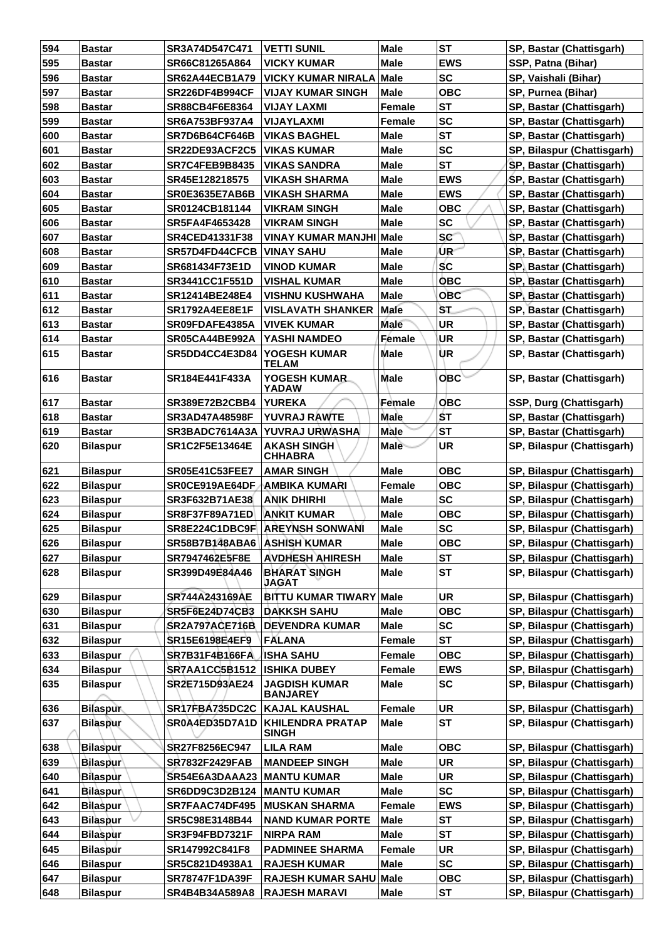| 594 | <b>Bastar</b>   | SR3A74D547C471               | <b>VETTI SUNIL</b>                      | <b>Male</b> | <b>ST</b>  | SP, Bastar (Chattisgarh)   |
|-----|-----------------|------------------------------|-----------------------------------------|-------------|------------|----------------------------|
| 595 | <b>Bastar</b>   | SR66C81265A864               | <b>VICKY KUMAR</b>                      | <b>Male</b> | <b>EWS</b> | SSP, Patna (Bihar)         |
| 596 | <b>Bastar</b>   | <b>SR62A44ECB1A79</b>        | <b>VICKY KUMAR NIRALA</b>               | Male        | <b>SC</b>  | SP, Vaishali (Bihar)       |
| 597 | <b>Bastar</b>   | <b>SR226DF4B994CF</b>        | <b>VIJAY KUMAR SINGH</b>                | <b>Male</b> | <b>OBC</b> | SP, Purnea (Bihar)         |
| 598 | <b>Bastar</b>   | SR88CB4F6E8364               | <b>VIJAY LAXMI</b>                      | Female      | <b>ST</b>  | SP, Bastar (Chattisgarh)   |
| 599 | <b>Bastar</b>   | SR6A753BF937A4               | <b>VIJAYLAXMI</b>                       | Female      | <b>SC</b>  | SP, Bastar (Chattisgarh)   |
| 600 | <b>Bastar</b>   | SR7D6B64CF646B               | <b>VIKAS BAGHEL</b>                     | <b>Male</b> | <b>ST</b>  | SP, Bastar (Chattisgarh)   |
| 601 | <b>Bastar</b>   | SR22DE93ACF2C5               | <b>VIKAS KUMAR</b>                      | <b>Male</b> | <b>SC</b>  | SP, Bilaspur (Chattisgarh) |
| 602 | <b>Bastar</b>   | <b>SR7C4FEB9B8435</b>        | <b>VIKAS SANDRA</b>                     | <b>Male</b> | <b>ST</b>  | SP, Bastar (Chattisgarh)   |
| 603 | <b>Bastar</b>   | SR45E128218575               | <b>VIKASH SHARMA</b>                    | <b>Male</b> | <b>EWS</b> | SP, Bastar (Chattisgarh)   |
| 604 | <b>Bastar</b>   | SR0E3635E7AB6B               | <b>VIKASH SHARMA</b>                    | Male        | <b>EWS</b> | SP, Bastar (Chattisgarh)   |
| 605 | <b>Bastar</b>   | SR0124CB181144               | <b>VIKRAM SINGH</b>                     | <b>Male</b> | <b>OBC</b> | SP, Bastar (Chattisgarh)   |
| 606 | <b>Bastar</b>   | SR5FA4F4653428               | <b>VIKRAM SINGH</b>                     | <b>Male</b> | <b>SC</b>  | SP, Bastar (Chattisgarh)   |
| 607 | <b>Bastar</b>   | <b>SR4CED41331F38</b>        | <b>VINAY KUMAR MANJHI Male</b>          |             | <b>SC</b>  | SP, Bastar (Chattisgarh)   |
| 608 | <b>Bastar</b>   | <b>SR57D4FD44CFCB</b>        | <b>VINAY SAHU</b>                       | <b>Male</b> | ∕UR        | SP, Bastar (Chattisgarh)   |
| 609 | <b>Bastar</b>   | SR681434F73E1D               | <b>VINOD KUMAR</b>                      | <b>Male</b> | <b>SC</b>  | SP, Bastar (Chattisgarh)   |
| 610 | <b>Bastar</b>   | <b>SR3441CC1F551D</b>        | <b>VISHAL KUMAR</b>                     | Male        | <b>OBC</b> | SP, Bastar (Chattisgarh)   |
| 611 | <b>Bastar</b>   | SR12414BE248E4               | <b>VISHNU KUSHWAHA</b>                  | <b>Male</b> | <b>OBC</b> | SP, Bastar (Chattisgarh)   |
| 612 | <b>Bastar</b>   | SR1792A4EE8E1F               | <b>VISLAVATH SHANKER</b>                | Male        | ST.        | SP, Bastar (Chattisgarh)   |
| 613 | <b>Bastar</b>   | SR09FDAFE4385A               | <b>VIVEK KUMAR</b>                      | <b>Male</b> | <b>UR</b>  | SP, Bastar (Chattisgarh)   |
| 614 | <b>Bastar</b>   | SR05CA44BE992A               | YASHI NAMDEO                            | Female      | UR         | SP, Bastar (Chattisgarh)   |
| 615 |                 | SR5DD4CC4E3D84               | <b>YOGESH KUMAR</b>                     | Male        | UR         |                            |
|     | <b>Bastar</b>   |                              | TELAM                                   |             |            | SP, Bastar (Chattisgarh)   |
| 616 | <b>Bastar</b>   | SR184E441F433A               | YOGESH KUMAR<br>YADAW                   | <b>Male</b> | <b>OBC</b> | SP, Bastar (Chattisgarh)   |
| 617 | <b>Bastar</b>   | SR389E72B2CBB4               | <b>YUREKA</b>                           | Female      | <b>OBC</b> | SSP, Durg (Chattisgarh)    |
| 618 | <b>Bastar</b>   | <b>SR3AD47A48598F</b>        | <b>YUVRAJ RAWTE</b>                     | Male        | ŚТ         | SP, Bastar (Chattisgarh)   |
| 619 | <b>Bastar</b>   | SR3BADC7614A3A               | YUVRAJ URWASHA                          | Male        | <b>ST</b>  | SP, Bastar (Chattisgarh)   |
| 620 | <b>Bilaspur</b> | SR1C2F5E13464E               | <b>AKASH SINGH</b><br><b>CHHABRA</b>    | <b>Male</b> | <b>UR</b>  | SP, Bilaspur (Chattisgarh) |
| 621 | <b>Bilaspur</b> | <b>SR05E41C53FEE7</b>        | <b>AMAR SINGH</b>                       | <b>Male</b> | <b>OBC</b> | SP, Bilaspur (Chattisgarh) |
| 622 | <b>Bilaspur</b> | SR0CE919AE64DF               | <b>AMBIKA KUMARI</b>                    | Female      | <b>OBC</b> | SP, Bilaspur (Chattisgarh) |
| 623 | <b>Bilaspur</b> | SR3F632B71AE38               | <b>ANIK DHIRHI</b>                      | <b>Male</b> | <b>SC</b>  | SP, Bilaspur (Chattisgarh) |
| 624 | <b>Bilaspur</b> | <b>SR8F37F89A71ED</b>        | <b>ANKIT KUMAR</b>                      | <b>Male</b> | <b>OBC</b> | SP, Bilaspur (Chattisgarh) |
| 625 | <b>Bilaspur</b> |                              | SR8E224C1DBC9F AREYNSH SONWANI          | Male        | <b>SC</b>  | SP, Bilaspur (Chattisgarh) |
| 626 | <b>Bilaspur</b> | SR58B7B148ABA6 ASHISH KUMAR  |                                         | <b>Male</b> | <b>OBC</b> | SP, Bilaspur (Chattisgarh) |
| 627 | <b>Bilaspur</b> | SR7947462E5F8E               | <b>AVDHESH AHIRESH</b>                  | <b>Male</b> | <b>ST</b>  | SP, Bilaspur (Chattisgarh) |
| 628 | <b>Bilaspur</b> | SR399D49E84A46               | <b>BHARAT SINGH</b><br><b>JAGAT</b>     | Male        | <b>ST</b>  | SP, Bilaspur (Chattisgarh) |
| 629 | <b>Bilaspur</b> | SR744A243169AE               | <b>BITTU KUMAR TIWARY Male</b>          |             | <b>UR</b>  | SP, Bilaspur (Chattisgarh) |
| 630 | <b>Bilaspur</b> | <b>SR5F6E24D74CB3</b>        | <b>DAKKSH SAHU</b>                      | Male        | <b>OBC</b> | SP, Bilaspur (Chattisgarh) |
| 631 | <b>Bilaspur</b> | <b>SR2A797ACE716B</b>        | <b>DEVENDRA KUMAR</b>                   | Male        | <b>SC</b>  | SP, Bilaspur (Chattisgarh) |
| 632 | <b>Bilaspur</b> | <b>SR15E6198E4EF9</b>        | FALANA                                  | Female      | <b>ST</b>  | SP, Bilaspur (Chattisgarh) |
| 633 | <b>Bilaspur</b> | SR7B31F4B166FA               | <b>ISHA SAHU</b>                        | Female      | <b>OBC</b> | SP, Bilaspur (Chattisgarh) |
| 634 | <b>Bilaspur</b> | <b>SR7AA1CC5B1512</b>        | <b>ISHIKA DUBEY</b>                     | Female      | <b>EWS</b> | SP, Bilaspur (Chattisgarh) |
| 635 | <b>Bilaspur</b> | SR2E715D93AE24               | <b>JAGDISH KUMAR</b><br><b>BANJAREY</b> | Male        | <b>SC</b>  | SP, Bilaspur (Chattisgarh) |
| 636 | <b>Bilaspur</b> | SR17FBA735DC2C KAJAL KAUSHAL |                                         | Female      | <b>UR</b>  | SP, Bilaspur (Chattisgarh) |
| 637 | <b>Bilaspur</b> | SR0A4ED35D7A1D               | <b>KHILENDRA PRATAP</b><br><b>SINGH</b> | <b>Male</b> | <b>ST</b>  | SP, Bilaspur (Chattisgarh) |
| 638 | Bilaspur        | SR27F8256EC947               | <b>LILA RAM</b>                         | <b>Male</b> | <b>OBC</b> | SP, Bilaspur (Chattisgarh) |
| 639 | Bilaspur∖       | <b>SR7832F2429FAB</b>        | <b>MANDEEP SINGH</b>                    | <b>Male</b> | <b>UR</b>  | SP, Bilaspur (Chattisgarh) |
| 640 | Bilaspur        | SR54E6A3DAAA23               | <b>MANTU KUMAR</b>                      | <b>Male</b> | UR         | SP, Bilaspur (Chattisgarh) |
| 641 | <b>Bilaspur</b> | SR6DD9C3D2B124               | <b>MANTU KUMAR</b>                      | <b>Male</b> | <b>SC</b>  | SP, Bilaspur (Chattisgarh) |
| 642 | <b>Bilaspur</b> | SR7FAAC74DF495               | <b>MUSKAN SHARMA</b>                    | Female      | <b>EWS</b> | SP, Bilaspur (Chattisgarh) |
| 643 | <b>Bilaspur</b> | SR5C98E3148B44               | <b>NAND KUMAR PORTE</b>                 | Male        | <b>ST</b>  | SP, Bilaspur (Chattisgarh) |
| 644 | <b>Bilaspur</b> | SR3F94FBD7321F               | <b>NIRPA RAM</b>                        | <b>Male</b> | <b>ST</b>  | SP, Bilaspur (Chattisgarh) |
| 645 | <b>Bilaspur</b> | SR147992C841F8               | <b>PADMINEE SHARMA</b>                  | Female      | <b>UR</b>  | SP, Bilaspur (Chattisgarh) |
| 646 | <b>Bilaspur</b> | SR5C821D4938A1               | <b>RAJESH KUMAR</b>                     | Male        | <b>SC</b>  | SP, Bilaspur (Chattisgarh) |
| 647 | <b>Bilaspur</b> | <b>SR78747F1DA39F</b>        | <b>RAJESH KUMAR SAHU</b>                | Male        | <b>OBC</b> | SP, Bilaspur (Chattisgarh) |
| 648 | <b>Bilaspur</b> | SR4B4B34A589A8               | <b>RAJESH MARAVI</b>                    | Male        | <b>ST</b>  | SP, Bilaspur (Chattisgarh) |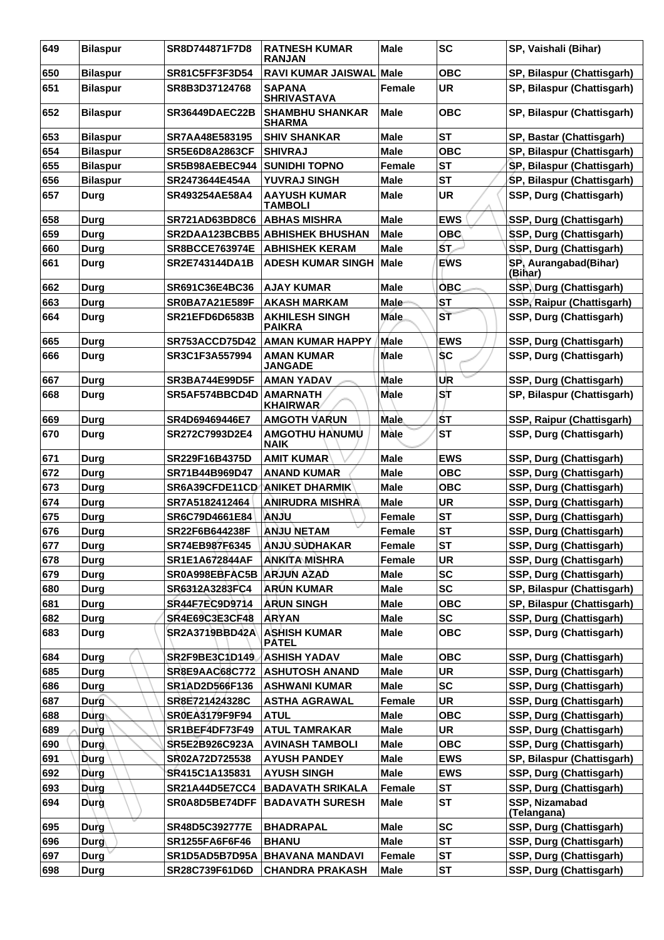| 649        | <b>Bilaspur</b> | SR8D744871F7D8                          | <b>RATNESH KUMAR</b><br><b>RANJAN</b>         | <b>Male</b>           | <b>SC</b>                | SP, Vaishali (Bihar)                               |
|------------|-----------------|-----------------------------------------|-----------------------------------------------|-----------------------|--------------------------|----------------------------------------------------|
| 650        | <b>Bilaspur</b> | <b>SR81C5FF3F3D54</b>                   | <b>RAVI KUMAR JAISWAL</b>                     | <b>Male</b>           | <b>OBC</b>               | SP, Bilaspur (Chattisgarh)                         |
| 651        | <b>Bilaspur</b> | SR8B3D37124768                          | <b>SAPANA</b><br><b>SHRIVASTAVA</b>           | Female                | <b>UR</b>                | SP, Bilaspur (Chattisgarh)                         |
| 652        | <b>Bilaspur</b> | <b>SR36449DAEC22B</b>                   | <b>SHAMBHU SHANKAR</b><br><b>SHARMA</b>       | <b>Male</b>           | <b>OBC</b>               | SP, Bilaspur (Chattisgarh)                         |
| 653        | <b>Bilaspur</b> | SR7AA48E583195                          | <b>SHIV SHANKAR</b>                           | <b>Male</b>           | <b>ST</b>                | SP, Bastar (Chattisgarh)                           |
| 654        | <b>Bilaspur</b> | <b>SR5E6D8A2863CF</b>                   | <b>SHIVRAJ</b>                                | <b>Male</b>           | <b>OBC</b>               | SP, Bilaspur (Chattisgarh)                         |
| 655        | <b>Bilaspur</b> | SR5B98AEBEC944                          | <b>SUNIDHI TOPNO</b>                          | <b>Female</b>         | <b>ST</b>                | SP, Bilaspur (Chattisgarh)                         |
| 656        | <b>Bilaspur</b> | SR2473644E454A                          | <b>YUVRAJ SINGH</b>                           | <b>Male</b>           | <b>ST</b>                | SP, Bilaspur (Chattisgarh)                         |
| 657        | Durg            | SR493254AE58A4                          | <b>AAYUSH KUMAR</b><br><b>TAMBOLI</b>         | Male                  | UR                       | SSP, Durg (Chattisgarh)                            |
| 658        | <b>Durg</b>     | <b>SR721AD63BD8C6</b>                   | <b>ABHAS MISHRA</b>                           | <b>Male</b>           | <b>EWS</b>               | SSP, Durg (Chattisgarh)                            |
| 659        | Durg            |                                         | SR2DAA123BCBB5 ABHISHEK BHUSHAN               | <b>Male</b>           | <b>OBC</b>               | SSP, Durg (Chattisgarh)                            |
| 660        | <b>Durg</b>     | <b>SR8BCCE763974E</b>                   | <b>ABHISHEK KERAM</b>                         | Male                  | ŚΤ.                      | SSP, Durg (Chattisgarh)                            |
| 661        | Durg            | SR2E743144DA1B                          | <b>ADESH KUMAR SINGH</b>                      | Male                  | <b>EWS</b>               | SP, Aurangabad(Bihar)<br>(Bihar)                   |
| 662        | Durg            | SR691C36E4BC36                          | <b>AJAY KUMAR</b>                             | <b>Male</b>           | <b>OBC</b>               | SSP, Durg (Chattisgarh)                            |
| 663        | <b>Durg</b>     | <b>SR0BA7A21E589F</b>                   | <b>AKASH MARKAM</b>                           | <b>Male</b>           | <b>ST</b>                | SSP, Raipur (Chattisgarh)                          |
| 664        | Durg            | <b>SR21EFD6D6583B</b>                   | <b>AKHILESH SINGH</b><br><b>PAIKRA</b>        | <b>Male</b>           | <b>ST</b>                | SSP, Durg (Chattisgarh)                            |
| 665        | Durg            | SR753ACCD75D42                          | <b>AMAN KUMAR HAPPY</b>                       | Male                  | <b>EWS</b>               | SSP, Durg (Chattisgarh)                            |
| 666        | Durg            | SR3C1F3A557994                          | <b>AMAN KUMAR</b><br><b>JANGADE</b>           | Male                  | <b>SC</b>                | SSP, Durg (Chattisgarh)                            |
| 667        | Durg            | <b>SR3BA744E99D5F</b>                   | <b>AMAN YADAV</b>                             | <b>Male</b>           | UR                       | SSP, Durg (Chattisgarh)                            |
| 668        | Durg            | SR5AF574BBCD4D                          | <b>AMARNATH</b><br><b>KHAIRWAR</b>            | <b>Male</b>           | ST                       | SP, Bilaspur (Chattisgarh)                         |
| 669        | Durg            | SR4D69469446E7                          | <b>AMGOTH VARUN</b>                           | <b>Male</b>           | ŚΤ                       | SSP, Raipur (Chattisgarh)                          |
| 670        | Durg            | SR272C7993D2E4                          | AMGOTHU HANUMU<br><b>NAIK</b>                 | Màle                  | <b>ST</b>                | SSP, Durg (Chattisgarh)                            |
| 671        | Durg            | <b>SR229F16B4375D</b>                   | <b>AMIT KUMAR</b>                             | Male                  | <b>EWS</b>               | SSP, Durg (Chattisgarh)                            |
| 672        | <b>Durg</b>     | SR71B44B969D47                          | <b>ANAND KUMAR</b>                            | <b>Male</b>           | <b>OBC</b>               | SSP, Durg (Chattisgarh)                            |
| 673        | Durg            | SR6A39CFDE11CD                          | <b>ANIKET DHARMIK</b>                         | <b>Male</b>           | <b>OBC</b>               | SSP, Durg (Chattisgarh)                            |
| 674        | Durg            | SR7A5182412464                          | <b>ANIRUDRA MISHRA</b>                        | <b>Male</b>           | <b>UR</b>                | SSP, Durg (Chattisgarh)                            |
| 675        | <b>Durg</b>     | SR6C79D4661E84                          | <b>ULIAN</b>                                  | <b>Female</b>         | <b>ST</b>                | SSP, Durg (Chattisgarh)                            |
| 676        | Durg            | SR22F6B644238F                          | <b>ANJU NETAM</b>                             | <b>Female</b>         | <b>ST</b>                | SSP, Durg (Chattisgarh)                            |
| 677        | Durg            | SR74EB987F6345                          | <b>ANJU SUDHAKAR</b>                          | Female                | <b>ST</b>                | SSP, Durg (Chattisgarh)                            |
| 678        | Durg            | SR1E1A672844AF                          | <b>ANKITA MISHRA</b>                          | Female                | <b>UR</b>                | SSP, Durg (Chattisgarh)                            |
| 679        | <b>Durg</b>     | SR0A998EBFAC5B                          | <b>ARJUN AZAD</b>                             | <b>Male</b>           | <b>SC</b>                | SSP, Durg (Chattisgarh)                            |
| 680        | <b>Durg</b>     | SR6312A3283FC4                          | <b>ARUN KUMAR</b>                             | <b>Male</b>           | <b>SC</b>                | SP, Bilaspur (Chattisgarh)                         |
| 681        | <b>Durg</b>     | SR44F7EC9D9714                          | <b>ARUN SINGH</b>                             | <b>Male</b>           | <b>OBC</b>               | SP, Bilaspur (Chattisgarh)                         |
| 682        | Durg            | <b>SR4E69C3E3CF48</b>                   | <b>ARYAN</b>                                  | <b>Male</b>           | <b>SC</b>                | SSP, Durg (Chattisgarh)                            |
| 683        | Durg            | SR2A3719BBD42A                          | <b>ASHISH KUMAR</b><br><b>PATEL</b>           | <b>Male</b>           | <b>OBC</b>               | SSP, Durg (Chattisgarh)                            |
| 684        | <b>Durg</b>     | SR2F9BE3C1D149                          | <b>ASHISH YADAV</b>                           | <b>Male</b>           | <b>OBC</b>               | SSP, Durg (Chattisgarh)                            |
| 685        | Durg            | <b>SR8E9AAC68C772</b>                   | <b>ASHUTOSH ANAND</b>                         | <b>Male</b>           | <b>UR</b>                | SSP, Durg (Chattisgarh)                            |
| 686        | Durg            | SR1AD2D566F136                          | <b>ASHWANI KUMAR</b>                          | <b>Male</b>           | <b>SC</b>                | SSP, Durg (Chattisgarh)                            |
| 687        | Durg            | SR8E721424328C                          | <b>ASTHA AGRAWAL</b>                          | Female                | <b>UR</b>                | SSP, Durg (Chattisgarh)                            |
| 688        | Durg            | SR0EA3179F9F94                          | <b>ATUL</b>                                   | <b>Male</b>           | <b>OBC</b>               | SSP, Durg (Chattisgarh)                            |
| 689        | Durg            | SR1BEF4DF73F49                          | <b>ATUL TAMRAKAR</b>                          | <b>Male</b>           | <b>UR</b>                | SSP, Durg (Chattisgarh)                            |
| 690        | Durg            | SR5E2B926C923A                          | <b>AVINASH TAMBOLI</b>                        | <b>Male</b>           | <b>OBC</b>               | SSP, Durg (Chattisgarh)                            |
| 691        | Durg            | SR02A72D725538                          | <b>AYUSH PANDEY</b>                           | <b>Male</b>           | <b>EWS</b><br><b>EWS</b> | SP, Bilaspur (Chattisgarh)                         |
| 692<br>693 | Dùrg<br>Durg    | SR415C1A135831<br><b>SR21A44D5E7CC4</b> | <b>AYUSH SINGH</b><br><b>BADAVATH SRIKALA</b> | <b>Male</b><br>Female | <b>ST</b>                | SSP, Durg (Chattisgarh)<br>SSP, Durg (Chattisgarh) |
| 694        | Durg            | SR0A8D5BE74DFF                          | <b>BADAVATH SURESH</b>                        | <b>Male</b>           | <b>ST</b>                | SSP, Nizamabad                                     |
|            |                 |                                         |                                               |                       |                          | (Telangana)                                        |
| 695        | Durg            | SR48D5C392777E                          | <b>BHADRAPAL</b>                              | <b>Male</b>           | <b>SC</b>                | SSP, Durg (Chattisgarh)                            |
| 696        | Durg            | SR1255FA6F6F46                          | <b>BHANU</b>                                  | <b>Male</b>           | <b>ST</b>                | SSP, Durg (Chattisgarh)                            |
| 697        | Durg            | SR1D5AD5B7D95A                          | <b>BHAVANA MANDAVI</b>                        | Female                | <b>ST</b>                | SSP, Durg (Chattisgarh)                            |
| 698        | <b>Durg</b>     | SR28C739F61D6D                          | <b>CHANDRA PRAKASH</b>                        | Male                  | <b>ST</b>                | SSP, Durg (Chattisgarh)                            |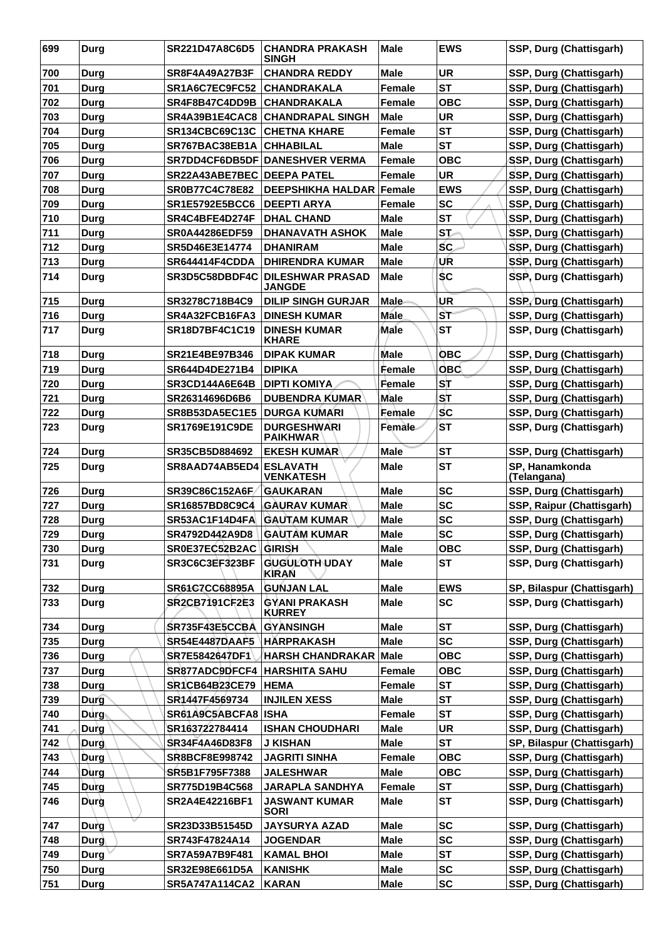| <b>CHANDRA REDDY</b><br><b>UR</b><br>SSP, Durg (Chattisgarh)<br>700<br><b>SR8F4A49A27B3F</b><br>Male<br>Durg<br><b>ST</b><br>701<br>SSP, Durg (Chattisgarh)<br>Durg<br>SR1A6C7EC9FC52<br><b> CHANDRAKALA</b><br><b>Female</b><br>702<br>SR4F8B47C4DD9B<br><b>CHANDRAKALA</b><br><b>Female</b><br><b>OBC</b><br>SSP, Durg (Chattisgarh)<br>Durg<br><b>UR</b><br>703<br><b>CHANDRAPAL SINGH</b><br>SSP, Durg (Chattisgarh)<br>Durg<br>SR4A39B1E4CAC8<br>Male<br><b>ST</b><br>SSP, Durg (Chattisgarh)<br>704<br><b>SR134CBC69C13C</b><br><b>CHETNA KHARE</b><br><b>Female</b><br><b>Durg</b><br><b>ST</b><br>SSP, Durg (Chattisgarh)<br>705<br>SR767BAC38EB1A<br><b>CHHABILAL</b><br><b>Male</b><br><b>Durg</b><br>706<br>SR7DD4CF6DB5DF DANESHVER VERMA<br><b>Female</b><br><b>OBC</b><br>SSP, Durg (Chattisgarh)<br>Durg<br><b>UR</b><br>SSP, Durg (Chattisgarh)<br>707<br><b>Female</b><br><b>SR22A43ABE7BEC DEEPA PATEL</b><br>Durg<br>708<br>SR0B77C4C78E82<br><b>DEEPSHIKHA HALDAR Female</b><br><b>EWS</b><br>SSP, Durg (Chattisgarh)<br>Durg<br><b>SC</b><br>709<br><b>SR1E5792E5BCC6</b><br><b>DEEPTI ARYA</b><br>SSP, Durg (Chattisgarh)<br><b>Female</b><br>Durg<br><b>ST</b><br>710<br>SR4C4BFE4D274F<br><b>DHAL CHAND</b><br><b>Male</b><br>SSP, Durg (Chattisgarh)<br>Durg<br>711<br><b>Male</b><br><b>ST</b><br>SSP, Durg (Chattisgarh)<br>Durg<br><b>SR0A44286EDF59</b><br><b>DHANAVATH ASHOK</b><br>SC.<br>712<br>Durg<br><b>DHANIRAM</b><br><b>Male</b><br>SSP, Durg (Chattisgarh)<br>SR5D46E3E14774<br>UR<br>713<br>SR644414F4CDDA<br><b>DHIRENDRA KUMAR</b><br><b>Male</b><br>SSP, Durg (Chattisgarh)<br>Durg<br>714<br><b>SC</b><br>SSP, Durg (Chattisgarh)<br>SR3D5C58DBDF4C<br><b>DILESHWAR PRASAD</b><br><b>Male</b><br>Durg<br><b>JANGDE</b><br>SR3278C718B4C9<br><b>DILIP SINGH GURJAR</b><br>UR<br>SSP, Durg (Chattisgarh)<br>715<br><b>Male</b><br>Durg<br><b>ST</b><br>SSP, Durg (Chattisgarh)<br>716<br>SR4A32FCB16FA3<br><b>Male</b><br>Durg<br><b>DINESH KUMAR</b><br>717<br><b>ST</b><br>SSP, Durg (Chattisgarh)<br>SR18D7BF4C1C19<br><b>DINESH KUMAR</b><br>Male<br>Durg<br><b>KHARE</b><br>SR21E4BE97B346<br><b>DIPAK KUMAR</b><br><b>Male</b><br><b>OBC</b><br>SSP, Durg (Chattisgarh)<br>718<br>Durg<br><b>OBC</b><br>719<br><b>DIPIKA</b><br>Female<br>SSP, Durg (Chattisgarh)<br>Durg<br>SR644D4DE271B4<br>ST<br>SSP, Durg (Chattisgarh)<br>720<br><b>DIPTI KOMIYA</b><br>Female<br>SR3CD144A6E64B<br>Durg<br>SТ<br>721<br>SR26314696D6B6<br><b>DUBENDRA KUMAR</b><br><b>Male</b><br>SSP, Durg (Chattisgarh)<br>Durg<br><b>SC</b><br>722<br>SR8B53DA5EC1E5<br><b>DURGA KUMARI</b><br>Female<br>SSP, Durg (Chattisgarh)<br>Durg<br>723<br><b>DURGESHWARI</b><br><b>Female</b><br><b>ST</b><br>SSP, Durg (Chattisgarh)<br><b>SR1769E191C9DE</b><br><b>Durg</b><br><b>PAIKHWAR</b><br><b>ST</b><br>724<br>SSP, Durg (Chattisgarh)<br>SR35CB5D884692<br><b>EKESH KUMAR</b><br>Male<br>Durg<br><b>ST</b><br>SP, Hanamkonda<br>725<br>SR8AAD74AB5ED4 ESLAVATH<br><b>Male</b><br>Durg<br><b>VENKATESH</b><br>(Telangana)<br><b>SC</b><br>726<br>SR39C86C152A6F<br><b>GAUKARAN</b><br><b>Male</b><br>SSP, Durg (Chattisgarh)<br>Durg<br><b>SC</b><br>727<br>SSP, Raipur (Chattisgarh)<br>Durg<br>SR16857BD8C9C4<br><b>GAURAV KUMAR</b><br>Male<br><b>SC</b><br>SSP, Durg (Chattisgarh)<br>728<br>SR53AC1F14D4FA<br><b>GAUTAM KUMAR</b><br><b>Male</b><br><b>Durg</b><br>729<br><b>SC</b><br>SSP, Durg (Chattisgarh)<br>Durg<br>SR4792D442A9D8<br><b>GAUTAM KUMAR</b><br><b>Male</b><br><b>Male</b><br><b>OBC</b><br>SSP, Durg (Chattisgarh)<br>730<br><b>Durg</b><br>SR0E37EC52B2AC GIRISH<br>731<br><b>GUGULOTH UDAY</b><br><b>ST</b><br>SSP, Durg (Chattisgarh)<br>SR3C6C3EF323BF<br><b>Male</b><br><b>Durg</b><br>KIRAN<br><b>EWS</b><br>732<br><b>SR61C7CC68895A</b><br><b>GUNJAN LAL</b><br><b>Male</b><br>SP, Bilaspur (Chattisgarh)<br><b>Durg</b><br><b>SC</b><br>SSP, Durg (Chattisgarh)<br>733<br><b>Durg</b><br><b>SR2CB7191CF2E3</b><br>GYANI PRAKASH<br><b>Male</b><br><b>KURREY</b><br><b>ST</b><br>734<br>SR735F43E5CCBA<br><b>GYANSINGH</b><br><b>Male</b><br>SSP, Durg (Chattisgarh)<br>Durg<br>735<br><b>SR54E4487DAAF5</b><br><b>Male</b><br><b>SC</b><br>SSP, Durg (Chattisgarh)<br>Durg<br><b>HÄRPRAKASH</b><br><b>OBC</b><br>736<br><b>Durg</b><br>SR7E5842647DF1<br>HARSH CHANDRAKAR Male<br>SSP, Durg (Chattisgarh)<br>737<br><b>HARSHITA SAHU</b><br>Female<br><b>OBC</b><br>SSP, Durg (Chattisgarh)<br>Durg<br>SR877ADC9DFCF4<br><b>ST</b><br>SSP, Durg (Chattisgarh)<br><b>SR1CB64B23CE79</b><br><b>HEMA</b><br><b>Female</b><br>738<br><b>Durg</b><br><b>ST</b><br>739<br>SR1447F4569734<br><b>INJILEN XESS</b><br><b>Male</b><br>SSP, Durg (Chattisgarh)<br><b>Durg</b><br><b>ST</b><br>740<br>$\mathsf{Durg}_\mathbb{R}$<br>SR61A9C5ABCFA8  ISHA<br>Female<br>SSP, Durg (Chattisgarh)<br><b>UR</b><br>SSP, Durg (Chattisgarh)<br>741<br>Durg<br>SR163722784414<br><b>ISHAN CHOUDHARI</b><br><b>Male</b><br><b>Male</b><br><b>ST</b><br>742<br>SR34F4A46D83F8<br>SP, Bilaspur (Chattisgarh)<br><b>Durg</b><br><b>J KISHAN</b><br>743<br>Female<br><b>OBC</b><br>SSP, Durg (Chattisgarh)<br>Durg<br>SR8BCF8E998742<br><b>JAGRITI SINHA</b><br>744<br><b>JALESHWAR</b><br><b>Male</b><br><b>OBC</b><br>SSP, Durg (Chattisgarh)<br>Durg<br>SR5B1F795F7388<br><b>ST</b><br>745<br><b>Durg</b><br>Female<br>SSP, Durg (Chattisgarh)<br>SR775D19B4C568<br><b>JARAPLA SANDHYA</b><br>746<br><b>Male</b><br>ST<br>SSP, Durg (Chattisgarh)<br>Durg<br>SR2A4E42216BF1<br><b>JASWANT KUMAR</b><br><b>SORI</b><br><b>SC</b><br>747<br><b>Male</b><br>SR23D33B51545D<br><b>JAYSURYA AZAD</b><br>SSP, Durg (Chattisgarh)<br>Durg<br><b>SC</b><br>748<br><b>Durg</b><br>SR743F47824A14<br><b>JOGENDAR</b><br><b>Male</b><br>SSP, Durg (Chattisgarh)<br><b>ST</b><br>749<br><b>Durg</b><br>SR7A59A7B9F481<br><b>Male</b><br>SSP, Durg (Chattisgarh)<br><b>KAMAL BHOI</b><br>750<br>Durg<br><b>Male</b><br><b>SC</b><br>SR32E98E661D5A<br><b>KANISHK</b><br>SSP, Durg (Chattisgarh)<br>751<br><b>SC</b><br><b>Durg</b><br>SR5A747A114CA2<br><b>KARAN</b><br><b>Male</b><br>SSP, Durg (Chattisgarh) | 699 | <b>Durg</b> | <b>SR221D47A8C6D5</b> | <b>CHANDRA PRAKASH</b><br><b>SINGH</b> | <b>Male</b> | <b>EWS</b> | SSP, Durg (Chattisgarh) |
|--------------------------------------------------------------------------------------------------------------------------------------------------------------------------------------------------------------------------------------------------------------------------------------------------------------------------------------------------------------------------------------------------------------------------------------------------------------------------------------------------------------------------------------------------------------------------------------------------------------------------------------------------------------------------------------------------------------------------------------------------------------------------------------------------------------------------------------------------------------------------------------------------------------------------------------------------------------------------------------------------------------------------------------------------------------------------------------------------------------------------------------------------------------------------------------------------------------------------------------------------------------------------------------------------------------------------------------------------------------------------------------------------------------------------------------------------------------------------------------------------------------------------------------------------------------------------------------------------------------------------------------------------------------------------------------------------------------------------------------------------------------------------------------------------------------------------------------------------------------------------------------------------------------------------------------------------------------------------------------------------------------------------------------------------------------------------------------------------------------------------------------------------------------------------------------------------------------------------------------------------------------------------------------------------------------------------------------------------------------------------------------------------------------------------------------------------------------------------------------------------------------------------------------------------------------------------------------------------------------------------------------------------------------------------------------------------------------------------------------------------------------------------------------------------------------------------------------------------------------------------------------------------------------------------------------------------------------------------------------------------------------------------------------------------------------------------------------------------------------------------------------------------------------------------------------------------------------------------------------------------------------------------------------------------------------------------------------------------------------------------------------------------------------------------------------------------------------------------------------------------------------------------------------------------------------------------------------------------------------------------------------------------------------------------------------------------------------------------------------------------------------------------------------------------------------------------------------------------------------------------------------------------------------------------------------------------------------------------------------------------------------------------------------------------------------------------------------------------------------------------------------------------------------------------------------------------------------------------------------------------------------------------------------------------------------------------------------------------------------------------------------------------------------------------------------------------------------------------------------------------------------------------------------------------------------------------------------------------------------------------------------------------------------------------------------------------------------------------------------------------------------------------------------------------------------------------------------------------------------------------------------------------------------------------------------------------------------------------------------------------------------------------------------------------------------------------------------------------------------------------------------------------------------------------------------------------------------------------------------------------------------------------------------------------------------------------------------------------------------------------------------------------------------------------------------------------------------------------------------------------------------------------------------------------------------------------------------------------------------------------------------------------------------------------------------------------------------------------------------------------------------------------------------------------------------------------------------------------------------------------------------------------------------------------------------------------------------------------------------------------------------------------------------------------------------------------------------------------------------------------------------------|-----|-------------|-----------------------|----------------------------------------|-------------|------------|-------------------------|
|                                                                                                                                                                                                                                                                                                                                                                                                                                                                                                                                                                                                                                                                                                                                                                                                                                                                                                                                                                                                                                                                                                                                                                                                                                                                                                                                                                                                                                                                                                                                                                                                                                                                                                                                                                                                                                                                                                                                                                                                                                                                                                                                                                                                                                                                                                                                                                                                                                                                                                                                                                                                                                                                                                                                                                                                                                                                                                                                                                                                                                                                                                                                                                                                                                                                                                                                                                                                                                                                                                                                                                                                                                                                                                                                                                                                                                                                                                                                                                                                                                                                                                                                                                                                                                                                                                                                                                                                                                                                                                                                                                                                                                                                                                                                                                                                                                                                                                                                                                                                                                                                                                                                                                                                                                                                                                                                                                                                                                                                                                                                                                                                                                                                                                                                                                                                                                                                                                                                                                                                                                                                                                                                            |     |             |                       |                                        |             |            |                         |
|                                                                                                                                                                                                                                                                                                                                                                                                                                                                                                                                                                                                                                                                                                                                                                                                                                                                                                                                                                                                                                                                                                                                                                                                                                                                                                                                                                                                                                                                                                                                                                                                                                                                                                                                                                                                                                                                                                                                                                                                                                                                                                                                                                                                                                                                                                                                                                                                                                                                                                                                                                                                                                                                                                                                                                                                                                                                                                                                                                                                                                                                                                                                                                                                                                                                                                                                                                                                                                                                                                                                                                                                                                                                                                                                                                                                                                                                                                                                                                                                                                                                                                                                                                                                                                                                                                                                                                                                                                                                                                                                                                                                                                                                                                                                                                                                                                                                                                                                                                                                                                                                                                                                                                                                                                                                                                                                                                                                                                                                                                                                                                                                                                                                                                                                                                                                                                                                                                                                                                                                                                                                                                                                            |     |             |                       |                                        |             |            |                         |
|                                                                                                                                                                                                                                                                                                                                                                                                                                                                                                                                                                                                                                                                                                                                                                                                                                                                                                                                                                                                                                                                                                                                                                                                                                                                                                                                                                                                                                                                                                                                                                                                                                                                                                                                                                                                                                                                                                                                                                                                                                                                                                                                                                                                                                                                                                                                                                                                                                                                                                                                                                                                                                                                                                                                                                                                                                                                                                                                                                                                                                                                                                                                                                                                                                                                                                                                                                                                                                                                                                                                                                                                                                                                                                                                                                                                                                                                                                                                                                                                                                                                                                                                                                                                                                                                                                                                                                                                                                                                                                                                                                                                                                                                                                                                                                                                                                                                                                                                                                                                                                                                                                                                                                                                                                                                                                                                                                                                                                                                                                                                                                                                                                                                                                                                                                                                                                                                                                                                                                                                                                                                                                                                            |     |             |                       |                                        |             |            |                         |
|                                                                                                                                                                                                                                                                                                                                                                                                                                                                                                                                                                                                                                                                                                                                                                                                                                                                                                                                                                                                                                                                                                                                                                                                                                                                                                                                                                                                                                                                                                                                                                                                                                                                                                                                                                                                                                                                                                                                                                                                                                                                                                                                                                                                                                                                                                                                                                                                                                                                                                                                                                                                                                                                                                                                                                                                                                                                                                                                                                                                                                                                                                                                                                                                                                                                                                                                                                                                                                                                                                                                                                                                                                                                                                                                                                                                                                                                                                                                                                                                                                                                                                                                                                                                                                                                                                                                                                                                                                                                                                                                                                                                                                                                                                                                                                                                                                                                                                                                                                                                                                                                                                                                                                                                                                                                                                                                                                                                                                                                                                                                                                                                                                                                                                                                                                                                                                                                                                                                                                                                                                                                                                                                            |     |             |                       |                                        |             |            |                         |
|                                                                                                                                                                                                                                                                                                                                                                                                                                                                                                                                                                                                                                                                                                                                                                                                                                                                                                                                                                                                                                                                                                                                                                                                                                                                                                                                                                                                                                                                                                                                                                                                                                                                                                                                                                                                                                                                                                                                                                                                                                                                                                                                                                                                                                                                                                                                                                                                                                                                                                                                                                                                                                                                                                                                                                                                                                                                                                                                                                                                                                                                                                                                                                                                                                                                                                                                                                                                                                                                                                                                                                                                                                                                                                                                                                                                                                                                                                                                                                                                                                                                                                                                                                                                                                                                                                                                                                                                                                                                                                                                                                                                                                                                                                                                                                                                                                                                                                                                                                                                                                                                                                                                                                                                                                                                                                                                                                                                                                                                                                                                                                                                                                                                                                                                                                                                                                                                                                                                                                                                                                                                                                                                            |     |             |                       |                                        |             |            |                         |
|                                                                                                                                                                                                                                                                                                                                                                                                                                                                                                                                                                                                                                                                                                                                                                                                                                                                                                                                                                                                                                                                                                                                                                                                                                                                                                                                                                                                                                                                                                                                                                                                                                                                                                                                                                                                                                                                                                                                                                                                                                                                                                                                                                                                                                                                                                                                                                                                                                                                                                                                                                                                                                                                                                                                                                                                                                                                                                                                                                                                                                                                                                                                                                                                                                                                                                                                                                                                                                                                                                                                                                                                                                                                                                                                                                                                                                                                                                                                                                                                                                                                                                                                                                                                                                                                                                                                                                                                                                                                                                                                                                                                                                                                                                                                                                                                                                                                                                                                                                                                                                                                                                                                                                                                                                                                                                                                                                                                                                                                                                                                                                                                                                                                                                                                                                                                                                                                                                                                                                                                                                                                                                                                            |     |             |                       |                                        |             |            |                         |
|                                                                                                                                                                                                                                                                                                                                                                                                                                                                                                                                                                                                                                                                                                                                                                                                                                                                                                                                                                                                                                                                                                                                                                                                                                                                                                                                                                                                                                                                                                                                                                                                                                                                                                                                                                                                                                                                                                                                                                                                                                                                                                                                                                                                                                                                                                                                                                                                                                                                                                                                                                                                                                                                                                                                                                                                                                                                                                                                                                                                                                                                                                                                                                                                                                                                                                                                                                                                                                                                                                                                                                                                                                                                                                                                                                                                                                                                                                                                                                                                                                                                                                                                                                                                                                                                                                                                                                                                                                                                                                                                                                                                                                                                                                                                                                                                                                                                                                                                                                                                                                                                                                                                                                                                                                                                                                                                                                                                                                                                                                                                                                                                                                                                                                                                                                                                                                                                                                                                                                                                                                                                                                                                            |     |             |                       |                                        |             |            |                         |
|                                                                                                                                                                                                                                                                                                                                                                                                                                                                                                                                                                                                                                                                                                                                                                                                                                                                                                                                                                                                                                                                                                                                                                                                                                                                                                                                                                                                                                                                                                                                                                                                                                                                                                                                                                                                                                                                                                                                                                                                                                                                                                                                                                                                                                                                                                                                                                                                                                                                                                                                                                                                                                                                                                                                                                                                                                                                                                                                                                                                                                                                                                                                                                                                                                                                                                                                                                                                                                                                                                                                                                                                                                                                                                                                                                                                                                                                                                                                                                                                                                                                                                                                                                                                                                                                                                                                                                                                                                                                                                                                                                                                                                                                                                                                                                                                                                                                                                                                                                                                                                                                                                                                                                                                                                                                                                                                                                                                                                                                                                                                                                                                                                                                                                                                                                                                                                                                                                                                                                                                                                                                                                                                            |     |             |                       |                                        |             |            |                         |
|                                                                                                                                                                                                                                                                                                                                                                                                                                                                                                                                                                                                                                                                                                                                                                                                                                                                                                                                                                                                                                                                                                                                                                                                                                                                                                                                                                                                                                                                                                                                                                                                                                                                                                                                                                                                                                                                                                                                                                                                                                                                                                                                                                                                                                                                                                                                                                                                                                                                                                                                                                                                                                                                                                                                                                                                                                                                                                                                                                                                                                                                                                                                                                                                                                                                                                                                                                                                                                                                                                                                                                                                                                                                                                                                                                                                                                                                                                                                                                                                                                                                                                                                                                                                                                                                                                                                                                                                                                                                                                                                                                                                                                                                                                                                                                                                                                                                                                                                                                                                                                                                                                                                                                                                                                                                                                                                                                                                                                                                                                                                                                                                                                                                                                                                                                                                                                                                                                                                                                                                                                                                                                                                            |     |             |                       |                                        |             |            |                         |
|                                                                                                                                                                                                                                                                                                                                                                                                                                                                                                                                                                                                                                                                                                                                                                                                                                                                                                                                                                                                                                                                                                                                                                                                                                                                                                                                                                                                                                                                                                                                                                                                                                                                                                                                                                                                                                                                                                                                                                                                                                                                                                                                                                                                                                                                                                                                                                                                                                                                                                                                                                                                                                                                                                                                                                                                                                                                                                                                                                                                                                                                                                                                                                                                                                                                                                                                                                                                                                                                                                                                                                                                                                                                                                                                                                                                                                                                                                                                                                                                                                                                                                                                                                                                                                                                                                                                                                                                                                                                                                                                                                                                                                                                                                                                                                                                                                                                                                                                                                                                                                                                                                                                                                                                                                                                                                                                                                                                                                                                                                                                                                                                                                                                                                                                                                                                                                                                                                                                                                                                                                                                                                                                            |     |             |                       |                                        |             |            |                         |
|                                                                                                                                                                                                                                                                                                                                                                                                                                                                                                                                                                                                                                                                                                                                                                                                                                                                                                                                                                                                                                                                                                                                                                                                                                                                                                                                                                                                                                                                                                                                                                                                                                                                                                                                                                                                                                                                                                                                                                                                                                                                                                                                                                                                                                                                                                                                                                                                                                                                                                                                                                                                                                                                                                                                                                                                                                                                                                                                                                                                                                                                                                                                                                                                                                                                                                                                                                                                                                                                                                                                                                                                                                                                                                                                                                                                                                                                                                                                                                                                                                                                                                                                                                                                                                                                                                                                                                                                                                                                                                                                                                                                                                                                                                                                                                                                                                                                                                                                                                                                                                                                                                                                                                                                                                                                                                                                                                                                                                                                                                                                                                                                                                                                                                                                                                                                                                                                                                                                                                                                                                                                                                                                            |     |             |                       |                                        |             |            |                         |
|                                                                                                                                                                                                                                                                                                                                                                                                                                                                                                                                                                                                                                                                                                                                                                                                                                                                                                                                                                                                                                                                                                                                                                                                                                                                                                                                                                                                                                                                                                                                                                                                                                                                                                                                                                                                                                                                                                                                                                                                                                                                                                                                                                                                                                                                                                                                                                                                                                                                                                                                                                                                                                                                                                                                                                                                                                                                                                                                                                                                                                                                                                                                                                                                                                                                                                                                                                                                                                                                                                                                                                                                                                                                                                                                                                                                                                                                                                                                                                                                                                                                                                                                                                                                                                                                                                                                                                                                                                                                                                                                                                                                                                                                                                                                                                                                                                                                                                                                                                                                                                                                                                                                                                                                                                                                                                                                                                                                                                                                                                                                                                                                                                                                                                                                                                                                                                                                                                                                                                                                                                                                                                                                            |     |             |                       |                                        |             |            |                         |
|                                                                                                                                                                                                                                                                                                                                                                                                                                                                                                                                                                                                                                                                                                                                                                                                                                                                                                                                                                                                                                                                                                                                                                                                                                                                                                                                                                                                                                                                                                                                                                                                                                                                                                                                                                                                                                                                                                                                                                                                                                                                                                                                                                                                                                                                                                                                                                                                                                                                                                                                                                                                                                                                                                                                                                                                                                                                                                                                                                                                                                                                                                                                                                                                                                                                                                                                                                                                                                                                                                                                                                                                                                                                                                                                                                                                                                                                                                                                                                                                                                                                                                                                                                                                                                                                                                                                                                                                                                                                                                                                                                                                                                                                                                                                                                                                                                                                                                                                                                                                                                                                                                                                                                                                                                                                                                                                                                                                                                                                                                                                                                                                                                                                                                                                                                                                                                                                                                                                                                                                                                                                                                                                            |     |             |                       |                                        |             |            |                         |
|                                                                                                                                                                                                                                                                                                                                                                                                                                                                                                                                                                                                                                                                                                                                                                                                                                                                                                                                                                                                                                                                                                                                                                                                                                                                                                                                                                                                                                                                                                                                                                                                                                                                                                                                                                                                                                                                                                                                                                                                                                                                                                                                                                                                                                                                                                                                                                                                                                                                                                                                                                                                                                                                                                                                                                                                                                                                                                                                                                                                                                                                                                                                                                                                                                                                                                                                                                                                                                                                                                                                                                                                                                                                                                                                                                                                                                                                                                                                                                                                                                                                                                                                                                                                                                                                                                                                                                                                                                                                                                                                                                                                                                                                                                                                                                                                                                                                                                                                                                                                                                                                                                                                                                                                                                                                                                                                                                                                                                                                                                                                                                                                                                                                                                                                                                                                                                                                                                                                                                                                                                                                                                                                            |     |             |                       |                                        |             |            |                         |
|                                                                                                                                                                                                                                                                                                                                                                                                                                                                                                                                                                                                                                                                                                                                                                                                                                                                                                                                                                                                                                                                                                                                                                                                                                                                                                                                                                                                                                                                                                                                                                                                                                                                                                                                                                                                                                                                                                                                                                                                                                                                                                                                                                                                                                                                                                                                                                                                                                                                                                                                                                                                                                                                                                                                                                                                                                                                                                                                                                                                                                                                                                                                                                                                                                                                                                                                                                                                                                                                                                                                                                                                                                                                                                                                                                                                                                                                                                                                                                                                                                                                                                                                                                                                                                                                                                                                                                                                                                                                                                                                                                                                                                                                                                                                                                                                                                                                                                                                                                                                                                                                                                                                                                                                                                                                                                                                                                                                                                                                                                                                                                                                                                                                                                                                                                                                                                                                                                                                                                                                                                                                                                                                            |     |             |                       |                                        |             |            |                         |
|                                                                                                                                                                                                                                                                                                                                                                                                                                                                                                                                                                                                                                                                                                                                                                                                                                                                                                                                                                                                                                                                                                                                                                                                                                                                                                                                                                                                                                                                                                                                                                                                                                                                                                                                                                                                                                                                                                                                                                                                                                                                                                                                                                                                                                                                                                                                                                                                                                                                                                                                                                                                                                                                                                                                                                                                                                                                                                                                                                                                                                                                                                                                                                                                                                                                                                                                                                                                                                                                                                                                                                                                                                                                                                                                                                                                                                                                                                                                                                                                                                                                                                                                                                                                                                                                                                                                                                                                                                                                                                                                                                                                                                                                                                                                                                                                                                                                                                                                                                                                                                                                                                                                                                                                                                                                                                                                                                                                                                                                                                                                                                                                                                                                                                                                                                                                                                                                                                                                                                                                                                                                                                                                            |     |             |                       |                                        |             |            |                         |
|                                                                                                                                                                                                                                                                                                                                                                                                                                                                                                                                                                                                                                                                                                                                                                                                                                                                                                                                                                                                                                                                                                                                                                                                                                                                                                                                                                                                                                                                                                                                                                                                                                                                                                                                                                                                                                                                                                                                                                                                                                                                                                                                                                                                                                                                                                                                                                                                                                                                                                                                                                                                                                                                                                                                                                                                                                                                                                                                                                                                                                                                                                                                                                                                                                                                                                                                                                                                                                                                                                                                                                                                                                                                                                                                                                                                                                                                                                                                                                                                                                                                                                                                                                                                                                                                                                                                                                                                                                                                                                                                                                                                                                                                                                                                                                                                                                                                                                                                                                                                                                                                                                                                                                                                                                                                                                                                                                                                                                                                                                                                                                                                                                                                                                                                                                                                                                                                                                                                                                                                                                                                                                                                            |     |             |                       |                                        |             |            |                         |
|                                                                                                                                                                                                                                                                                                                                                                                                                                                                                                                                                                                                                                                                                                                                                                                                                                                                                                                                                                                                                                                                                                                                                                                                                                                                                                                                                                                                                                                                                                                                                                                                                                                                                                                                                                                                                                                                                                                                                                                                                                                                                                                                                                                                                                                                                                                                                                                                                                                                                                                                                                                                                                                                                                                                                                                                                                                                                                                                                                                                                                                                                                                                                                                                                                                                                                                                                                                                                                                                                                                                                                                                                                                                                                                                                                                                                                                                                                                                                                                                                                                                                                                                                                                                                                                                                                                                                                                                                                                                                                                                                                                                                                                                                                                                                                                                                                                                                                                                                                                                                                                                                                                                                                                                                                                                                                                                                                                                                                                                                                                                                                                                                                                                                                                                                                                                                                                                                                                                                                                                                                                                                                                                            |     |             |                       |                                        |             |            |                         |
|                                                                                                                                                                                                                                                                                                                                                                                                                                                                                                                                                                                                                                                                                                                                                                                                                                                                                                                                                                                                                                                                                                                                                                                                                                                                                                                                                                                                                                                                                                                                                                                                                                                                                                                                                                                                                                                                                                                                                                                                                                                                                                                                                                                                                                                                                                                                                                                                                                                                                                                                                                                                                                                                                                                                                                                                                                                                                                                                                                                                                                                                                                                                                                                                                                                                                                                                                                                                                                                                                                                                                                                                                                                                                                                                                                                                                                                                                                                                                                                                                                                                                                                                                                                                                                                                                                                                                                                                                                                                                                                                                                                                                                                                                                                                                                                                                                                                                                                                                                                                                                                                                                                                                                                                                                                                                                                                                                                                                                                                                                                                                                                                                                                                                                                                                                                                                                                                                                                                                                                                                                                                                                                                            |     |             |                       |                                        |             |            |                         |
|                                                                                                                                                                                                                                                                                                                                                                                                                                                                                                                                                                                                                                                                                                                                                                                                                                                                                                                                                                                                                                                                                                                                                                                                                                                                                                                                                                                                                                                                                                                                                                                                                                                                                                                                                                                                                                                                                                                                                                                                                                                                                                                                                                                                                                                                                                                                                                                                                                                                                                                                                                                                                                                                                                                                                                                                                                                                                                                                                                                                                                                                                                                                                                                                                                                                                                                                                                                                                                                                                                                                                                                                                                                                                                                                                                                                                                                                                                                                                                                                                                                                                                                                                                                                                                                                                                                                                                                                                                                                                                                                                                                                                                                                                                                                                                                                                                                                                                                                                                                                                                                                                                                                                                                                                                                                                                                                                                                                                                                                                                                                                                                                                                                                                                                                                                                                                                                                                                                                                                                                                                                                                                                                            |     |             |                       |                                        |             |            |                         |
|                                                                                                                                                                                                                                                                                                                                                                                                                                                                                                                                                                                                                                                                                                                                                                                                                                                                                                                                                                                                                                                                                                                                                                                                                                                                                                                                                                                                                                                                                                                                                                                                                                                                                                                                                                                                                                                                                                                                                                                                                                                                                                                                                                                                                                                                                                                                                                                                                                                                                                                                                                                                                                                                                                                                                                                                                                                                                                                                                                                                                                                                                                                                                                                                                                                                                                                                                                                                                                                                                                                                                                                                                                                                                                                                                                                                                                                                                                                                                                                                                                                                                                                                                                                                                                                                                                                                                                                                                                                                                                                                                                                                                                                                                                                                                                                                                                                                                                                                                                                                                                                                                                                                                                                                                                                                                                                                                                                                                                                                                                                                                                                                                                                                                                                                                                                                                                                                                                                                                                                                                                                                                                                                            |     |             |                       |                                        |             |            |                         |
|                                                                                                                                                                                                                                                                                                                                                                                                                                                                                                                                                                                                                                                                                                                                                                                                                                                                                                                                                                                                                                                                                                                                                                                                                                                                                                                                                                                                                                                                                                                                                                                                                                                                                                                                                                                                                                                                                                                                                                                                                                                                                                                                                                                                                                                                                                                                                                                                                                                                                                                                                                                                                                                                                                                                                                                                                                                                                                                                                                                                                                                                                                                                                                                                                                                                                                                                                                                                                                                                                                                                                                                                                                                                                                                                                                                                                                                                                                                                                                                                                                                                                                                                                                                                                                                                                                                                                                                                                                                                                                                                                                                                                                                                                                                                                                                                                                                                                                                                                                                                                                                                                                                                                                                                                                                                                                                                                                                                                                                                                                                                                                                                                                                                                                                                                                                                                                                                                                                                                                                                                                                                                                                                            |     |             |                       |                                        |             |            |                         |
|                                                                                                                                                                                                                                                                                                                                                                                                                                                                                                                                                                                                                                                                                                                                                                                                                                                                                                                                                                                                                                                                                                                                                                                                                                                                                                                                                                                                                                                                                                                                                                                                                                                                                                                                                                                                                                                                                                                                                                                                                                                                                                                                                                                                                                                                                                                                                                                                                                                                                                                                                                                                                                                                                                                                                                                                                                                                                                                                                                                                                                                                                                                                                                                                                                                                                                                                                                                                                                                                                                                                                                                                                                                                                                                                                                                                                                                                                                                                                                                                                                                                                                                                                                                                                                                                                                                                                                                                                                                                                                                                                                                                                                                                                                                                                                                                                                                                                                                                                                                                                                                                                                                                                                                                                                                                                                                                                                                                                                                                                                                                                                                                                                                                                                                                                                                                                                                                                                                                                                                                                                                                                                                                            |     |             |                       |                                        |             |            |                         |
|                                                                                                                                                                                                                                                                                                                                                                                                                                                                                                                                                                                                                                                                                                                                                                                                                                                                                                                                                                                                                                                                                                                                                                                                                                                                                                                                                                                                                                                                                                                                                                                                                                                                                                                                                                                                                                                                                                                                                                                                                                                                                                                                                                                                                                                                                                                                                                                                                                                                                                                                                                                                                                                                                                                                                                                                                                                                                                                                                                                                                                                                                                                                                                                                                                                                                                                                                                                                                                                                                                                                                                                                                                                                                                                                                                                                                                                                                                                                                                                                                                                                                                                                                                                                                                                                                                                                                                                                                                                                                                                                                                                                                                                                                                                                                                                                                                                                                                                                                                                                                                                                                                                                                                                                                                                                                                                                                                                                                                                                                                                                                                                                                                                                                                                                                                                                                                                                                                                                                                                                                                                                                                                                            |     |             |                       |                                        |             |            |                         |
|                                                                                                                                                                                                                                                                                                                                                                                                                                                                                                                                                                                                                                                                                                                                                                                                                                                                                                                                                                                                                                                                                                                                                                                                                                                                                                                                                                                                                                                                                                                                                                                                                                                                                                                                                                                                                                                                                                                                                                                                                                                                                                                                                                                                                                                                                                                                                                                                                                                                                                                                                                                                                                                                                                                                                                                                                                                                                                                                                                                                                                                                                                                                                                                                                                                                                                                                                                                                                                                                                                                                                                                                                                                                                                                                                                                                                                                                                                                                                                                                                                                                                                                                                                                                                                                                                                                                                                                                                                                                                                                                                                                                                                                                                                                                                                                                                                                                                                                                                                                                                                                                                                                                                                                                                                                                                                                                                                                                                                                                                                                                                                                                                                                                                                                                                                                                                                                                                                                                                                                                                                                                                                                                            |     |             |                       |                                        |             |            |                         |
|                                                                                                                                                                                                                                                                                                                                                                                                                                                                                                                                                                                                                                                                                                                                                                                                                                                                                                                                                                                                                                                                                                                                                                                                                                                                                                                                                                                                                                                                                                                                                                                                                                                                                                                                                                                                                                                                                                                                                                                                                                                                                                                                                                                                                                                                                                                                                                                                                                                                                                                                                                                                                                                                                                                                                                                                                                                                                                                                                                                                                                                                                                                                                                                                                                                                                                                                                                                                                                                                                                                                                                                                                                                                                                                                                                                                                                                                                                                                                                                                                                                                                                                                                                                                                                                                                                                                                                                                                                                                                                                                                                                                                                                                                                                                                                                                                                                                                                                                                                                                                                                                                                                                                                                                                                                                                                                                                                                                                                                                                                                                                                                                                                                                                                                                                                                                                                                                                                                                                                                                                                                                                                                                            |     |             |                       |                                        |             |            |                         |
|                                                                                                                                                                                                                                                                                                                                                                                                                                                                                                                                                                                                                                                                                                                                                                                                                                                                                                                                                                                                                                                                                                                                                                                                                                                                                                                                                                                                                                                                                                                                                                                                                                                                                                                                                                                                                                                                                                                                                                                                                                                                                                                                                                                                                                                                                                                                                                                                                                                                                                                                                                                                                                                                                                                                                                                                                                                                                                                                                                                                                                                                                                                                                                                                                                                                                                                                                                                                                                                                                                                                                                                                                                                                                                                                                                                                                                                                                                                                                                                                                                                                                                                                                                                                                                                                                                                                                                                                                                                                                                                                                                                                                                                                                                                                                                                                                                                                                                                                                                                                                                                                                                                                                                                                                                                                                                                                                                                                                                                                                                                                                                                                                                                                                                                                                                                                                                                                                                                                                                                                                                                                                                                                            |     |             |                       |                                        |             |            |                         |
|                                                                                                                                                                                                                                                                                                                                                                                                                                                                                                                                                                                                                                                                                                                                                                                                                                                                                                                                                                                                                                                                                                                                                                                                                                                                                                                                                                                                                                                                                                                                                                                                                                                                                                                                                                                                                                                                                                                                                                                                                                                                                                                                                                                                                                                                                                                                                                                                                                                                                                                                                                                                                                                                                                                                                                                                                                                                                                                                                                                                                                                                                                                                                                                                                                                                                                                                                                                                                                                                                                                                                                                                                                                                                                                                                                                                                                                                                                                                                                                                                                                                                                                                                                                                                                                                                                                                                                                                                                                                                                                                                                                                                                                                                                                                                                                                                                                                                                                                                                                                                                                                                                                                                                                                                                                                                                                                                                                                                                                                                                                                                                                                                                                                                                                                                                                                                                                                                                                                                                                                                                                                                                                                            |     |             |                       |                                        |             |            |                         |
|                                                                                                                                                                                                                                                                                                                                                                                                                                                                                                                                                                                                                                                                                                                                                                                                                                                                                                                                                                                                                                                                                                                                                                                                                                                                                                                                                                                                                                                                                                                                                                                                                                                                                                                                                                                                                                                                                                                                                                                                                                                                                                                                                                                                                                                                                                                                                                                                                                                                                                                                                                                                                                                                                                                                                                                                                                                                                                                                                                                                                                                                                                                                                                                                                                                                                                                                                                                                                                                                                                                                                                                                                                                                                                                                                                                                                                                                                                                                                                                                                                                                                                                                                                                                                                                                                                                                                                                                                                                                                                                                                                                                                                                                                                                                                                                                                                                                                                                                                                                                                                                                                                                                                                                                                                                                                                                                                                                                                                                                                                                                                                                                                                                                                                                                                                                                                                                                                                                                                                                                                                                                                                                                            |     |             |                       |                                        |             |            |                         |
|                                                                                                                                                                                                                                                                                                                                                                                                                                                                                                                                                                                                                                                                                                                                                                                                                                                                                                                                                                                                                                                                                                                                                                                                                                                                                                                                                                                                                                                                                                                                                                                                                                                                                                                                                                                                                                                                                                                                                                                                                                                                                                                                                                                                                                                                                                                                                                                                                                                                                                                                                                                                                                                                                                                                                                                                                                                                                                                                                                                                                                                                                                                                                                                                                                                                                                                                                                                                                                                                                                                                                                                                                                                                                                                                                                                                                                                                                                                                                                                                                                                                                                                                                                                                                                                                                                                                                                                                                                                                                                                                                                                                                                                                                                                                                                                                                                                                                                                                                                                                                                                                                                                                                                                                                                                                                                                                                                                                                                                                                                                                                                                                                                                                                                                                                                                                                                                                                                                                                                                                                                                                                                                                            |     |             |                       |                                        |             |            |                         |
|                                                                                                                                                                                                                                                                                                                                                                                                                                                                                                                                                                                                                                                                                                                                                                                                                                                                                                                                                                                                                                                                                                                                                                                                                                                                                                                                                                                                                                                                                                                                                                                                                                                                                                                                                                                                                                                                                                                                                                                                                                                                                                                                                                                                                                                                                                                                                                                                                                                                                                                                                                                                                                                                                                                                                                                                                                                                                                                                                                                                                                                                                                                                                                                                                                                                                                                                                                                                                                                                                                                                                                                                                                                                                                                                                                                                                                                                                                                                                                                                                                                                                                                                                                                                                                                                                                                                                                                                                                                                                                                                                                                                                                                                                                                                                                                                                                                                                                                                                                                                                                                                                                                                                                                                                                                                                                                                                                                                                                                                                                                                                                                                                                                                                                                                                                                                                                                                                                                                                                                                                                                                                                                                            |     |             |                       |                                        |             |            |                         |
|                                                                                                                                                                                                                                                                                                                                                                                                                                                                                                                                                                                                                                                                                                                                                                                                                                                                                                                                                                                                                                                                                                                                                                                                                                                                                                                                                                                                                                                                                                                                                                                                                                                                                                                                                                                                                                                                                                                                                                                                                                                                                                                                                                                                                                                                                                                                                                                                                                                                                                                                                                                                                                                                                                                                                                                                                                                                                                                                                                                                                                                                                                                                                                                                                                                                                                                                                                                                                                                                                                                                                                                                                                                                                                                                                                                                                                                                                                                                                                                                                                                                                                                                                                                                                                                                                                                                                                                                                                                                                                                                                                                                                                                                                                                                                                                                                                                                                                                                                                                                                                                                                                                                                                                                                                                                                                                                                                                                                                                                                                                                                                                                                                                                                                                                                                                                                                                                                                                                                                                                                                                                                                                                            |     |             |                       |                                        |             |            |                         |
|                                                                                                                                                                                                                                                                                                                                                                                                                                                                                                                                                                                                                                                                                                                                                                                                                                                                                                                                                                                                                                                                                                                                                                                                                                                                                                                                                                                                                                                                                                                                                                                                                                                                                                                                                                                                                                                                                                                                                                                                                                                                                                                                                                                                                                                                                                                                                                                                                                                                                                                                                                                                                                                                                                                                                                                                                                                                                                                                                                                                                                                                                                                                                                                                                                                                                                                                                                                                                                                                                                                                                                                                                                                                                                                                                                                                                                                                                                                                                                                                                                                                                                                                                                                                                                                                                                                                                                                                                                                                                                                                                                                                                                                                                                                                                                                                                                                                                                                                                                                                                                                                                                                                                                                                                                                                                                                                                                                                                                                                                                                                                                                                                                                                                                                                                                                                                                                                                                                                                                                                                                                                                                                                            |     |             |                       |                                        |             |            |                         |
|                                                                                                                                                                                                                                                                                                                                                                                                                                                                                                                                                                                                                                                                                                                                                                                                                                                                                                                                                                                                                                                                                                                                                                                                                                                                                                                                                                                                                                                                                                                                                                                                                                                                                                                                                                                                                                                                                                                                                                                                                                                                                                                                                                                                                                                                                                                                                                                                                                                                                                                                                                                                                                                                                                                                                                                                                                                                                                                                                                                                                                                                                                                                                                                                                                                                                                                                                                                                                                                                                                                                                                                                                                                                                                                                                                                                                                                                                                                                                                                                                                                                                                                                                                                                                                                                                                                                                                                                                                                                                                                                                                                                                                                                                                                                                                                                                                                                                                                                                                                                                                                                                                                                                                                                                                                                                                                                                                                                                                                                                                                                                                                                                                                                                                                                                                                                                                                                                                                                                                                                                                                                                                                                            |     |             |                       |                                        |             |            |                         |
|                                                                                                                                                                                                                                                                                                                                                                                                                                                                                                                                                                                                                                                                                                                                                                                                                                                                                                                                                                                                                                                                                                                                                                                                                                                                                                                                                                                                                                                                                                                                                                                                                                                                                                                                                                                                                                                                                                                                                                                                                                                                                                                                                                                                                                                                                                                                                                                                                                                                                                                                                                                                                                                                                                                                                                                                                                                                                                                                                                                                                                                                                                                                                                                                                                                                                                                                                                                                                                                                                                                                                                                                                                                                                                                                                                                                                                                                                                                                                                                                                                                                                                                                                                                                                                                                                                                                                                                                                                                                                                                                                                                                                                                                                                                                                                                                                                                                                                                                                                                                                                                                                                                                                                                                                                                                                                                                                                                                                                                                                                                                                                                                                                                                                                                                                                                                                                                                                                                                                                                                                                                                                                                                            |     |             |                       |                                        |             |            |                         |
|                                                                                                                                                                                                                                                                                                                                                                                                                                                                                                                                                                                                                                                                                                                                                                                                                                                                                                                                                                                                                                                                                                                                                                                                                                                                                                                                                                                                                                                                                                                                                                                                                                                                                                                                                                                                                                                                                                                                                                                                                                                                                                                                                                                                                                                                                                                                                                                                                                                                                                                                                                                                                                                                                                                                                                                                                                                                                                                                                                                                                                                                                                                                                                                                                                                                                                                                                                                                                                                                                                                                                                                                                                                                                                                                                                                                                                                                                                                                                                                                                                                                                                                                                                                                                                                                                                                                                                                                                                                                                                                                                                                                                                                                                                                                                                                                                                                                                                                                                                                                                                                                                                                                                                                                                                                                                                                                                                                                                                                                                                                                                                                                                                                                                                                                                                                                                                                                                                                                                                                                                                                                                                                                            |     |             |                       |                                        |             |            |                         |
|                                                                                                                                                                                                                                                                                                                                                                                                                                                                                                                                                                                                                                                                                                                                                                                                                                                                                                                                                                                                                                                                                                                                                                                                                                                                                                                                                                                                                                                                                                                                                                                                                                                                                                                                                                                                                                                                                                                                                                                                                                                                                                                                                                                                                                                                                                                                                                                                                                                                                                                                                                                                                                                                                                                                                                                                                                                                                                                                                                                                                                                                                                                                                                                                                                                                                                                                                                                                                                                                                                                                                                                                                                                                                                                                                                                                                                                                                                                                                                                                                                                                                                                                                                                                                                                                                                                                                                                                                                                                                                                                                                                                                                                                                                                                                                                                                                                                                                                                                                                                                                                                                                                                                                                                                                                                                                                                                                                                                                                                                                                                                                                                                                                                                                                                                                                                                                                                                                                                                                                                                                                                                                                                            |     |             |                       |                                        |             |            |                         |
|                                                                                                                                                                                                                                                                                                                                                                                                                                                                                                                                                                                                                                                                                                                                                                                                                                                                                                                                                                                                                                                                                                                                                                                                                                                                                                                                                                                                                                                                                                                                                                                                                                                                                                                                                                                                                                                                                                                                                                                                                                                                                                                                                                                                                                                                                                                                                                                                                                                                                                                                                                                                                                                                                                                                                                                                                                                                                                                                                                                                                                                                                                                                                                                                                                                                                                                                                                                                                                                                                                                                                                                                                                                                                                                                                                                                                                                                                                                                                                                                                                                                                                                                                                                                                                                                                                                                                                                                                                                                                                                                                                                                                                                                                                                                                                                                                                                                                                                                                                                                                                                                                                                                                                                                                                                                                                                                                                                                                                                                                                                                                                                                                                                                                                                                                                                                                                                                                                                                                                                                                                                                                                                                            |     |             |                       |                                        |             |            |                         |
|                                                                                                                                                                                                                                                                                                                                                                                                                                                                                                                                                                                                                                                                                                                                                                                                                                                                                                                                                                                                                                                                                                                                                                                                                                                                                                                                                                                                                                                                                                                                                                                                                                                                                                                                                                                                                                                                                                                                                                                                                                                                                                                                                                                                                                                                                                                                                                                                                                                                                                                                                                                                                                                                                                                                                                                                                                                                                                                                                                                                                                                                                                                                                                                                                                                                                                                                                                                                                                                                                                                                                                                                                                                                                                                                                                                                                                                                                                                                                                                                                                                                                                                                                                                                                                                                                                                                                                                                                                                                                                                                                                                                                                                                                                                                                                                                                                                                                                                                                                                                                                                                                                                                                                                                                                                                                                                                                                                                                                                                                                                                                                                                                                                                                                                                                                                                                                                                                                                                                                                                                                                                                                                                            |     |             |                       |                                        |             |            |                         |
|                                                                                                                                                                                                                                                                                                                                                                                                                                                                                                                                                                                                                                                                                                                                                                                                                                                                                                                                                                                                                                                                                                                                                                                                                                                                                                                                                                                                                                                                                                                                                                                                                                                                                                                                                                                                                                                                                                                                                                                                                                                                                                                                                                                                                                                                                                                                                                                                                                                                                                                                                                                                                                                                                                                                                                                                                                                                                                                                                                                                                                                                                                                                                                                                                                                                                                                                                                                                                                                                                                                                                                                                                                                                                                                                                                                                                                                                                                                                                                                                                                                                                                                                                                                                                                                                                                                                                                                                                                                                                                                                                                                                                                                                                                                                                                                                                                                                                                                                                                                                                                                                                                                                                                                                                                                                                                                                                                                                                                                                                                                                                                                                                                                                                                                                                                                                                                                                                                                                                                                                                                                                                                                                            |     |             |                       |                                        |             |            |                         |
|                                                                                                                                                                                                                                                                                                                                                                                                                                                                                                                                                                                                                                                                                                                                                                                                                                                                                                                                                                                                                                                                                                                                                                                                                                                                                                                                                                                                                                                                                                                                                                                                                                                                                                                                                                                                                                                                                                                                                                                                                                                                                                                                                                                                                                                                                                                                                                                                                                                                                                                                                                                                                                                                                                                                                                                                                                                                                                                                                                                                                                                                                                                                                                                                                                                                                                                                                                                                                                                                                                                                                                                                                                                                                                                                                                                                                                                                                                                                                                                                                                                                                                                                                                                                                                                                                                                                                                                                                                                                                                                                                                                                                                                                                                                                                                                                                                                                                                                                                                                                                                                                                                                                                                                                                                                                                                                                                                                                                                                                                                                                                                                                                                                                                                                                                                                                                                                                                                                                                                                                                                                                                                                                            |     |             |                       |                                        |             |            |                         |
|                                                                                                                                                                                                                                                                                                                                                                                                                                                                                                                                                                                                                                                                                                                                                                                                                                                                                                                                                                                                                                                                                                                                                                                                                                                                                                                                                                                                                                                                                                                                                                                                                                                                                                                                                                                                                                                                                                                                                                                                                                                                                                                                                                                                                                                                                                                                                                                                                                                                                                                                                                                                                                                                                                                                                                                                                                                                                                                                                                                                                                                                                                                                                                                                                                                                                                                                                                                                                                                                                                                                                                                                                                                                                                                                                                                                                                                                                                                                                                                                                                                                                                                                                                                                                                                                                                                                                                                                                                                                                                                                                                                                                                                                                                                                                                                                                                                                                                                                                                                                                                                                                                                                                                                                                                                                                                                                                                                                                                                                                                                                                                                                                                                                                                                                                                                                                                                                                                                                                                                                                                                                                                                                            |     |             |                       |                                        |             |            |                         |
|                                                                                                                                                                                                                                                                                                                                                                                                                                                                                                                                                                                                                                                                                                                                                                                                                                                                                                                                                                                                                                                                                                                                                                                                                                                                                                                                                                                                                                                                                                                                                                                                                                                                                                                                                                                                                                                                                                                                                                                                                                                                                                                                                                                                                                                                                                                                                                                                                                                                                                                                                                                                                                                                                                                                                                                                                                                                                                                                                                                                                                                                                                                                                                                                                                                                                                                                                                                                                                                                                                                                                                                                                                                                                                                                                                                                                                                                                                                                                                                                                                                                                                                                                                                                                                                                                                                                                                                                                                                                                                                                                                                                                                                                                                                                                                                                                                                                                                                                                                                                                                                                                                                                                                                                                                                                                                                                                                                                                                                                                                                                                                                                                                                                                                                                                                                                                                                                                                                                                                                                                                                                                                                                            |     |             |                       |                                        |             |            |                         |
|                                                                                                                                                                                                                                                                                                                                                                                                                                                                                                                                                                                                                                                                                                                                                                                                                                                                                                                                                                                                                                                                                                                                                                                                                                                                                                                                                                                                                                                                                                                                                                                                                                                                                                                                                                                                                                                                                                                                                                                                                                                                                                                                                                                                                                                                                                                                                                                                                                                                                                                                                                                                                                                                                                                                                                                                                                                                                                                                                                                                                                                                                                                                                                                                                                                                                                                                                                                                                                                                                                                                                                                                                                                                                                                                                                                                                                                                                                                                                                                                                                                                                                                                                                                                                                                                                                                                                                                                                                                                                                                                                                                                                                                                                                                                                                                                                                                                                                                                                                                                                                                                                                                                                                                                                                                                                                                                                                                                                                                                                                                                                                                                                                                                                                                                                                                                                                                                                                                                                                                                                                                                                                                                            |     |             |                       |                                        |             |            |                         |
|                                                                                                                                                                                                                                                                                                                                                                                                                                                                                                                                                                                                                                                                                                                                                                                                                                                                                                                                                                                                                                                                                                                                                                                                                                                                                                                                                                                                                                                                                                                                                                                                                                                                                                                                                                                                                                                                                                                                                                                                                                                                                                                                                                                                                                                                                                                                                                                                                                                                                                                                                                                                                                                                                                                                                                                                                                                                                                                                                                                                                                                                                                                                                                                                                                                                                                                                                                                                                                                                                                                                                                                                                                                                                                                                                                                                                                                                                                                                                                                                                                                                                                                                                                                                                                                                                                                                                                                                                                                                                                                                                                                                                                                                                                                                                                                                                                                                                                                                                                                                                                                                                                                                                                                                                                                                                                                                                                                                                                                                                                                                                                                                                                                                                                                                                                                                                                                                                                                                                                                                                                                                                                                                            |     |             |                       |                                        |             |            |                         |
|                                                                                                                                                                                                                                                                                                                                                                                                                                                                                                                                                                                                                                                                                                                                                                                                                                                                                                                                                                                                                                                                                                                                                                                                                                                                                                                                                                                                                                                                                                                                                                                                                                                                                                                                                                                                                                                                                                                                                                                                                                                                                                                                                                                                                                                                                                                                                                                                                                                                                                                                                                                                                                                                                                                                                                                                                                                                                                                                                                                                                                                                                                                                                                                                                                                                                                                                                                                                                                                                                                                                                                                                                                                                                                                                                                                                                                                                                                                                                                                                                                                                                                                                                                                                                                                                                                                                                                                                                                                                                                                                                                                                                                                                                                                                                                                                                                                                                                                                                                                                                                                                                                                                                                                                                                                                                                                                                                                                                                                                                                                                                                                                                                                                                                                                                                                                                                                                                                                                                                                                                                                                                                                                            |     |             |                       |                                        |             |            |                         |
|                                                                                                                                                                                                                                                                                                                                                                                                                                                                                                                                                                                                                                                                                                                                                                                                                                                                                                                                                                                                                                                                                                                                                                                                                                                                                                                                                                                                                                                                                                                                                                                                                                                                                                                                                                                                                                                                                                                                                                                                                                                                                                                                                                                                                                                                                                                                                                                                                                                                                                                                                                                                                                                                                                                                                                                                                                                                                                                                                                                                                                                                                                                                                                                                                                                                                                                                                                                                                                                                                                                                                                                                                                                                                                                                                                                                                                                                                                                                                                                                                                                                                                                                                                                                                                                                                                                                                                                                                                                                                                                                                                                                                                                                                                                                                                                                                                                                                                                                                                                                                                                                                                                                                                                                                                                                                                                                                                                                                                                                                                                                                                                                                                                                                                                                                                                                                                                                                                                                                                                                                                                                                                                                            |     |             |                       |                                        |             |            |                         |
|                                                                                                                                                                                                                                                                                                                                                                                                                                                                                                                                                                                                                                                                                                                                                                                                                                                                                                                                                                                                                                                                                                                                                                                                                                                                                                                                                                                                                                                                                                                                                                                                                                                                                                                                                                                                                                                                                                                                                                                                                                                                                                                                                                                                                                                                                                                                                                                                                                                                                                                                                                                                                                                                                                                                                                                                                                                                                                                                                                                                                                                                                                                                                                                                                                                                                                                                                                                                                                                                                                                                                                                                                                                                                                                                                                                                                                                                                                                                                                                                                                                                                                                                                                                                                                                                                                                                                                                                                                                                                                                                                                                                                                                                                                                                                                                                                                                                                                                                                                                                                                                                                                                                                                                                                                                                                                                                                                                                                                                                                                                                                                                                                                                                                                                                                                                                                                                                                                                                                                                                                                                                                                                                            |     |             |                       |                                        |             |            |                         |
|                                                                                                                                                                                                                                                                                                                                                                                                                                                                                                                                                                                                                                                                                                                                                                                                                                                                                                                                                                                                                                                                                                                                                                                                                                                                                                                                                                                                                                                                                                                                                                                                                                                                                                                                                                                                                                                                                                                                                                                                                                                                                                                                                                                                                                                                                                                                                                                                                                                                                                                                                                                                                                                                                                                                                                                                                                                                                                                                                                                                                                                                                                                                                                                                                                                                                                                                                                                                                                                                                                                                                                                                                                                                                                                                                                                                                                                                                                                                                                                                                                                                                                                                                                                                                                                                                                                                                                                                                                                                                                                                                                                                                                                                                                                                                                                                                                                                                                                                                                                                                                                                                                                                                                                                                                                                                                                                                                                                                                                                                                                                                                                                                                                                                                                                                                                                                                                                                                                                                                                                                                                                                                                                            |     |             |                       |                                        |             |            |                         |
|                                                                                                                                                                                                                                                                                                                                                                                                                                                                                                                                                                                                                                                                                                                                                                                                                                                                                                                                                                                                                                                                                                                                                                                                                                                                                                                                                                                                                                                                                                                                                                                                                                                                                                                                                                                                                                                                                                                                                                                                                                                                                                                                                                                                                                                                                                                                                                                                                                                                                                                                                                                                                                                                                                                                                                                                                                                                                                                                                                                                                                                                                                                                                                                                                                                                                                                                                                                                                                                                                                                                                                                                                                                                                                                                                                                                                                                                                                                                                                                                                                                                                                                                                                                                                                                                                                                                                                                                                                                                                                                                                                                                                                                                                                                                                                                                                                                                                                                                                                                                                                                                                                                                                                                                                                                                                                                                                                                                                                                                                                                                                                                                                                                                                                                                                                                                                                                                                                                                                                                                                                                                                                                                            |     |             |                       |                                        |             |            |                         |
|                                                                                                                                                                                                                                                                                                                                                                                                                                                                                                                                                                                                                                                                                                                                                                                                                                                                                                                                                                                                                                                                                                                                                                                                                                                                                                                                                                                                                                                                                                                                                                                                                                                                                                                                                                                                                                                                                                                                                                                                                                                                                                                                                                                                                                                                                                                                                                                                                                                                                                                                                                                                                                                                                                                                                                                                                                                                                                                                                                                                                                                                                                                                                                                                                                                                                                                                                                                                                                                                                                                                                                                                                                                                                                                                                                                                                                                                                                                                                                                                                                                                                                                                                                                                                                                                                                                                                                                                                                                                                                                                                                                                                                                                                                                                                                                                                                                                                                                                                                                                                                                                                                                                                                                                                                                                                                                                                                                                                                                                                                                                                                                                                                                                                                                                                                                                                                                                                                                                                                                                                                                                                                                                            |     |             |                       |                                        |             |            |                         |
|                                                                                                                                                                                                                                                                                                                                                                                                                                                                                                                                                                                                                                                                                                                                                                                                                                                                                                                                                                                                                                                                                                                                                                                                                                                                                                                                                                                                                                                                                                                                                                                                                                                                                                                                                                                                                                                                                                                                                                                                                                                                                                                                                                                                                                                                                                                                                                                                                                                                                                                                                                                                                                                                                                                                                                                                                                                                                                                                                                                                                                                                                                                                                                                                                                                                                                                                                                                                                                                                                                                                                                                                                                                                                                                                                                                                                                                                                                                                                                                                                                                                                                                                                                                                                                                                                                                                                                                                                                                                                                                                                                                                                                                                                                                                                                                                                                                                                                                                                                                                                                                                                                                                                                                                                                                                                                                                                                                                                                                                                                                                                                                                                                                                                                                                                                                                                                                                                                                                                                                                                                                                                                                                            |     |             |                       |                                        |             |            |                         |
|                                                                                                                                                                                                                                                                                                                                                                                                                                                                                                                                                                                                                                                                                                                                                                                                                                                                                                                                                                                                                                                                                                                                                                                                                                                                                                                                                                                                                                                                                                                                                                                                                                                                                                                                                                                                                                                                                                                                                                                                                                                                                                                                                                                                                                                                                                                                                                                                                                                                                                                                                                                                                                                                                                                                                                                                                                                                                                                                                                                                                                                                                                                                                                                                                                                                                                                                                                                                                                                                                                                                                                                                                                                                                                                                                                                                                                                                                                                                                                                                                                                                                                                                                                                                                                                                                                                                                                                                                                                                                                                                                                                                                                                                                                                                                                                                                                                                                                                                                                                                                                                                                                                                                                                                                                                                                                                                                                                                                                                                                                                                                                                                                                                                                                                                                                                                                                                                                                                                                                                                                                                                                                                                            |     |             |                       |                                        |             |            |                         |
|                                                                                                                                                                                                                                                                                                                                                                                                                                                                                                                                                                                                                                                                                                                                                                                                                                                                                                                                                                                                                                                                                                                                                                                                                                                                                                                                                                                                                                                                                                                                                                                                                                                                                                                                                                                                                                                                                                                                                                                                                                                                                                                                                                                                                                                                                                                                                                                                                                                                                                                                                                                                                                                                                                                                                                                                                                                                                                                                                                                                                                                                                                                                                                                                                                                                                                                                                                                                                                                                                                                                                                                                                                                                                                                                                                                                                                                                                                                                                                                                                                                                                                                                                                                                                                                                                                                                                                                                                                                                                                                                                                                                                                                                                                                                                                                                                                                                                                                                                                                                                                                                                                                                                                                                                                                                                                                                                                                                                                                                                                                                                                                                                                                                                                                                                                                                                                                                                                                                                                                                                                                                                                                                            |     |             |                       |                                        |             |            |                         |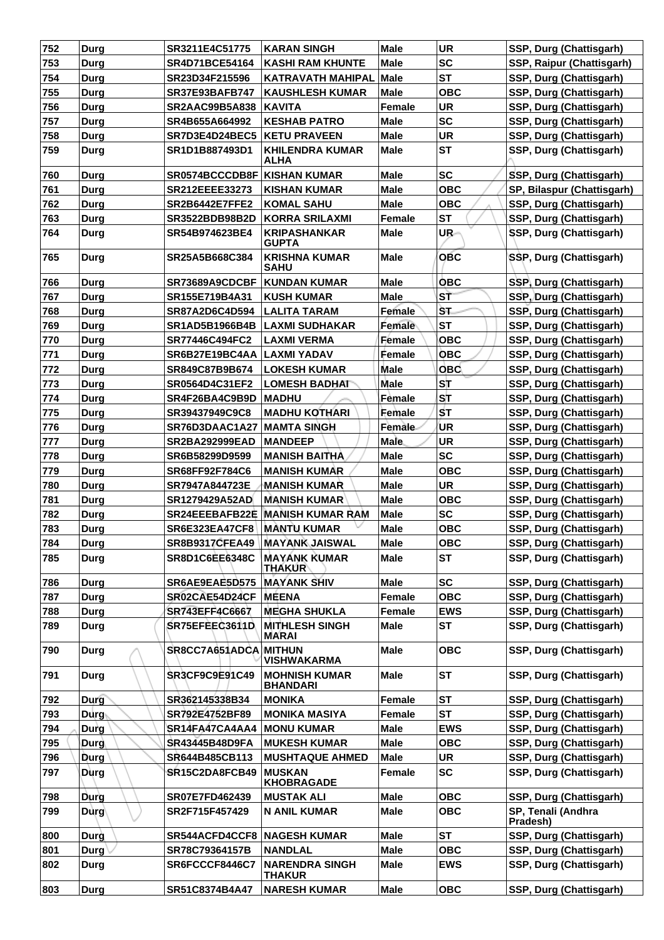| 752 | <b>Durg</b> | SR3211E4C51775                     | <b>KARAN SINGH</b>                      | <b>Male</b>   | <b>UR</b>  | SSP, Durg (Chattisgarh)        |
|-----|-------------|------------------------------------|-----------------------------------------|---------------|------------|--------------------------------|
| 753 | Durg        | <b>SR4D71BCE54164</b>              | <b>KASHI RAM KHUNTE</b>                 | <b>Male</b>   | <b>SC</b>  | SSP, Raipur (Chattisgarh)      |
| 754 | <b>Durg</b> | SR23D34F215596                     | <b>KATRAVATH MAHIPAL</b>                | Male          | <b>ST</b>  | SSP, Durg (Chattisgarh)        |
| 755 | <b>Durg</b> | <b>SR37E93BAFB747</b>              | <b>KAUSHLESH KUMAR</b>                  | <b>Male</b>   | <b>OBC</b> | SSP, Durg (Chattisgarh)        |
| 756 | Durg        | <b>SR2AAC99B5A838</b>              | <b>KAVITA</b>                           | <b>Female</b> | <b>UR</b>  | SSP, Durg (Chattisgarh)        |
| 757 | <b>Durg</b> | SR4B655A664992                     | <b>KESHAB PATRO</b>                     | <b>Male</b>   | <b>SC</b>  | SSP, Durg (Chattisgarh)        |
| 758 | Durg        | SR7D3E4D24BEC5                     | <b>KETU PRAVEEN</b>                     | <b>Male</b>   | <b>UR</b>  | SSP, Durg (Chattisgarh)        |
| 759 | Durg        | SR1D1B887493D1                     | <b>KHILENDRA KUMAR</b><br>ALHA          | <b>Male</b>   | <b>ST</b>  | SSP, Durg (Chattisgarh)        |
| 760 | <b>Durg</b> | <b>SR0574BCCCDB8F KISHAN KUMAR</b> |                                         | <b>Male</b>   | <b>SC</b>  | SSP, Durg (Chattisgarh)        |
| 761 | <b>Durg</b> | <b>SR212EEEE33273</b>              | <b>KISHAN KUMAR</b>                     | <b>Male</b>   | <b>OBC</b> | SP, Bilaspur (Chattisgarh)     |
| 762 | Durg        | <b>SR2B6442E7FFE2</b>              | <b>KOMAL SAHU</b>                       | <b>Male</b>   | <b>OBC</b> | SSP, Durg (Chattisgarh)        |
| 763 | Durg        | SR3522BDB98B2D                     | KORRA SRILAXMI                          | <b>Female</b> | <b>ST</b>  | SSP, Durg (Chattisgarh)        |
| 764 | <b>Durg</b> | SR54B974623BE4                     | <b>KRIPASHANKAR</b><br><b>GUPTA</b>     | <b>Male</b>   | UR-        | SSP, Durg (Chattisgarh)        |
| 765 | Durg        | SR25A5B668C384                     | <b>KRISHNA KUMAR</b><br><b>SAHU</b>     | <b>Male</b>   | <b>OBC</b> | SSP, Durg (Chattisgarh)        |
| 766 | Durg        | SR73689A9CDCBF                     | <b>KUNDAN KUMAR</b>                     | <b>Male</b>   | <b>OBC</b> | SSP, Durg (Chattisgarh)        |
| 767 | Durg        | SR155E719B4A31                     | <b>KUSH KUMAR</b>                       | <b>Male</b>   | SŤ         | SSP, Durg (Chattisgarh)        |
| 768 | Durg        | SR87A2D6C4D594                     | <b>LALITA TARAM</b>                     | Female        | <b>ST</b>  | SSP, Durg (Chattisgarh)        |
| 769 | <b>Durg</b> | SR1AD5B1966B4B                     | <b>LAXMI SUDHAKAR</b>                   | Female        | <b>ST</b>  | SSP, Durg (Chattisgarh)        |
| 770 | Durg        | SR77446C494FC2                     | <b>LAXMI VERMA</b>                      | Female        | <b>OBC</b> | SSP, Durg (Chattisgarh)        |
| 771 | <b>Durg</b> | SR6B27E19BC4AA                     | LAXMI YADAV                             | Female        | <b>OBC</b> | SSP, Durg (Chattisgarh)        |
| 772 | <b>Durg</b> | SR849C87B9B674                     | LOKESH KUMAR                            | <b>Male</b>   | <b>OBC</b> | SSP, Durg (Chattisgarh)        |
| 773 | Durg        | <b>SR0564D4C31EF2</b>              | <b>LOMESH BADHAT</b>                    | <b>Male</b>   | SΤ         | SSP, Durg (Chattisgarh)        |
| 774 | <b>Durg</b> | SR4F26BA4C9B9D                     | <b>MADHU</b>                            | Female        | ST         | SSP, Durg (Chattisgarh)        |
| 775 | <b>Durg</b> | SR39437949C9C8                     | <b>MADHU KOTHARI</b>                    | Female        | <b>ST</b>  | SSP, Durg (Chattisgarh)        |
| 776 | Durg        | SR76D3DAAC1A27                     | <b>MAMTA SINGH</b>                      | Female-       | ΊUR        | SSP, Durg (Chattisgarh)        |
| 777 | Durg        | <b>SR2BA292999EAD</b>              | <b>MANDEEP</b>                          | <b>Male</b>   | <b>UR</b>  | SSP, Durg (Chattisgarh)        |
| 778 | Durg        | SR6B58299D9599                     | <b>MANISH BAITHA</b>                    | <b>Male</b>   | <b>SC</b>  | SSP, Durg (Chattisgarh)        |
| 779 | Durg        | SR68FF92F784C6                     | <b>MANISH KUMAR</b>                     | <b>Male</b>   | <b>OBC</b> | SSP, Durg (Chattisgarh)        |
| 780 | Durg        | SR7947A844723E                     | <b>MANISH KUMAR</b>                     | <b>Male</b>   | <b>UR</b>  | SSP, Durg (Chattisgarh)        |
| 781 | <b>Durg</b> | SR1279429A52AD                     | <b>MANISH KUMAR</b>                     | <b>Male</b>   | <b>OBC</b> | SSP, Durg (Chattisgarh)        |
| 782 | Durg        |                                    | <b>SR24EEEBAFB22E MANISH KUMAR RAM</b>  | <b>Male</b>   | <b>SC</b>  | SSP, Durg (Chattisgarh)        |
| 783 | Durg        | <b>SR6E323EA47CF8</b>              | <b>MANTU KUMAR</b>                      | Male          | <b>OBC</b> | SSP, Durg (Chattisgarh)        |
| 784 | Durg        |                                    | SR8B9317CFEA49 MAYANK JAISWAL           | <b>Male</b>   | <b>OBC</b> | SSP, Durg (Chattisgarh)        |
| 785 | <b>Durg</b> | <b>SR8D1C6EE6348C</b>              | <b>MAYANK KUMAR</b><br><b>THAKUR</b>    | Male          | <b>ST</b>  | SSP, Durg (Chattisgarh)        |
| 786 | Durg        | SR6AE9EAE5D575                     | <b>MAYANK SHIV</b>                      | <b>Male</b>   | <b>SC</b>  | SSP, Durg (Chattisgarh)        |
| 787 | Durg        | SR02CAE54D24CF                     | MEENA                                   | <b>Female</b> | <b>OBC</b> | SSP, Durg (Chattisgarh)        |
| 788 | Durg        | SR743EFF4C6667                     | <b>MEGHA SHUKLA</b>                     | <b>Female</b> | <b>EWS</b> | SSP, Durg (Chattisgarh)        |
| 789 | <b>Durg</b> | SR75EFEEC3611D                     | <b>MITHLESH SINGH</b><br><b>MARAI</b>   | <b>Male</b>   | ST         | SSP, Durg (Chattisgarh)        |
| 790 | Durg        | SR8CC7A651ADCA MITHUN              | <b>VISHWAKARMA</b>                      | <b>Male</b>   | <b>OBC</b> | SSP, Durg (Chattisgarh)        |
| 791 | Durg        | SR3CF9C9E91C49                     | <b>MOHNISH KUMAR</b><br><b>BHANDARI</b> | <b>Male</b>   | <b>ST</b>  | SSP, Durg (Chattisgarh)        |
| 792 | <b>Durg</b> | SR362145338B34                     | <b>MONIKA</b>                           | <b>Female</b> | <b>ST</b>  | SSP, Durg (Chattisgarh)        |
| 793 | Durg        | SR792E4752BF89                     | <b>MONIKA MASIYA</b>                    | <b>Female</b> | <b>ST</b>  | SSP, Durg (Chattisgarh)        |
| 794 | Durg        | SR14FA47CA4AA4                     | <b>MONU KUMAR</b>                       | <b>Male</b>   | <b>EWS</b> | SSP, Durg (Chattisgarh)        |
| 795 | Durg        | SR43445B48D9FA                     | <b>MUKESH KUMAR</b>                     | <b>Male</b>   | <b>OBC</b> | SSP, Durg (Chattisgarh)        |
| 796 | Durg        | SR644B485CB113                     | <b>MUSHTAQUE AHMED</b>                  | <b>Male</b>   | <b>UR</b>  | SSP, Durg (Chattisgarh)        |
| 797 | Durg        | SR15C2DA8FCB49                     | <b>MUSKAN</b><br><b>KHOBRAGADE</b>      | <b>Female</b> | <b>SC</b>  | SSP, Durg (Chattisgarh)        |
| 798 | Durg        | SR07E7FD462439                     | <b>MUSTAK ALI</b>                       | <b>Male</b>   | <b>OBC</b> | SSP, Durg (Chattisgarh)        |
| 799 | Durg        | SR2F715F457429                     | <b>N ANIL KUMAR</b>                     | <b>Male</b>   | <b>OBC</b> | SP, Tenali (Andhra<br>Pradesh) |
| 800 | Durg        | <b>SR544ACFD4CCF8 NAGESH KUMAR</b> |                                         | <b>Male</b>   | <b>ST</b>  | SSP, Durg (Chattisgarh)        |
| 801 | <b>Durg</b> | SR78C79364157B                     | <b>NANDLAL</b>                          | <b>Male</b>   | <b>OBC</b> | SSP, Durg (Chattisgarh)        |
| 802 | Durg        | SR6FCCCF8446C7                     | <b>NARENDRA SINGH</b><br><b>THAKUR</b>  | <b>Male</b>   | <b>EWS</b> | SSP, Durg (Chattisgarh)        |
| 803 | Durg        | SR51C8374B4A47                     | <b>NARESH KUMAR</b>                     | <b>Male</b>   | <b>OBC</b> | SSP, Durg (Chattisgarh)        |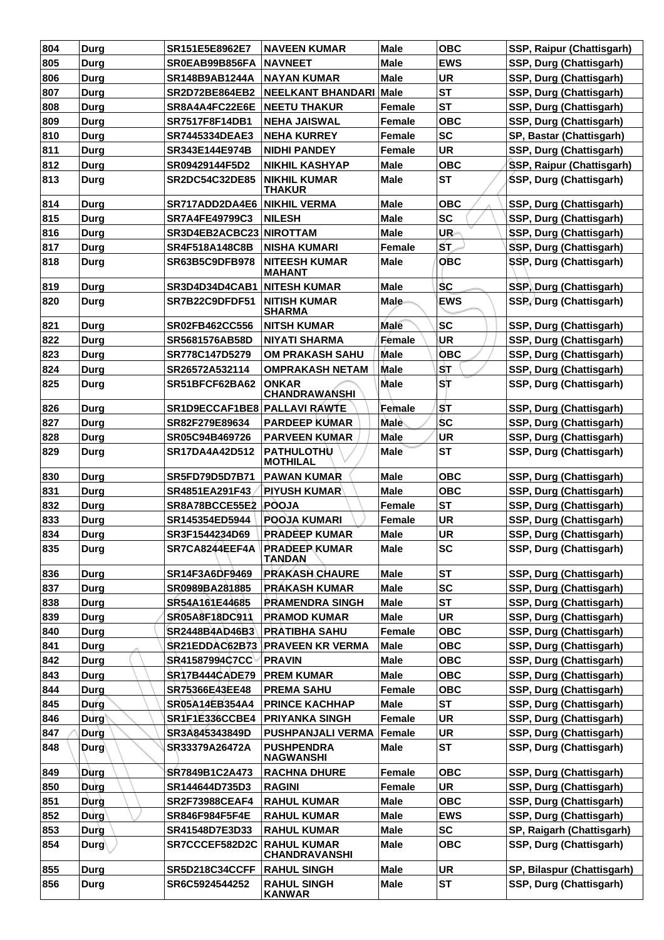| 804 | Durg        | SR151E5E8962E7                 | <b>NAVEEN KUMAR</b>                        | <b>Male</b>   | <b>OBC</b> | SSP, Raipur (Chattisgarh)  |
|-----|-------------|--------------------------------|--------------------------------------------|---------------|------------|----------------------------|
| 805 | Durg        | SR0EAB99B856FA                 | <b>NAVNEET</b>                             | <b>Male</b>   | <b>EWS</b> | SSP, Durg (Chattisgarh)    |
| 806 | Durg        | SR148B9AB1244A                 | <b>NAYAN KUMAR</b>                         | <b>Male</b>   | <b>UR</b>  | SSP, Durg (Chattisgarh)    |
| 807 | <b>Durg</b> | SR2D72BE864EB2                 | <b>NEELKANT BHANDARI</b>                   | Male          | <b>ST</b>  | SSP, Durg (Chattisgarh)    |
| 808 | Durg        | SR8A4A4FC22E6E                 | <b>NEETU THAKUR</b>                        | Female        | <b>ST</b>  | SSP, Durg (Chattisgarh)    |
| 809 | Durg        | SR7517F8F14DB1                 | <b>NEHA JAISWAL</b>                        | Female        | <b>OBC</b> | SSP, Durg (Chattisgarh)    |
| 810 | Durg        | <b>SR7445334DEAE3</b>          | <b>NEHA KURREY</b>                         | <b>Female</b> | <b>SC</b>  | SP, Bastar (Chattisgarh)   |
| 811 | Durg        | SR343E144E974B                 | <b>NIDHI PANDEY</b>                        | Female        | <b>UR</b>  | SSP, Durg (Chattisgarh)    |
| 812 | Durg        | SR09429144F5D2                 | <b>NIKHIL KASHYAP</b>                      | <b>Male</b>   | <b>OBC</b> | SSP, Raipur (Chattisgarh)  |
| 813 | <b>Durg</b> | <b>SR2DC54C32DE85</b>          | <b>NIKHIL KUMAR</b><br><b>THAKUR</b>       | <b>Male</b>   | <b>ST</b>  | SSP, Durg (Chattisgarh)    |
| 814 | <b>Durg</b> | SR717ADD2DA4E6                 | <b>NIKHIL VERMA</b>                        | Male          | ОВС        | SSP, Durg (Chattisgarh)    |
| 815 | <b>Durg</b> | <b>SR7A4FE49799C3</b>          | <b>NILESH</b>                              | <b>Male</b>   | <b>SC</b>  | SSP, Durg (Chattisgarh)    |
| 816 | Durg        | SR3D4EB2ACBC23 NIROTTAM        |                                            | <b>Male</b>   | UR-        | SSP, Durg (Chattisgarh)    |
| 817 | Durg        | SR4F518A148C8B                 | <b>NISHA KUMARI</b>                        | Female        | SΤ.        | SSP, Durg (Chattisgarh)    |
| 818 | Durg        | <b>SR63B5C9DFB978</b>          | <b>NITEESH KUMAR</b><br><b>MAHANT</b>      | Male          | <b>OBC</b> | SSP, Durg (Chattisgarh)    |
| 819 | Durg        | SR3D4D34D4CAB1 NITESH KUMAR    |                                            | <b>Male</b>   | <b>SC</b>  | SSP, Durg (Chattisgarh)    |
| 820 | Durg        | SR7B22C9DFDF51                 | <b>NITISH KUMAR</b><br><b>SHARMA</b>       | <b>Male</b>   | <b>EWS</b> | SSP, Durg (Chattisgarh)    |
| 821 | Durg        | SR02FB462CC556                 | <b>NITSH KUMAR</b>                         | Male          | <b>SC</b>  | SSP, Durg (Chattisgarh)    |
| 822 | <b>Durg</b> | SR5681576AB58D                 | <b>NIYATI SHARMA</b>                       | Female        | UR         | SSP, Durg (Chattisgarh)    |
| 823 | Durg        | SR778C147D5279                 | <b>OM PRAKASH SAHU</b>                     | Male          | <b>OBC</b> | SSP, Durg (Chattisgarh)    |
| 824 | Durg        | SR26572A532114                 | <b>OMPRAKASH NETAM</b>                     | Male          | ISТ        | SSP, Durg (Chattisgarh)    |
| 825 | Durg        | SR51BFCF62BA62                 | <b>ONKAR</b><br><b>CHANDRAWANSHI</b>       | <b>Male</b>   | SТ         | SSP, Durg (Chattisgarh)    |
| 826 | Durg        | SR1D9ECCAF1BE8 PALLAVI RAWTE   |                                            | Female        | <b>ST</b>  | SSP, Durg (Chattisgarh)    |
| 827 | Durg        | SR82F279E89634                 | <b>PARDEEP KUMAR</b>                       | Male          | <b>SC</b>  | SSP, Durg (Chattisgarh)    |
| 828 | <b>Durg</b> | SR05C94B469726                 | <b>PARVEEN KUMAR</b>                       | <b>Male</b>   | <b>UR</b>  | SSP, Durg (Chattisgarh)    |
| 829 | Durg        | SR17DA4A42D512                 | <b>PATHULOTHU</b><br><b>MOTHILAL</b>       | Male          | <b>ST</b>  | SSP, Durg (Chattisgarh)    |
| 830 | Durg        | <b>SR5FD79D5D7B71</b>          | <b>PAWAN KUMAR</b>                         | Male          | <b>OBC</b> | SSP, Durg (Chattisgarh)    |
| 831 | <b>Durg</b> | SR4851EA291F43                 | <b>PIYUSH KUMAR</b>                        | <b>Male</b>   | <b>OBC</b> | SSP, Durg (Chattisgarh)    |
| 832 | Durg        | SR8A78BCCE55E2                 | <b>POOJA</b>                               | Female        | <b>ST</b>  | SSP, Durg (Chattisgarh)    |
| 833 | Durg        | SR145354ED5944                 | <b>POOJA KUMARI</b>                        | <b>Female</b> | UR         | SSP, Durg (Chattisgarh)    |
| 834 | Durg        | SR3F1544234D69                 | <b>PRADEEP KUMAR</b>                       | <b>Male</b>   | <b>UR</b>  | SSP, Durg (Chattisgarh)    |
| 835 | Durg        | SR7CA8244EEF4A   PRADEEP KUMAR | <b>TANDAN</b>                              | <b>Male</b>   | <b>SC</b>  | SSP, Durg (Chattisgarh)    |
| 836 | Durg        | SR14F3A6DF9469                 | <b>PRAKASH CHAURE</b>                      | <b>Male</b>   | <b>ST</b>  | SSP, Durg (Chattisgarh)    |
| 837 | <b>Durg</b> | SR0989BA281885                 | <b>PRAKASH KUMAR</b>                       | <b>Male</b>   | <b>SC</b>  | SSP, Durg (Chattisgarh)    |
| 838 | Durg        | SR54A161E44685                 | PRAMENDRA SINGH                            | <b>Male</b>   | <b>ST</b>  | SSP, Durg (Chattisgarh)    |
| 839 | <b>Durg</b> | SR05A8F18DC911                 | <b>PRAMOD KUMAR</b>                        | <b>Male</b>   | <b>UR</b>  | SSP, Durg (Chattisgarh)    |
| 840 | <b>Durg</b> | SR2448B4AD46B3                 | <b>PRATIBHA SAHU</b>                       | Female        | <b>OBC</b> | SSP, Durg (Chattisgarh)    |
| 841 | <b>Durg</b> | SR21EDDAC62B73                 | <b>PRAVEEN KR VERMA</b>                    | <b>Male</b>   | <b>OBC</b> | SSP, Durg (Chattisgarh)    |
| 842 | Durg        | SR41587994C7CC                 | <b>PRAVIN</b>                              | <b>Male</b>   | <b>OBC</b> | SSP, Durg (Chattisgarh)    |
| 843 | <b>Durg</b> | <b>SR17B444CADE79</b>          | <b>PREM KUMAR</b>                          | <b>Male</b>   | <b>OBC</b> | SSP, Durg (Chattisgarh)    |
| 844 | <b>Durg</b> | SR75366E43EE48                 | <b>PREMA SAHU</b>                          | Female        | <b>OBC</b> | SSP, Durg (Chattisgarh)    |
| 845 | Durg        | SR05A14EB354A4                 | <b>PRINCE KACHHAP</b>                      | <b>Male</b>   | <b>ST</b>  | SSP, Durg (Chattisgarh)    |
| 846 | Durg        | SR1F1E336CCBE4                 | <b>PRIYANKA SINGH</b>                      | Female        | UR         | SSP, Durg (Chattisgarh)    |
| 847 | Durg        | SR3A845343849D                 | PUSHPANJALI VERMA                          | Female        | UR         | SSP, Durg (Chattisgarh)    |
| 848 | <b>Durg</b> | SR33379A26472A                 | <b>PUSHPENDRA</b><br><b>NAGWANSHI</b>      | <b>Male</b>   | <b>ST</b>  | SSP, Durg (Chattisgarh)    |
| 849 | Durg        | SR7849B1C2A473                 | <b>RACHNA DHURE</b>                        | Female        | <b>OBC</b> | SSP, Durg (Chattisgarh)    |
| 850 | Durg        | SR144644D735D3                 | <b>RAGINI</b>                              | Female        | <b>UR</b>  | SSP, Durg (Chattisgarh)    |
| 851 | Durg        | <b>SR2F73988CEAF4</b>          | <b>RAHUL KUMAR</b>                         | <b>Male</b>   | <b>OBC</b> | SSP, Durg (Chattisgarh)    |
| 852 | Durg        | SR846F984F5F4E                 | <b>RAHUL KUMAR</b>                         | <b>Male</b>   | <b>EWS</b> | SSP, Durg (Chattisgarh)    |
| 853 | Durg        | SR41548D7E3D33                 | <b>RAHUL KUMAR</b>                         | <b>Male</b>   | <b>SC</b>  | SP, Raigarh (Chattisgarh)  |
| 854 | $Durg\$     | SR7CCCEF582D2C                 | <b>RAHUL KUMAR</b><br><b>CHANDRAVANSHI</b> | <b>Male</b>   | <b>OBC</b> | SSP, Durg (Chattisgarh)    |
| 855 | <b>Durg</b> | <b>SR5D218C34CCFF</b>          | <b>RAHUL SINGH</b>                         | <b>Male</b>   | <b>UR</b>  | SP, Bilaspur (Chattisgarh) |
| 856 | <b>Durg</b> | SR6C5924544252                 | <b>RAHUL SINGH</b><br><b>KANWAR</b>        | <b>Male</b>   | <b>ST</b>  | SSP, Durg (Chattisgarh)    |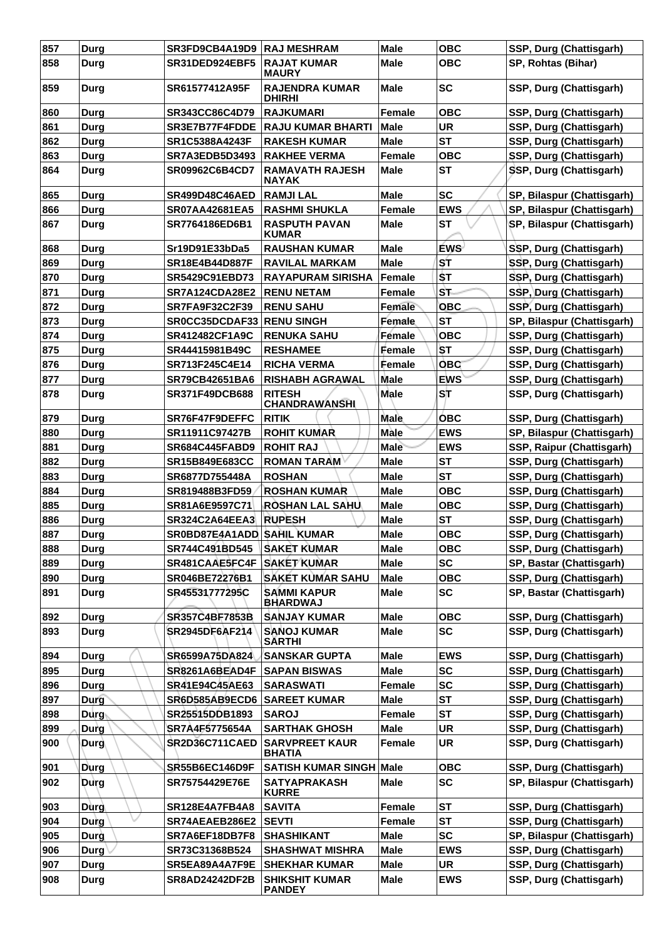| 857 | Durg        | SR3FD9CB4A19D9 RAJ MESHRAM |                                        | <b>Male</b>   | <b>OBC</b> | SSP, Durg (Chattisgarh)    |
|-----|-------------|----------------------------|----------------------------------------|---------------|------------|----------------------------|
| 858 | Durg        | SR31DED924EBF5             | <b>RAJAT KUMAR</b><br><b>MAURY</b>     | Male          | <b>OBC</b> | SP, Rohtas (Bihar)         |
| 859 | Durg        | SR61577412A95F             | <b>RAJENDRA KUMAR</b><br><b>DHIRHI</b> | <b>Male</b>   | <b>SC</b>  | SSP, Durg (Chattisgarh)    |
| 860 | Durg        | SR343CC86C4D79             | <b>RAJKUMARI</b>                       | <b>Female</b> | <b>OBC</b> | SSP, Durg (Chattisgarh)    |
| 861 | Durg        | SR3E7B77F4FDDE             | <b>RAJU KUMAR BHARTI</b>               | <b>Male</b>   | <b>UR</b>  | SSP, Durg (Chattisgarh)    |
| 862 | Durg        | SR1C5388A4243F             | <b>RAKESH KUMAR</b>                    | <b>Male</b>   | <b>ST</b>  | SSP, Durg (Chattisgarh)    |
| 863 | Durg        | SR7A3EDB5D3493             | <b>RAKHEE VERMA</b>                    | <b>Female</b> | <b>OBC</b> | SSP, Durg (Chattisgarh)    |
| 864 | Durg        | SR09962C6B4CD7             | <b>RAMAVATH RAJESH</b><br>NAYAK        | Male          | <b>ST</b>  | SSP, Durg (Chattisgarh)    |
| 865 | Durg        | <b>SR499D48C46AED</b>      | <b>RAMJILAL</b>                        | <b>Male</b>   | <b>SC</b>  | SP, Bilaspur (Chattisgarh) |
| 866 | Durg        | <b>SR07AA42681EA5</b>      | <b>RASHMI SHUKLA</b>                   | <b>Female</b> | <b>EWS</b> | SP, Bilaspur (Chattisgarh) |
| 867 | Durg        | SR7764186ED6B1             | <b>RASPUTH PAVAN</b><br><b>KUMAR</b>   | Male          | <b>ST</b>  | SP, Bilaspur (Chattisgarh) |
| 868 | Durg        | Sr19D91E33bDa5             | <b>RAUSHAN KUMAR</b>                   | <b>Male</b>   | <b>EWS</b> | SSP, Durg (Chattisgarh)    |
| 869 | Durg        | SR18E4B44D887F             | <b>RAVILAL MARKAM</b>                  | Male          | ST         | SSP, Durg (Chattisgarh)    |
| 870 | Durg        | SR5429C91EBD73             | <b>RAYAPURAM SIRISHA</b>               | Female        | \$T        | SSP, Durg (Chattisgarh)    |
| 871 | Durg        | SR7A124CDA28E2             | <b>RENU NETAM</b>                      | <b>Female</b> | ST.        | SSP, Durg (Chattisgarh)    |
| 872 | Durg        | SR7FA9F32C2F39             | <b>RENU SAHU</b>                       | <b>Female</b> | <b>OBC</b> | SSP, Durg (Chattisgarh)    |
| 873 | <b>Durg</b> | SR0CC35DCDAF33 RENU SINGH  |                                        | Female        | <b>ST</b>  | SP, Bilaspur (Chattisgarh) |
| 874 | Durg        | SR412482CF1A9C             | <b>RENUKA SAHU</b>                     | Female        | <b>OBC</b> | SSP, Durg (Chattisgarh)    |
| 875 | <b>Durg</b> | SR44415981B49C             | <b>RESHAMEE</b>                        | Female        | SТ         | SSP, Durg (Chattisgarh)    |
| 876 | Durg        | SR713F245C4E14             | <b>RICHA VERMA</b>                     | Female        | <b>OBC</b> | SSP, Durg (Chattisgarh)    |
| 877 | Durg        | SR79CB42651BA6             | <b>RISHABH AGRAWAL</b>                 | <b>Male</b>   | <b>EWS</b> | SSP, Durg (Chattisgarh)    |
| 878 | Durg        | <b>SR371F49DCB688</b>      | <b>RITESH</b><br><b>CHANDRAWANSHI</b>  | <b>Male</b>   | SĪT        | SSP, Durg (Chattisgarh)    |
| 879 | Durg        | SR76F47F9DEFFC             | <b>RITIK</b>                           | <b>Male</b>   | ОВС        | SSP, Durg (Chattisgarh)    |
| 880 | Durg        | SR11911C97427B             | <b>ROHIT KUMAR</b>                     | <b>Male</b>   | <b>EWS</b> | SP, Bilaspur (Chattisgarh) |
| 881 | Durg        | <b>SR684C445FABD9</b>      | <b>ROHIT RAJ</b>                       | <b>Male</b>   | <b>EWS</b> | SSP, Raipur (Chattisgarh)  |
| 882 | <b>Durg</b> | <b>SR15B849E683CC</b>      | <b>ROMAN TARAM</b>                     | <b>Male</b>   | <b>ST</b>  | SSP, Durg (Chattisgarh)    |
| 883 | Durg        | SR6877D755448A             | <b>ROSHAN</b>                          | <b>Male</b>   | <b>ST</b>  | SSP, Durg (Chattisgarh)    |
| 884 | <b>Durg</b> | SR819488B3FD59             | <b>ROSHAN KUMAR</b>                    | Male          | <b>OBC</b> | SSP, Durg (Chattisgarh)    |
| 885 | <b>Durg</b> | SR81A6E9597C71             | <b>ROSHAN LAL SAHU</b>                 | <b>Male</b>   | <b>OBC</b> | SSP, Durg (Chattisgarh)    |
| 886 | Durg        | <b>SR324C2A64EEA3</b>      | <b>RUPESH</b>                          | <b>Male</b>   | <b>ST</b>  | SSP, Durg (Chattisgarh)    |
| 887 | <b>Durg</b> | SR0BD87E4A1ADD SAHIL KUMAR |                                        | <b>Male</b>   | <b>OBC</b> | SSP, Durg (Chattisgarh)    |
| 888 | Durg        | SR744C491BD545             | SAKET KUMAR                            | <b>Male</b>   | <b>OBC</b> | SSP, Durg (Chattisgarh)    |
| 889 | <b>Durg</b> | SR481CAAE5FC4F             | <b>SAKET KUMAR</b>                     | <b>Male</b>   | <b>SC</b>  | SP, Bastar (Chattisgarh)   |
| 890 | Durg        | SR046BE72276B1             | <b>SAKET KUMAR SAHU</b>                | <b>Male</b>   | <b>OBC</b> | SSP, Durg (Chattisgarh)    |
| 891 | Durg        | SR45531777295C             | <b>SAMMI KAPUR</b><br><b>BHARDWAJ</b>  | <b>Male</b>   | <b>SC</b>  | SP, Bastar (Chattisgarh)   |
| 892 | Durg        | <b>SR357C4BF7853B</b>      | <b>SANJAY KUMAR</b>                    | <b>Male</b>   | <b>OBC</b> | SSP, Durg (Chattisgarh)    |
| 893 | Durg        | SR2945DF6AF214             | <b>SANOJ KUMAR</b><br><b>SARTHI</b>    | <b>Male</b>   | <b>SC</b>  | SSP, Durg (Chattisgarh)    |
| 894 | Durg        | SR6599A75DA824             | <b>SANSKAR GUPTA</b>                   | <b>Male</b>   | <b>EWS</b> | SSP, Durg (Chattisgarh)    |
| 895 | <b>Durg</b> | SR8261A6BEAD4F             | <b>SAPAN BISWAS</b>                    | <b>Male</b>   | <b>SC</b>  | SSP, Durg (Chattisgarh)    |
| 896 | Durg        | <b>SR41E94C45AE63</b>      | <b>SARASWATI</b>                       | Female        | <b>SC</b>  | SSP, Durg (Chattisgarh)    |
| 897 | <b>Durg</b> | SR6D585AB9ECD6             | <b>SAREET KUMAR</b>                    | <b>Male</b>   | <b>ST</b>  | SSP, Durg (Chattisgarh)    |
| 898 | Durg (      | SR25515DDB1893             | <b>SAROJ</b>                           | Female        | <b>ST</b>  | SSP, Durg (Chattisgarh)    |
| 899 | Durg        | SR7A4F5775654A             | <b>SARTHAK GHOSH</b>                   | <b>Male</b>   | <b>UR</b>  | SSP, Durg (Chattisgarh)    |
| 900 | <b>Durg</b> | SR2D36C711CAED             | <b>SARVPREET KAUR</b><br><b>BHATIA</b> | <b>Female</b> | <b>UR</b>  | SSP, Durg (Chattisgarh)    |
| 901 | <b>Durg</b> | <b>SR55B6EC146D9F</b>      | <b>SATISH KUMAR SINGH Male</b>         |               | <b>OBC</b> | SSP, Durg (Chattisgarh)    |
| 902 | Durg        | SR75754429E76E             | <b>SATYAPRAKASH</b><br><b>KURRE</b>    | <b>Male</b>   | <b>SC</b>  | SP, Bilaspur (Chattisgarh) |
| 903 | Dùrg        | <b>SR128E4A7FB4A8</b>      | <b>SAVITA</b>                          | Female        | <b>ST</b>  | SSP, Durg (Chattisgarh)    |
| 904 | Durg        | SR74AEAEB286E2             | <b>SEVTI</b>                           | Female        | <b>ST</b>  | SSP, Durg (Chattisgarh)    |
| 905 | <b>Durg</b> | SR7A6EF18DB7F8             | <b>SHASHIKANT</b>                      | <b>Male</b>   | <b>SC</b>  | SP, Bilaspur (Chattisgarh) |
| 906 | <b>Durg</b> | SR73C31368B524             | <b>SHASHWAT MISHRA</b>                 | <b>Male</b>   | <b>EWS</b> | SSP, Durg (Chattisgarh)    |
| 907 | <b>Durg</b> | SR5EA89A4A7F9E             | <b>SHEKHAR KUMAR</b>                   | <b>Male</b>   | <b>UR</b>  | SSP, Durg (Chattisgarh)    |
| 908 | <b>Durg</b> | <b>SR8AD24242DF2B</b>      | <b>SHIKSHIT KUMAR</b><br><b>PANDEY</b> | <b>Male</b>   | <b>EWS</b> | SSP, Durg (Chattisgarh)    |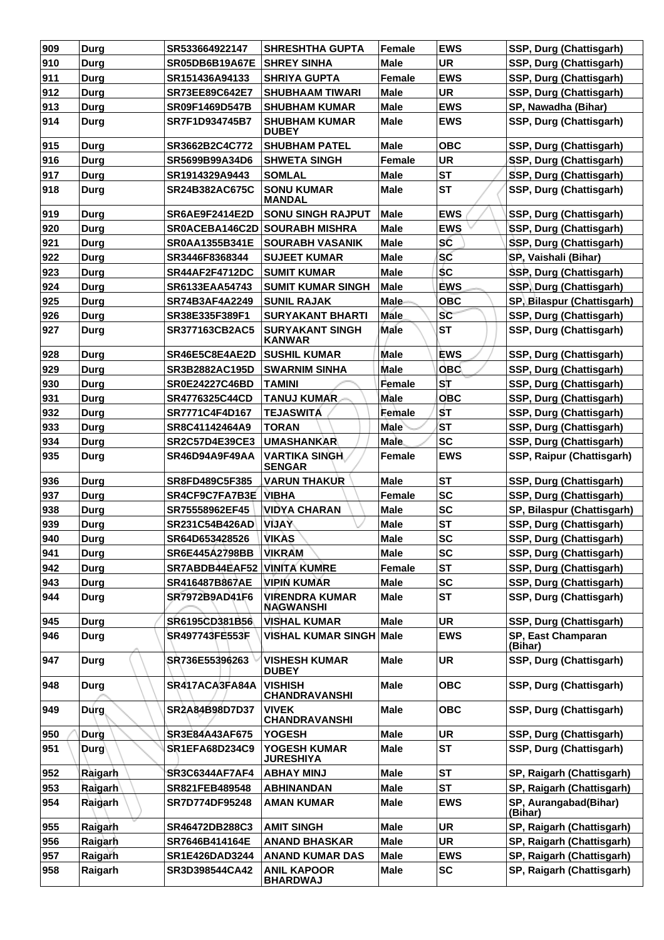| 909 | <b>Durg</b>    | SR533664922147        | <b>SHRESHTHA GUPTA</b>                    | <b>Female</b> | <b>EWS</b> | SSP, Durg (Chattisgarh)          |
|-----|----------------|-----------------------|-------------------------------------------|---------------|------------|----------------------------------|
| 910 | Durg           | <b>SR05DB6B19A67E</b> | <b>SHREY SINHA</b>                        | <b>Male</b>   | <b>UR</b>  | <b>SSP, Durg (Chattisgarh)</b>   |
| 911 | Durg           | SR151436A94133        | <b>SHRIYA GUPTA</b>                       | <b>Female</b> | <b>EWS</b> | SSP, Durg (Chattisgarh)          |
| 912 | Durg           | SR73EE89C642E7        | <b>SHUBHAAM TIWARI</b>                    | <b>Male</b>   | <b>UR</b>  | SSP, Durg (Chattisgarh)          |
| 913 | <b>Durg</b>    | SR09F1469D547B        | <b>SHUBHAM KUMAR</b>                      | <b>Male</b>   | <b>EWS</b> | SP, Nawadha (Bihar)              |
| 914 | Durg           | SR7F1D934745B7        | <b>SHUBHAM KUMAR</b><br><b>DUBEY</b>      | <b>Male</b>   | <b>EWS</b> | SSP, Durg (Chattisgarh)          |
| 915 | <b>Durg</b>    | SR3662B2C4C772        | <b>SHUBHAM PATEL</b>                      | <b>Male</b>   | <b>OBC</b> | SSP, Durg (Chattisgarh)          |
| 916 | <b>Durg</b>    | SR5699B99A34D6        | <b>SHWETA SINGH</b>                       | <b>Female</b> | <b>UR</b>  | SSP, Durg (Chattisgarh)          |
| 917 | <b>Durg</b>    | SR1914329A9443        | <b>SOMLAL</b>                             | <b>Male</b>   | <b>ST</b>  | SSP, Durg (Chattisgarh)          |
| 918 | Durg           | SR24B382AC675C        | <b>SONU KUMAR</b><br><b>MANDAL</b>        | <b>Male</b>   | <b>ST</b>  | SSP, Durg (Chattisgarh)          |
| 919 | Durg           | <b>SR6AE9F2414E2D</b> | <b>SONU SINGH RAJPUT</b>                  | <b>Male</b>   | <b>EWS</b> | SSP, Durg (Chattisgarh)          |
| 920 | <b>Durg</b>    |                       | <b>SR0ACEBA146C2D SOURABH MISHRA</b>      | <b>Male</b>   | <b>EWS</b> | SSP, Durg (Chattisgarh)          |
| 921 | <b>Durg</b>    | <b>SR0AA1355B341E</b> | <b>SOURABH VASANIK</b>                    | <b>Male</b>   | SC         | SSP, Durg (Chattisgarh)          |
| 922 | Durg           | SR3446F8368344        | <b>SUJEET KUMAR</b>                       | <b>Male</b>   | SC         | SP, Vaishali (Bihar)             |
| 923 | Durg           | <b>SR44AF2F4712DC</b> | <b>SUMIT KUMAR</b>                        | <b>Male</b>   | <b>SC</b>  | SSP, Durg (Chattisgarh)          |
| 924 | Durg           | SR6133EAA54743        | SUMIT KUMAR SINGH                         | <b>Male</b>   | <b>EWS</b> | SSP, Durg (Chattisgarh)          |
| 925 | Durg           | SR74B3AF4A2249        | <b>SUNIL RAJAK</b>                        | <b>Male</b>   | <b>OBC</b> | SP, Bilaspur (Chattisgarh)       |
| 926 | Durg           | SR38E335F389F1        | <b>SURYAKANT BHARTI</b>                   | <b>Male</b>   | SC         | SSP, Durg (Chattisgarh)          |
| 927 | Durg           | <b>SR377163CB2AC5</b> | <b>SURYAKANT SINGH</b><br><b>KANWAR</b>   | Male          | <b>ST</b>  | SSP, Durg (Chattisgarh)          |
| 928 | <b>Durg</b>    | SR46E5C8E4AE2D        | <b>SUSHIL KUMAR</b>                       | <b>Male</b>   | <b>EWS</b> | SSP, Durg (Chattisgarh)          |
| 929 | <b>Durg</b>    | SR3B2882AC195D        | <b>SWARNIM SINHA</b>                      | <b>Male</b>   | <b>OBC</b> | SSP, Durg (Chattisgarh)          |
| 930 | <b>Durg</b>    | <b>SR0E24227C46BD</b> | <b>TAMINI</b>                             | Female        | ST         | SSP, Durg (Chattisgarh)          |
| 931 | Durg           | SR4776325C44CD        | <b>TANUJ KUMAR</b>                        | Male          | <b>OBC</b> | SSP, Durg (Chattisgarh)          |
| 932 | Durg           | SR7771C4F4D167        | <b>TEJASWITA</b>                          | Female        | <b>ST</b>  | SSP, Durg (Chattisgarh)          |
| 933 | Durg           | SR8C41142464A9        | <b>TORAN</b>                              | <b>Male</b>   | <b>ST</b>  | SSP, Durg (Chattisgarh)          |
| 934 | Durg           | <b>SR2C57D4E39CE3</b> | <b>UMASHANKAR</b>                         | <b>Male</b>   | <b>SC</b>  | SSP, Durg (Chattisgarh)          |
| 935 | Durg           | SR46D94A9F49AA        | <b>VARTIKA SINGH</b>                      | Female        | <b>EWS</b> | SSP, Raipur (Chattisgarh)        |
|     |                |                       | <b>SENGAR</b>                             |               |            |                                  |
| 936 | Durg           | SR8FD489C5F385        | <b>VARUN THAKUR</b>                       | Male          | <b>ST</b>  | SSP, Durg (Chattisgarh)          |
| 937 | <b>Durg</b>    | SR4CF9C7FA7B3E        | <b>VIBHA</b>                              | Female        | <b>SC</b>  | SSP, Durg (Chattisgarh)          |
| 938 | Durg           | SR75558962EF45        | <b>VIDYA CHARAN</b>                       | <b>Male</b>   | <b>SC</b>  | SP, Bilaspur (Chattisgarh)       |
| 939 | <b>Durg</b>    | SR231C54B426AD        | <b>YAUV</b>                               | <b>Male</b>   | <b>ST</b>  | SSP, Durg (Chattisgarh)          |
| 940 | <b>Durg</b>    | SR64D653428526        | VIKAS                                     | <b>Male</b>   | <b>SC</b>  | SSP, Durg (Chattisgarh)          |
| 941 | Durg           | SR6E445A2798BB        | <b>VIKRAM</b>                             | <b>Male</b>   | <b>SC</b>  | SSP, Durg (Chattisgarh)          |
| 942 | Durg           | SR7ABDB44EAF52        | <b>VINITA KUMRE</b>                       | Female        | <b>ST</b>  | SSP, Durg (Chattisgarh)          |
| 943 | <b>Durg</b>    | SR416487B867AE        | <b>VIPIN KUMAR</b>                        | <b>Male</b>   | <b>SC</b>  | SSP, Durg (Chattisgarh)          |
| 944 | <b>Durg</b>    | SR7972B9AD41F6        | <b>VIRENDRA KUMAR</b><br><b>NAGWANSHI</b> | <b>Male</b>   | <b>ST</b>  | SSP, Durg (Chattisgarh)          |
| 945 | Durg           | SR6195CD381B56        | <b>VISHAL KUMAR</b>                       | <b>Male</b>   | <b>UR</b>  | SSP, Durg (Chattisgarh)          |
| 946 | <b>Durg</b>    | SR497743FE553F        | <b>VISHAL KUMAR SINGH Male</b>            |               | <b>EWS</b> | SP, East Champaran<br>(Bihar)    |
| 947 | Durg           | SR736E55396263        | <b>VISHESH KUMAR</b><br><b>DUBEY</b>      | <b>Male</b>   | <b>UR</b>  | SSP, Durg (Chattisgarh)          |
| 948 | <b>Durg</b>    | SR417ACA3FA84A        | <b>VISHISH</b><br><b>CHANDRAVANSHI</b>    | <b>Male</b>   | <b>OBC</b> | SSP, Durg (Chattisgarh)          |
| 949 | Durg           | SR2A84B98D7D37        | <b>VIVEK</b><br><b>CHANDRAVANSHI</b>      | <b>Male</b>   | <b>OBC</b> | SSP, Durg (Chattisgarh)          |
| 950 | Durg           | SR3E84A43AF675        | <b>YOGESH</b>                             | <b>Male</b>   | UR         | SSP, Durg (Chattisgarh)          |
| 951 | Durg           | SR1EFA68D234C9        | <b>YOGESH KUMAR</b><br><b>JURESHIYA</b>   | <b>Male</b>   | <b>ST</b>  | SSP, Durg (Chattisgarh)          |
| 952 | Raigarh        | <b>SR3C6344AF7AF4</b> | <b>ABHAY MINJ</b>                         | <b>Male</b>   | <b>ST</b>  | SP, Raigarh (Chattisgarh)        |
| 953 | <b>Ralgarh</b> | SR821FEB489548        | <b>ABHINANDAN</b>                         | <b>Male</b>   | <b>ST</b>  | SP, Raigarh (Chattisgarh)        |
| 954 | Raigarh        | SR7D774DF95248        | <b>AMAN KUMAR</b>                         | <b>Male</b>   | <b>EWS</b> | SP, Aurangabad(Bihar)<br>(Bihar) |
| 955 | Raigarh        | SR46472DB288C3        | <b>AMIT SINGH</b>                         | <b>Male</b>   | <b>UR</b>  | SP, Raigarh (Chattisgarh)        |
| 956 | Raigarh        | SR7646B414164E        | <b>ANAND BHASKAR</b>                      | <b>Male</b>   | <b>UR</b>  | SP, Raigarh (Chattisgarh)        |
| 957 | Raigarh        | SR1E426DAD3244        | <b>ANAND KUMAR DAS</b>                    | <b>Male</b>   | <b>EWS</b> | SP, Raigarh (Chattisgarh)        |
| 958 | Raigarh        | SR3D398544CA42        | <b>ANIL KAPOOR</b><br><b>BHARDWAJ</b>     | <b>Male</b>   | <b>SC</b>  | SP, Raigarh (Chattisgarh)        |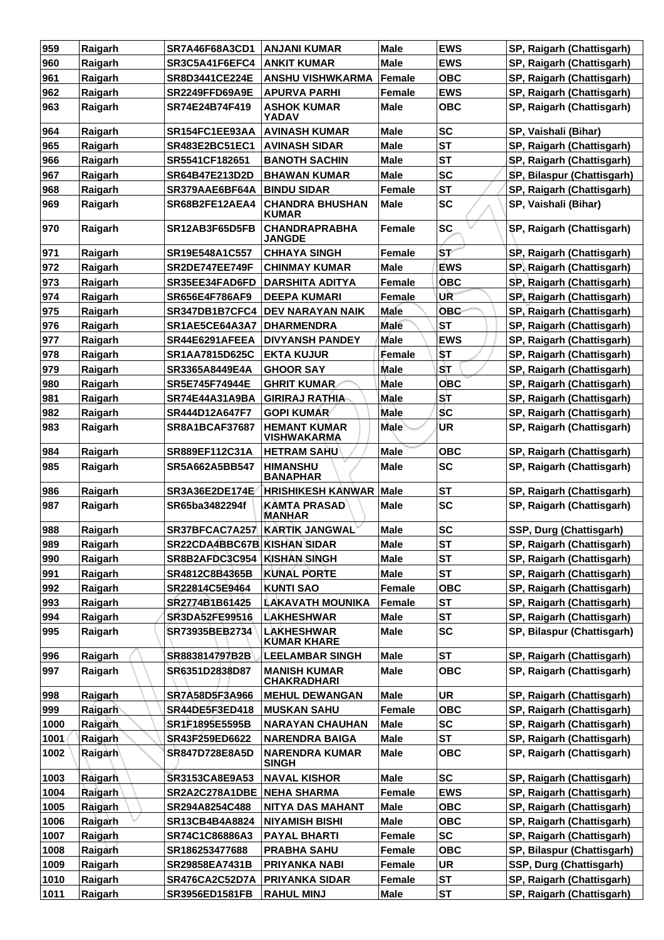| 959  | Raigarh | <b>SR7A46F68A3CD1</b>       | <b>ANJANI KUMAR</b>                       | <b>Male</b>   | <b>EWS</b> | SP, Raigarh (Chattisgarh)  |
|------|---------|-----------------------------|-------------------------------------------|---------------|------------|----------------------------|
| 960  | Raigarh | SR3C5A41F6EFC4              | <b>ANKIT KUMAR</b>                        | <b>Male</b>   | <b>EWS</b> | SP, Raigarh (Chattisgarh)  |
| 961  | Raigarh | SR8D3441CE224E              | <b>ANSHU VISHWKARMA</b>                   | Female        | <b>OBC</b> | SP, Raigarh (Chattisgarh)  |
| 962  | Raigarh | <b>SR2249FFD69A9E</b>       | <b>APURVA PARHI</b>                       | <b>Female</b> | <b>EWS</b> | SP, Raigarh (Chattisgarh)  |
| 963  | Raigarh | SR74E24B74F419              | <b>ASHOK KUMAR</b><br><b>YADAV</b>        | Male          | <b>OBC</b> | SP, Raigarh (Chattisgarh)  |
| 964  | Raigarh | SR154FC1EE93AA              | <b>AVINASH KUMAR</b>                      | <b>Male</b>   | <b>SC</b>  | SP, Vaishali (Bihar)       |
| 965  | Raigarh | SR483E2BC51EC1              | <b>AVINASH SIDAR</b>                      | <b>Male</b>   | <b>ST</b>  | SP, Raigarh (Chattisgarh)  |
| 966  | Raigarh | SR5541CF182651              | <b>BANOTH SACHIN</b>                      | Male          | <b>ST</b>  | SP, Raigarh (Chattisgarh)  |
| 967  | Raigarh | SR64B47E213D2D              | <b>BHAWAN KUMAR</b>                       | Male          | <b>SC</b>  | SP, Bilaspur (Chattisgarh) |
| 968  | Raigarh | SR379AAE6BF64A              | <b>BINDU SIDAR</b>                        | <b>Female</b> | <b>ST</b>  | SP, Raigarh (Chattisgarh)  |
| 969  | Raigarh | SR68B2FE12AEA4              | <b>CHANDRA BHUSHAN</b><br><b>KUMAR</b>    | <b>Male</b>   | <b>SC</b>  | SP, Vaishali (Bihar)       |
| 970  | Raigarh | SR12AB3F65D5FB              | <b>CHANDRAPRABHA</b><br><b>JANGDE</b>     | <b>Female</b> | <b>SC</b>  | SP, Raigarh (Chattisgarh)  |
| 971  | Raigarh | SR19E548A1C557              | <b>CHHAYA SINGH</b>                       | <b>Female</b> | /ST        | SP, Raigarh (Chattisgarh)  |
| 972  | Raigarh | <b>SR2DE747EE749F</b>       | <b>CHINMAY KUMAR</b>                      | Male          | <b>EWS</b> | SP, Raigarh (Chattisgarh)  |
| 973  | Raigarh | SR35EE34FAD6FD              | <b>DARSHITA ADITYA</b>                    | <b>Female</b> | <b>OBC</b> | SP, Raigarh (Chattisgarh)  |
| 974  | Raigarh | <b>SR656E4F786AF9</b>       | <b>DEEPA KUMARI</b>                       | Female        | UR         | SP, Raigarh (Chattisgarh)  |
| 975  | Raigarh | SR347DB1B7CFC4              | <b>DEV NARAYAN NAIK</b>                   | Male          | <b>OBC</b> | SP, Raigarh (Chattisgarh)  |
| 976  | Raigarh | SR1AE5CE64A3A7              | <b>DHARMENDRA</b>                         | <b>Male</b>   | <b>ST</b>  | SP, Raigarh (Chattisgarh)  |
| 977  | Raigarh | SR44E6291AFEEA              | <b>DIVYANSH PANDEY</b>                    | <b>Male</b>   | <b>EWS</b> | SP, Raigarh (Chattisgarh)  |
| 978  | Raigarh | SR1AA7815D625C              | <b>EKTA KUJUR</b>                         | Female        | ŠТ         | SP, Raigarh (Chattisgarh)  |
| 979  | Raigarh | SR3365A8449E4A              | <b>GHOOR SAY</b>                          | <b>Male</b>   | <b>ST</b>  | SP, Raigarh (Chattisgarh)  |
| 980  | Raigarh | SR5E745F74944E              | <b>GHRIT KUMAR</b>                        | <b>Male</b>   | <b>OBC</b> | SP, Raigarh (Chattisgarh)  |
| 981  | Raigarh | <b>SR74E44A31A9BA</b>       | <b>GIRIRAJ RATHIA-</b>                    | Male          | ST         | SP, Raigarh (Chattisgarh)  |
| 982  | Raigarh | SR444D12A647F7              | <b>GOPI KUMÁR</b>                         | Male          | <b>SC</b>  | SP, Raigarh (Chattisgarh)  |
| 983  | Raigarh | <b>SR8A1BCAF37687</b>       | <b>HEMANT KUMAR</b><br><b>VISHWAKARMA</b> | <b>Male</b>   | ΊR.        | SP, Raigarh (Chattisgarh)  |
| 984  | Raigarh | SR889EF112C31A              | <b>HETRAM SAHU</b>                        | Male          | <b>OBC</b> | SP, Raigarh (Chattisgarh)  |
| 985  | Raigarh | SR5A662A5BB547              | <b>HIMANSHU</b><br><b>BANAPHAR</b>        | <b>Male</b>   | <b>SC</b>  | SP, Raigarh (Chattisgarh)  |
| 986  | Raigarh | SR3A36E2DE174E              | <b>HRISHIKESH KANWAR</b>                  | <b>Male</b>   | <b>ST</b>  | SP, Raigarh (Chattisgarh)  |
| 987  | Raigarh | SR65ba3482294f              | <b>KAMTA PRASAD</b><br><b>MANHAR</b>      | Male          | <b>SC</b>  | SP, Raigarh (Chattisgarh)  |
| 988  | Raigarh | SR37BFCAC7A257              | <b>KARTIK JANGWAL</b>                     | <b>Male</b>   | <b>SC</b>  | SSP, Durg (Chattisgarh)    |
| 989  | Raigarh | SR22CDA4BBC67B KISHAN SIDAR |                                           | Male          | SТ         | SP, Raigarh (Chattisgarh)  |
| 990  | Raigarh | SR8B2AFDC3C954              | <b>KISHAN SINGH</b>                       | Male          | <b>ST</b>  | SP, Raigarh (Chattisgarh)  |
| 991  | Raigarh | SR4812C8B4365B              | <b>KUNAL PORTE</b>                        | <b>Male</b>   | <b>ST</b>  | SP, Raigarh (Chattisgarh)  |
| 992  | Raigarh | SR22814C5E9464              | <b>KUNTI SAO</b>                          | Female        | <b>OBC</b> | SP, Raigarh (Chattisgarh)  |
| 993  | Raigarh | SR2774B1B61425              | <b>LAKAVATH MOUNIKA</b>                   | <b>Female</b> | <b>ST</b>  | SP, Raigarh (Chattisgarh)  |
| 994  | Raigarh | SR3DA52FE99516              | <b>LAKHESHWAR</b>                         | <b>Male</b>   | <b>ST</b>  | SP, Raigarh (Chattisgarh)  |
| 995  | Raigarh | SR73935BEB2734              | <b>LAKHESHWAR</b><br><b>KUMAR KHARE</b>   | Male          | <b>SC</b>  | SP, Bilaspur (Chattisgarh) |
| 996  | Raigarh | SR883814797B2B              | <b>LEELAMBAR SINGH</b>                    | Male          | <b>ST</b>  | SP, Raigarh (Chattisgarh)  |
| 997  | Raigarh | SR6351D2838D87              | <b>MANISH KUMAR</b><br><b>CHAKRADHARI</b> | Male          | <b>OBC</b> | SP, Raigarh (Chattisgarh)  |
| 998  | Raigarh | SR7A58D5F3A966              | <b>MEHUL DEWANGAN</b>                     | <b>Male</b>   | <b>UR</b>  | SP, Raigarh (Chattisgarh)  |
| 999  | Raigarh | SR44DE5F3ED418              | <b>MUSKAN SAHU</b>                        | Female        | <b>OBC</b> | SP, Raigarh (Chattisgarh)  |
| 1000 | Raigarh | SR1F1895E5595B              | <b>NARAYAN CHAUHAN</b>                    | <b>Male</b>   | <b>SC</b>  | SP, Raigarh (Chattisgarh)  |
| 1001 | Raigarh | SR43F259ED6622              | <b>NARENDRA BAIGA</b>                     | Male          | <b>ST</b>  | SP, Raigarh (Chattisgarh)  |
| 1002 | Raigarh | <b>SR847D728E8A5D</b>       | <b>NARENDRA KUMAR</b><br>SINGH            | Male          | <b>OBC</b> | SP, Raigarh (Chattisgarh)  |
| 1003 | Raigarh | SR3153CA8E9A53              | <b>NAVAL KISHOR</b>                       | <b>Male</b>   | <b>SC</b>  | SP, Raigarh (Chattisgarh)  |
| 1004 | Raigarh | SR2A2C278A1DBE              | <b>NEHA SHARMA</b>                        | Female        | <b>EWS</b> | SP, Raigarh (Chattisgarh)  |
| 1005 | Raigarh | SR294A8254C488              | NITYA DAS MAHANT                          | Male          | <b>OBC</b> | SP, Raigarh (Chattisgarh)  |
| 1006 | Raigarh | SR13CB4B4A8824              | <b>NIYAMISH BISHI</b>                     | <b>Male</b>   | <b>OBC</b> | SP, Raigarh (Chattisgarh)  |
| 1007 | Raigarh | SR74C1C86886A3              | <b>PAYAL BHARTI</b>                       | Female        | <b>SC</b>  | SP, Raigarh (Chattisgarh)  |
| 1008 | Raigarh | SR186253477688              | <b>PRABHA SAHU</b>                        | Female        | <b>OBC</b> | SP, Bilaspur (Chattisgarh) |
| 1009 | Raigarh | SR29858EA7431B              | PRIYANKA NABI                             | Female        | <b>UR</b>  | SSP, Durg (Chattisgarh)    |
| 1010 | Raigarh | SR476CA2C52D7A              | <b>PRIYANKA SIDAR</b>                     | Female        | <b>ST</b>  | SP, Raigarh (Chattisgarh)  |
| 1011 | Raigarh | SR3956ED1581FB              | <b>RAHUL MINJ</b>                         | Male          | <b>ST</b>  | SP, Raigarh (Chattisgarh)  |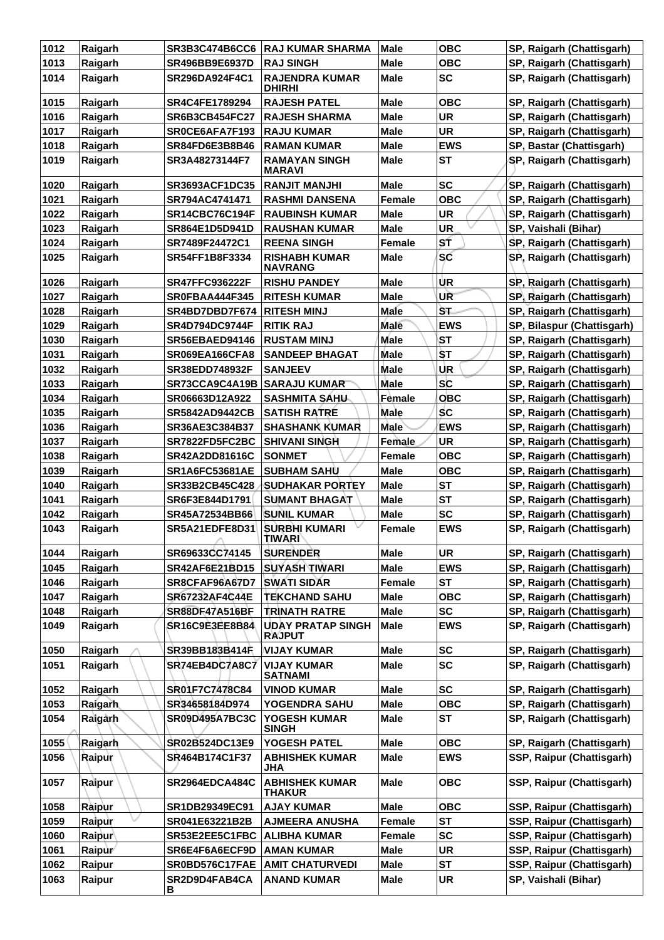| 1012 | Raigarh | <b>SR3B3C474B6CC6</b>    | <b>RAJ KUMAR SHARMA</b>                   | <b>Male</b>   | <b>OBC</b> | SP, Raigarh (Chattisgarh)  |
|------|---------|--------------------------|-------------------------------------------|---------------|------------|----------------------------|
| 1013 | Raigarh | <b>SR496BB9E6937D</b>    | <b>RAJ SINGH</b>                          | <b>Male</b>   | <b>OBC</b> | SP, Raigarh (Chattisgarh)  |
| 1014 | Raigarh | SR296DA924F4C1           | <b>RAJENDRA KUMAR</b><br><b>DHIRHI</b>    | Male          | <b>SC</b>  | SP, Raigarh (Chattisgarh)  |
| 1015 | Raigarh | SR4C4FE1789294           | <b>RAJESH PATEL</b>                       | <b>Male</b>   | <b>OBC</b> | SP, Raigarh (Chattisgarh)  |
| 1016 | Raigarh | <b>SR6B3CB454FC27</b>    | <b>RAJESH SHARMA</b>                      | <b>Male</b>   | <b>UR</b>  | SP, Raigarh (Chattisgarh)  |
| 1017 | Raigarh | SROCE6AFA7F193           | <b>RAJU KUMAR</b>                         | <b>Male</b>   | <b>UR</b>  | SP, Raigarh (Chattisgarh)  |
| 1018 | Raigarh | <b>SR84FD6E3B8B46</b>    | <b>RAMAN KUMAR</b>                        | <b>Male</b>   | <b>EWS</b> | SP, Bastar (Chattisgarh)   |
| 1019 | Raigarh | SR3A48273144F7           | <b>RAMAYAN SINGH</b><br><b>MARAVI</b>     | Male          | <b>ST</b>  | SP, Raigarh (Chattisgarh)  |
| 1020 | Raigarh | <b>SR3693ACF1DC35</b>    | <b>RANJIT MANJHI</b>                      | <b>Male</b>   | <b>SC</b>  | SP, Raigarh (Chattisgarh)  |
| 1021 | Raigarh | SR794AC4741471           | <b>RASHMI DANSENA</b>                     | Female        | <b>OBC</b> | SP, Raigarh (Chattisgarh)  |
| 1022 | Raigarh | <b>SR14CBC76C194F</b>    | <b>RAUBINSH KUMAR</b>                     | <b>Male</b>   | <b>UR</b>  | SP, Raigarh (Chattisgarh)  |
| 1023 | Raigarh | SR864E1D5D941D           | <b>RAUSHAN KUMAR</b>                      | Male          | <b>UR</b>  | SP, Vaishali (Bihar)       |
| 1024 | Raigarh | SR7489F24472C1           | <b>REENA SINGH</b>                        | Female        | ST         | SP, Raigarh (Chattisgarh)  |
| 1025 | Raigarh | SR54FF1B8F3334           | <b>RISHABH KUMAR</b><br><b>NAVRANG</b>    | <b>Male</b>   | SC         | SP, Raigarh (Chattisgarh)  |
| 1026 | Raigarh | <b>SR47FFC936222F</b>    | <b>RISHU PANDEY</b>                       | Male          | UR         | SP, Raigarh (Chattisgarh)  |
| 1027 | Raigarh | SR0FBAA444F345           | <b>RITESH KUMAR</b>                       | <b>Male</b>   | UR         | SP, Raigarh (Chattisgarh)  |
| 1028 | Raigarh | SR4BD7DBD7F674           | <b>RITESH MINJ</b>                        | Male          | ŠТ.        | SP, Raigarh (Chattisgarh)  |
| 1029 | Raigarh | SR4D794DC9744F           | <b>RITIK RAJ</b>                          | <b>Male</b>   | <b>EWS</b> | SP, Bilaspur (Chattisgarh) |
| 1030 | Raigarh | <b>SR56EBAED94146</b>    | <b>RUSTAM MINJ</b>                        | <b>Male</b>   | <b>ST</b>  | SP, Raigarh (Chattisgarh)  |
| 1031 | Raigarh | <b>SR069EA166CFA8</b>    | <b>SANDEEP BHAGAT</b>                     | <b>Male</b>   | ŠТ         | SP, Raigarh (Chattisgarh)  |
| 1032 | Raigarh | <b>SR38EDD748932F</b>    | <b>SANJEEV</b>                            | Male          | <b>UR</b>  | SP, Raigarh (Chattisgarh)  |
| 1033 | Raigarh | SR73CCA9C4A19B           | <b>SARAJU KUMAR</b>                       | <b>Male</b>   | <b>SC</b>  | SP, Raigarh (Chattisgarh)  |
| 1034 | Raigarh | SR06663D12A922           | <b>SASHMITA SAHU-</b>                     | Female        | <b>OBC</b> | SP, Raigarh (Chattisgarh)  |
| 1035 | Raigarh | <b>SR5842AD9442CB</b>    | <b>SATISH RATRE</b>                       | <b>Male</b>   | <b>SC</b>  | SP, Raigarh (Chattisgarh)  |
| 1036 | Raigarh | SR36AE3C384B37           | <b>SHASHANK KUMAR</b>                     | <b>Male</b>   | <b>EWS</b> | SP, Raigarh (Chattisgarh)  |
| 1037 | Raigarh | SR7822FD5FC2BC           | <b>SHIVANI SINGH</b>                      | Female        | <b>UR</b>  | SP, Raigarh (Chattisgarh)  |
| 1038 | Raigarh | <b>SR42A2DD81616C</b>    | <b>SONMET</b>                             | <b>Female</b> | овс        | SP, Raigarh (Chattisgarh)  |
| 1039 | Raigarh | <b>SR1A6FC53681AE</b>    | <b>SUBHAM SAHU</b>                        | <b>Male</b>   | <b>OBC</b> | SP, Raigarh (Chattisgarh)  |
| 1040 | Raigarh | SR33B2CB45C428           | ∣SUDHAKAR PORTEY                          | <b>Male</b>   | <b>ST</b>  | SP, Raigarh (Chattisgarh)  |
| 1041 | Raigarh | SR6F3E844D1791           | <b>SUMANT BHAGAT</b>                      | Male          | <b>ST</b>  | SP, Raigarh (Chattisgarh)  |
| 1042 | Raigarh | SR45A72534BB66           | <b>SUNIL KUMAR</b>                        | <b>Male</b>   | <b>SC</b>  | SP, Raigarh (Chattisgarh)  |
| 1043 | Raigarh | SR5A21EDFE8D31<br>$\sim$ | <b>SURBHI KUMARI</b><br><b>TIWARI</b>     | <b>Female</b> | <b>EWS</b> | SP, Raigarh (Chattisgarh)  |
| 1044 | Raigarh | SR69633CC74145           | <b>SURENDER</b>                           | <b>Male</b>   | <b>UR</b>  | SP, Raigarh (Chattisgarh)  |
| 1045 | Raigarh | SR42AF6E21BD15           | <b>SUYASH TIWARI</b>                      | <b>Male</b>   | <b>EWS</b> | SP, Raigarh (Chattisgarh)  |
| 1046 | Raigarh | SR8CFAF96A67D7           | <b>SWATI SIDAR</b>                        | Female        | <b>ST</b>  | SP, Raigarh (Chattisgarh)  |
| 1047 | Raigarh | SR67232AF4C44E           | <b>TEKCHAND SAHU</b>                      | <b>Male</b>   | <b>OBC</b> | SP, Raigarh (Chattisgarh)  |
| 1048 | Raigarh | SR88DF47A516BF           | <b>TRINATH RATRE</b>                      | <b>Male</b>   | <b>SC</b>  | SP, Raigarh (Chattisgarh)  |
| 1049 | Raigarh | SR16C9E3EE8B84           | <b>UDAY PRATAP SINGH</b><br><b>RAJPUT</b> | <b>Male</b>   | <b>EWS</b> | SP, Raigarh (Chattisgarh)  |
| 1050 | Raigarh | SR39BB183B414F           | <b>VIJAY KUMAR</b>                        | <b>Male</b>   | <b>SC</b>  | SP, Raigarh (Chattisgarh)  |
| 1051 | Raigarh | SR74EB4DC7A8C7           | <b>VIJAY KUMAR</b><br><b>SATNAMI</b>      | Male          | <b>SC</b>  | SP, Raigarh (Chattisgarh)  |
| 1052 | Raigarh | SR01F7C7478C84           | <b>VINOD KUMAR</b>                        | <b>Male</b>   | <b>SC</b>  | SP, Raigarh (Chattisgarh)  |
| 1053 | Raigarh | SR34658184D974           | YOGENDRA SAHU                             | <b>Male</b>   | <b>OBC</b> | SP, Raigarh (Chattisgarh)  |
| 1054 | Raigarh | <b>SR09D495A7BC3C</b>    | YOGESH KUMAR<br><b>SINGH</b>              | <b>Male</b>   | ST         | SP, Raigarh (Chattisgarh)  |
| 1055 | Raigarh | SR02B524DC13E9           | YOGESH PATEL                              | <b>Male</b>   | <b>OBC</b> | SP, Raigarh (Chattisgarh)  |
| 1056 | Raipur  | SR464B174C1F37           | <b>ABHISHEK KUMAR</b><br><b>JHA</b>       | <b>Male</b>   | <b>EWS</b> | SSP, Raipur (Chattisgarh)  |
| 1057 | Raipur  | SR2964EDCA484C           | <b>ABHISHEK KUMAR</b><br>THAKUR           | <b>Male</b>   | <b>OBC</b> | SSP, Raipur (Chattisgarh)  |
| 1058 | Raipur  | SR1DB29349EC91           | <b>AJAY KUMAR</b>                         | <b>Male</b>   | <b>OBC</b> | SSP, Raipur (Chattisgarh)  |
| 1059 | Raipur  | SR041E63221B2B           | <b>AJMEERA ANUSHA</b>                     | <b>Female</b> | <b>ST</b>  | SSP, Raipur (Chattisgarh)  |
| 1060 | Raipur  | SR53E2EE5C1FBC           | ALIBHA KUMAR                              | Female        | <b>SC</b>  | SSP, Raipur (Chattisgarh)  |
| 1061 | Raipur  | SR6E4F6A6ECF9D           | <b>AMAN KUMAR</b>                         | <b>Male</b>   | <b>UR</b>  | SSP, Raipur (Chattisgarh)  |
| 1062 | Raipur  | SR0BD576C17FAE           | <b>AMIT CHATURVEDI</b>                    | <b>Male</b>   | <b>ST</b>  | SSP, Raipur (Chattisgarh)  |
| 1063 | Raipur  | SR2D9D4FAB4CA<br>в       | <b>ANAND KUMAR</b>                        | <b>Male</b>   | <b>UR</b>  | SP, Vaishali (Bihar)       |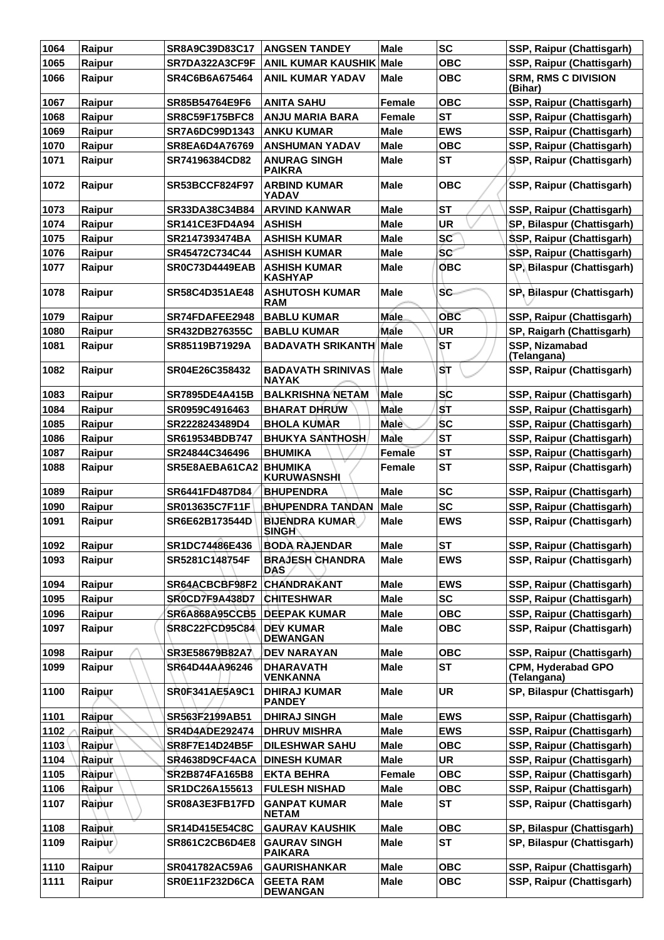| 1064 | Raipur        | <b>SR8A9C39D83C17</b> | <b>ANGSEN TANDEY</b>                     | <b>Male</b>   | <b>SC</b>  | SSP, Raipur (Chattisgarh)                |
|------|---------------|-----------------------|------------------------------------------|---------------|------------|------------------------------------------|
| 1065 | Raipur        | SR7DA322A3CF9F        | <b>ANIL KUMAR KAUSHIK</b>                | Male          | <b>OBC</b> | SSP, Raipur (Chattisgarh)                |
| 1066 | Raipur        | SR4C6B6A675464        | <b>ANIL KUMAR YADAV</b>                  | Male          | <b>OBC</b> | <b>SRM, RMS C DIVISION</b><br>(Bihar)    |
| 1067 | Raipur        | <b>SR85B54764E9F6</b> | <b>ANITA SAHU</b>                        | <b>Female</b> | <b>OBC</b> | SSP, Raipur (Chattisgarh)                |
| 1068 | Raipur        | <b>SR8C59F175BFC8</b> | <b>ANJU MARIA BARA</b>                   | Female        | <b>ST</b>  | SSP, Raipur (Chattisgarh)                |
| 1069 | Raipur        | SR7A6DC99D1343        | <b>ANKU KUMAR</b>                        | <b>Male</b>   | <b>EWS</b> | SSP, Raipur (Chattisgarh)                |
| 1070 | Raipur        | SR8EA6D4A76769        | <b>ANSHUMAN YADAV</b>                    | <b>Male</b>   | <b>OBC</b> | SSP, Raipur (Chattisgarh)                |
| 1071 | Raipur        | SR74196384CD82        | <b>ANURAG SINGH</b><br><b>PAIKRA</b>     | Male          | <b>ST</b>  | SSP, Raipur (Chattisgarh)                |
| 1072 | Raipur        | <b>SR53BCCF824F97</b> | <b>ARBIND KUMAR</b><br>YADAV             | <b>Male</b>   | <b>OBC</b> | SSP, Raipur (Chattisgarh)                |
| 1073 | Raipur        | SR33DA38C34B84        | <b>ARVIND KANWAR</b>                     | <b>Male</b>   | <b>ST</b>  | SSP, Raipur (Chattisgarh)                |
| 1074 | Raipur        | SR141CE3FD4A94        | <b>ASHISH</b>                            | Male          | <b>UR</b>  | SP, Bilaspur (Chattisgarh)               |
| 1075 | Raipur        | SR2147393474BA        | <b>ASHISH KUMAR</b>                      | <b>Male</b>   | <b>SC</b>  | SSP, Raipur (Chattisgarh)                |
| 1076 | Raipur        | SR45472C734C44        | <b>ASHISH KUMAR</b>                      | <b>Male</b>   | <b>SC</b>  | SSP, Raipur (Chattisgarh)                |
| 1077 | Raipur        | <b>SR0C73D4449EAB</b> | <b>ASHISH KUMAR</b><br><b>KASHYAP</b>    | <b>Male</b>   | <b>OBC</b> | SP, Bilaspur (Chattisgarh)               |
| 1078 | Raipur        | SR58C4D351AE48        | <b>ASHUTOSH KUMAR</b><br><b>RAM</b>      | <b>Male</b>   | SC.        | SP, Bilaspur (Chattisgarh)               |
| 1079 | Raipur        | SR74FDAFEE2948        | <b>BABLU KUMAR</b>                       | <b>Male</b>   | <b>OBC</b> | SSP, Raipur (Chattisgarh)                |
| 1080 | Raipur        | SR432DB276355C        | <b>BABLU KUMAR</b>                       | Male          | <b>UR</b>  | SP, Raigarh (Chattisgarh)                |
| 1081 | Raipur        | SR85119B71929A        | <b>BADAVATH SRIKANTH</b>                 | <b>Male</b>   | <b>ST</b>  | SSP, Nizamabad<br>(Telangana)            |
| 1082 | Raipur        | SR04E26C358432        | <b>BADAVATH SRINIVAS</b><br><b>NAYAK</b> | <b>Male</b>   | <b>ST</b>  | SSP, Raipur (Chattisgarh)                |
| 1083 | Raipur        | <b>SR7895DE4A415B</b> | <b>BALKRISHNA NETAM</b>                  | Male          | <b>SC</b>  | SSP, Raipur (Chattisgarh)                |
| 1084 | Raipur        | SR0959C4916463        | <b>BHARAT DHRUW</b>                      | Male          | <b>ST</b>  | SSP, Raipur (Chattisgarh)                |
| 1085 | Raipur        | SR2228243489D4        | <b>BHOLA KUMAR</b>                       | Male          | <b>SC</b>  | SSP, Raipur (Chattisgarh)                |
| 1086 | Raipur        | SR619534BDB747        | <b>BHUKYA SANTHOSH</b>                   | <b>Male</b>   | <b>ST</b>  | SSP, Raipur (Chattisgarh)                |
| 1087 | Raipur        | SR24844C346496        | <b>BHUMIKA</b>                           | Female        | <b>ST</b>  | SSP, Raipur (Chattisgarh)                |
| 1088 | Raipur        | SR5E8AEBA61CA2        | <b>BHUMIKA</b><br><b>KURUWASNSHI</b>     | Female        | <b>ST</b>  | SSP, Raipur (Chattisgarh)                |
| 1089 | Raipur        | SR6441FD487D84        | <b>BHUPENDRA</b>                         | Male          | <b>SC</b>  | SSP, Raipur (Chattisgarh)                |
| 1090 | Raipur        | SR013635C7F11F        | BHUPENDRA TANDAN                         | <b>Male</b>   | <b>SC</b>  | SSP, Raipur (Chattisgarh)                |
| 1091 | Raipur        | SR6E62B173544D        | <b>BIJENDRA KUMAR</b><br><b>SINGH</b>    | Male          | <b>EWS</b> | SSP, Raipur (Chattisgarh)                |
| 1092 | Raipur        | SR1DC74486E436        | <b>BODA RAJENDAR</b>                     | <b>Male</b>   | <b>ST</b>  | SSP, Raipur (Chattisgarh)                |
| 1093 | Raipur        | SR5281C148754F        | <b>BRAJESH CHANDRA</b><br><b>DAS</b>     | <b>Male</b>   | <b>EWS</b> | SSP, Raipur (Chattisgarh)                |
| 1094 | Raipur        | SR64ACBCBF98F2        | <b>CHANDRAKANT</b>                       | <b>Male</b>   | <b>EWS</b> | SSP, Raipur (Chattisgarh)                |
| 1095 | Raipur        | SR0CD7F9A438D7        | <b>CHITESHWAR</b>                        | <b>Male</b>   | <b>SC</b>  | SSP, Raipur (Chattisgarh)                |
| 1096 | Raipur        | <b>SR6A868A95CCB5</b> | <b>DEEPAK KUMAR</b>                      | <b>Male</b>   | <b>OBC</b> | SSP, Raipur (Chattisgarh)                |
| 1097 | Raipur        | <b>SR8C22FCD95C84</b> | <b>DEV KUMAR</b><br><b>DEWANGAN</b>      | <b>Male</b>   | <b>OBC</b> | SSP, Raipur (Chattisgarh)                |
| 1098 | Raipur        | SR3E58679B82A7        | DEV NARAYAN                              | <b>Male</b>   | <b>OBC</b> | SSP, Raipur (Chattisgarh)                |
| 1099 | Raipur        | SR64D44AA96246        | <b>DHARAVATH</b><br><b>VENKANNA</b>      | <b>Male</b>   | <b>ST</b>  | <b>CPM, Hyderabad GPO</b><br>(Telangana) |
| 1100 | Raipur        | <b>SR0F341AE5A9C1</b> | <b>DHIRAJ KUMAR</b><br><b>PANDEY</b>     | Male          | <b>UR</b>  | SP, Bilaspur (Chattisgarh)               |
| 1101 | Raipur        | SR563F2199AB51        | <b>DHIRAJ SINGH</b>                      | <b>Male</b>   | <b>EWS</b> | SSP, Raipur (Chattisgarh)                |
| 1102 | <b>Raipur</b> | SR4D4ADE292474        | <b>DHRUV MISHRA</b>                      | <b>Male</b>   | <b>EWS</b> | SSP, Raipur (Chattisgarh)                |
| 1103 | Raipur        | SR8F7E14D24B5F        | <b>DILESHWAR SAHU</b>                    | <b>Male</b>   | <b>OBC</b> | SSP, Raipur (Chattisgarh)                |
| 1104 | Raipur        | SR4638D9CF4ACA        | <b>DINESH KUMAR</b>                      | <b>Male</b>   | <b>UR</b>  | SSP, Raipur (Chattisgarh)                |
| 1105 | <b>Raipur</b> | <b>SR2B874FA165B8</b> | <b>EKTA BEHRA</b>                        | Female        | <b>OBC</b> | SSP, Raipur (Chattisgarh)                |
| 1106 | Raipur        | SR1DC26A155613        | <b>FULESH NISHAD</b>                     | <b>Male</b>   | <b>OBC</b> | SSP, Raipur (Chattisgarh)                |
| 1107 | Raipur        | SR08A3E3FB17FD        | <b>GANPAT KUMAR</b><br><b>NETAM</b>      | <b>Male</b>   | ST         | SSP, Raipur (Chattisgarh)                |
| 1108 | Raipur        | <b>SR14D415E54C8C</b> | <b>GAURAV KAUSHIK</b>                    | <b>Male</b>   | <b>OBC</b> | SP, Bilaspur (Chattisgarh)               |
| 1109 | Raipur        | <b>SR861C2CB6D4E8</b> | <b>GAURAV SINGH</b><br><b>PAIKARA</b>    | Male          | <b>ST</b>  | SP, Bilaspur (Chattisgarh)               |
| 1110 | Raipur        | SR041782AC59A6        | <b>GAURISHANKAR</b>                      | <b>Male</b>   | <b>OBC</b> | SSP, Raipur (Chattisgarh)                |
| 1111 | Raipur        | <b>SR0E11F232D6CA</b> | <b>GEETA RAM</b><br><b>DEWANGAN</b>      | <b>Male</b>   | <b>OBC</b> | SSP, Raipur (Chattisgarh)                |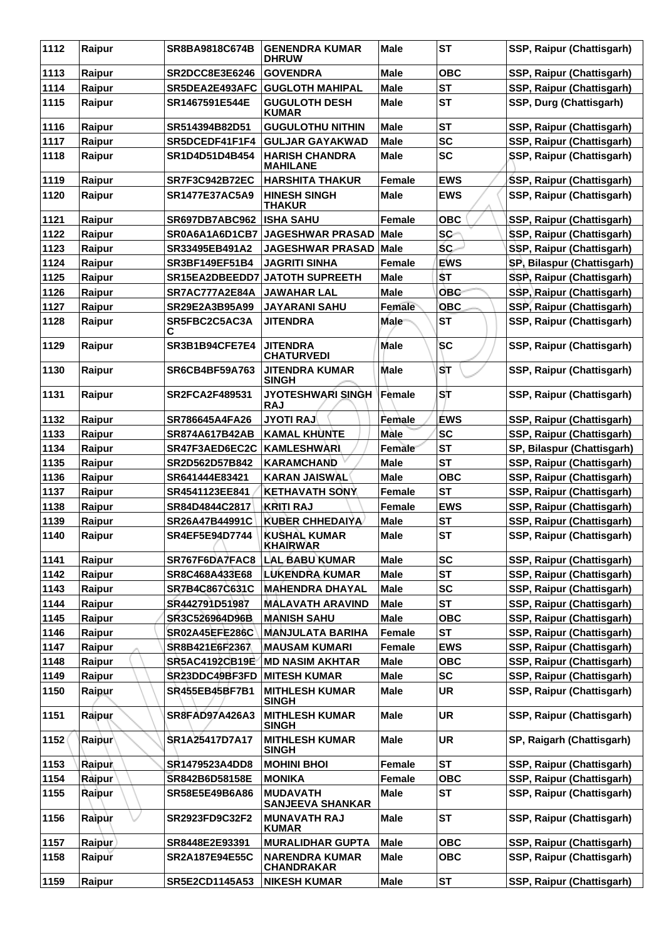| 1112 | Raipur        | SR8BA9818C674B        | <b>GENENDRA KUMAR</b><br><b>DHRUW</b>      | <b>Male</b>   | <b>ST</b>  | SSP, Raipur (Chattisgarh)  |
|------|---------------|-----------------------|--------------------------------------------|---------------|------------|----------------------------|
| 1113 | Raipur        | <b>SR2DCC8E3E6246</b> | <b>GOVENDRA</b>                            | <b>Male</b>   | <b>OBC</b> | SSP, Raipur (Chattisgarh)  |
| 1114 | Raipur        | SR5DEA2E493AFC        | <b>GUGLOTH MAHIPAL</b>                     | <b>Male</b>   | <b>ST</b>  | SSP, Raipur (Chattisgarh)  |
| 1115 | Raipur        | SR1467591E544E        | <b>GUGULOTH DESH</b><br><b>KUMAR</b>       | <b>Male</b>   | <b>ST</b>  | SSP, Durg (Chattisgarh)    |
| 1116 | Raipur        | SR514394B82D51        | <b>GUGULOTHU NITHIN</b>                    | <b>Male</b>   | <b>ST</b>  | SSP, Raipur (Chattisgarh)  |
| 1117 | Raipur        | SR5DCEDF41F1F4        | <b>GULJAR GAYAKWAD</b>                     | <b>Male</b>   | <b>SC</b>  | SSP, Raipur (Chattisgarh)  |
| 1118 | Raipur        | SR1D4D51D4B454        | <b>HARISH CHANDRA</b><br><b>MAHILANE</b>   | Male          | <b>SC</b>  | SSP, Raipur (Chattisgarh)  |
| 1119 | Raipur        | <b>SR7F3C942B72EC</b> | <b>HARSHITA THAKUR</b>                     | <b>Female</b> | <b>EWS</b> | SSP, Raipur (Chattisgarh)  |
| 1120 | Raipur        | <b>SR1477E37AC5A9</b> | <b>HINESH SINGH</b><br><b>THAKUR</b>       | Male          | <b>EWS</b> | SSP, Raipur (Chattisgarh)  |
| 1121 | Raipur        | SR697DB7ABC962        | <b>ISHA SAHU</b>                           | Female        | <b>OBC</b> | SSP, Raipur (Chattisgarh)  |
| 1122 | Raipur        | SR0A6A1A6D1CB7        | <b>JAGESHWAR PRASAD</b>                    | <b>Male</b>   | SC-        | SSP, Raipur (Chattisgarh)  |
| 1123 | Raipur        | SR33495EB491A2        | <b>JAGESHWAR PRASAD</b>                    | <b>Male</b>   | ŚC.        | SSP, Raipur (Chattisgarh)  |
| 1124 | Raipur        | <b>SR3BF149EF51B4</b> | <b>JAGRITI SINHA</b>                       | Female        | <b>EWS</b> | SP, Bilaspur (Chattisgarh) |
| 1125 | Raipur        | SR15EA2DBEEDD7        | <b>JATOTH SUPREETH</b>                     | Male          | <b>ST</b>  | SSP, Raipur (Chattisgarh)  |
| 1126 | Raipur        | SR7AC777A2E84A        | <b>JAWAHAR LAL</b>                         | <b>Male</b>   | <b>OBC</b> | SSP, Raipur (Chattisgarh)  |
| 1127 | Raipur        | SR29E2A3B95A99        | <b>JAYARANI SAHU</b>                       | Female        | <b>OBC</b> | SSP, Raipur (Chattisgarh)  |
| 1128 | Raipur        | SR5FBC2C5AC3A<br>С    | JITENDRA                                   | <b>Male</b>   | <b>ST</b>  | SSP, Raipur (Chattisgarh)  |
| 1129 | Raipur        | SR3B1B94CFE7E4        | <b>JITENDRA</b><br><b>CHATURVEDI</b>       | <b>Male</b>   | <b>SC</b>  | SSP, Raipur (Chattisgarh)  |
| 1130 | Raipur        | <b>SR6CB4BF59A763</b> | JITENDRA KUMAR<br><b>SINGH</b>             | <b>Male</b>   | <b>ST</b>  | SSP, Raipur (Chattisgarh)  |
| 1131 | Raipur        | <b>SR2FCA2F489531</b> | JYOTESHWARI SINGH<br><b>RAJ</b>            | Female        | SĪT        | SSP, Raipur (Chattisgarh)  |
| 1132 | Raipur        | SR786645A4FA26        | <b>JYOTI RAJ</b>                           | Female        | <b>ÉWS</b> | SSP, Raipur (Chattisgarh)  |
| 1133 | Raipur        | SR874A617B42AB        | <b>KAMAL KHUNTE</b>                        | Màle          | <b>SC</b>  | SSP, Raipur (Chattisgarh)  |
| 1134 | Raipur        | SR47F3AED6EC2C        | <b>KAMLESHWARI</b>                         | <b>Female</b> | <b>ST</b>  | SP, Bilaspur (Chattisgarh) |
| 1135 | Raipur        | SR2D562D57B842        | <b>KARAMCHAND</b>                          | <b>Male</b>   | <b>ST</b>  | SSP, Raipur (Chattisgarh)  |
| 1136 | Raipur        | SR641444E83421        | <b>KARAN JAISWAL</b>                       | Male          | <b>OBC</b> | SSP, Raipur (Chattisgarh)  |
| 1137 | Raipur        | SR4541123EE841        | <b>KETHAVATH SONY</b>                      | Female        | <b>ST</b>  | SSP, Raipur (Chattisgarh)  |
| 1138 | Raipur        | SR84D4844C2817        | KRITI RAJ                                  | Female        | <b>EWS</b> | SSP, Raipur (Chattisgarh)  |
| 1139 | Raipur        | SR26A47B44991C        | <b>KUBER CHHEDAIYA</b>                     | <b>Male</b>   | <b>ST</b>  | SSP, Raipur (Chattisgarh)  |
| 1140 | Raipur        | SR4EF5E94D7744        | <b>KUSHAL KUMAR</b><br><b>KHAIRWAR</b>     | <b>Male</b>   | <b>ST</b>  | SSP, Raipur (Chattisgarh)  |
| 1141 | Raipur        | SR767F6DA7FAC8        | <b>LAL BABU KUMAR</b>                      | <b>Male</b>   | <b>SC</b>  | SSP, Raipur (Chattisgarh)  |
| 1142 | Raipur        | SR8C468A433E68        | LUKENDRA KUMAR                             | Male          | <b>ST</b>  | SSP, Raipur (Chattisgarh)  |
| 1143 | Raipur        | SR7B4C867C631C        | <b>MAHENDRA DHAYAL</b>                     | <b>Male</b>   | <b>SC</b>  | SSP, Raipur (Chattisgarh)  |
| 1144 | Raipur        | SR442791D51987        | <b>MALAVATH ARAVIND</b>                    | <b>Male</b>   | <b>ST</b>  | SSP, Raipur (Chattisgarh)  |
| 1145 | Raipur        | SR3C526964D96B        | <b>MANISH SAHU</b>                         | <b>Male</b>   | <b>OBC</b> | SSP, Raipur (Chattisgarh)  |
| 1146 | Raipur        | <b>SR02A45EFE286C</b> | <b>MANJULATA BARIHA</b>                    | Female        | <b>ST</b>  | SSP, Raipur (Chattisgarh)  |
| 1147 | Raipur        | SR8B421E6F2367        | <b>MAUSAM KUMARI</b>                       | Female        | <b>EWS</b> | SSP, Raipur (Chattisgarh)  |
| 1148 | Raipur        | SR5AC4192CB19E        | <b>MD NASIM AKHTAR</b>                     | <b>Male</b>   | <b>OBC</b> | SSP, Raipur (Chattisgarh)  |
| 1149 | Raipur        | SR23DDC49BF3FD        | <b>MITESH KUMAR</b>                        | <b>Male</b>   | <b>SC</b>  | SSP, Raipur (Chattisgarh)  |
| 1150 | Raipur        | <b>SR455EB45BF7B1</b> | <b>MITHLESH KUMAR</b><br><b>SINGH</b>      | <b>Male</b>   | <b>UR</b>  | SSP, Raipur (Chattisgarh)  |
| 1151 | Raipur        | <b>SR8FAD97A426A3</b> | <b>MITHLESH KUMAR</b><br><b>SINGH</b>      | <b>Male</b>   | <b>UR</b>  | SSP, Raipur (Chattisgarh)  |
| 1152 | Raipur        | SR1A25417D7A17        | <b>MITHLESH KUMAR</b><br><b>SINGH</b>      | <b>Male</b>   | <b>UR</b>  | SP, Raigarh (Chattisgarh)  |
| 1153 | Raipur        | SR1479523A4DD8        | <b>MOHINI BHOI</b>                         | Female        | <b>ST</b>  | SSP, Raipur (Chattisgarh)  |
| 1154 | Raipur        | SR842B6D58158E        | <b>MONIKA</b>                              | Female        | <b>OBC</b> | SSP, Raipur (Chattisgarh)  |
| 1155 | Raipur        | SR58E5E49B6A86        | <b>MUDAVATH</b><br><b>SANJEEVA SHANKAR</b> | <b>Male</b>   | <b>ST</b>  | SSP, Raipur (Chattisgarh)  |
| 1156 | Raipur        | SR2923FD9C32F2        | <b>MUNAVATH RAJ</b><br><b>KUMAR</b>        | <b>Male</b>   | <b>ST</b>  | SSP, Raipur (Chattisgarh)  |
| 1157 | <b>Raipur</b> | SR8448E2E93391        | <b>MURALIDHAR GUPTA</b>                    | <b>Male</b>   | <b>OBC</b> | SSP, Raipur (Chattisgarh)  |
| 1158 | Raipur        | SR2A187E94E55C        | <b>NARENDRA KUMAR</b><br><b>CHANDRAKAR</b> | Male          | <b>OBC</b> | SSP, Raipur (Chattisgarh)  |
| 1159 | Raipur        | SR5E2CD1145A53        | <b>NIKESH KUMAR</b>                        | <b>Male</b>   | <b>ST</b>  | SSP, Raipur (Chattisgarh)  |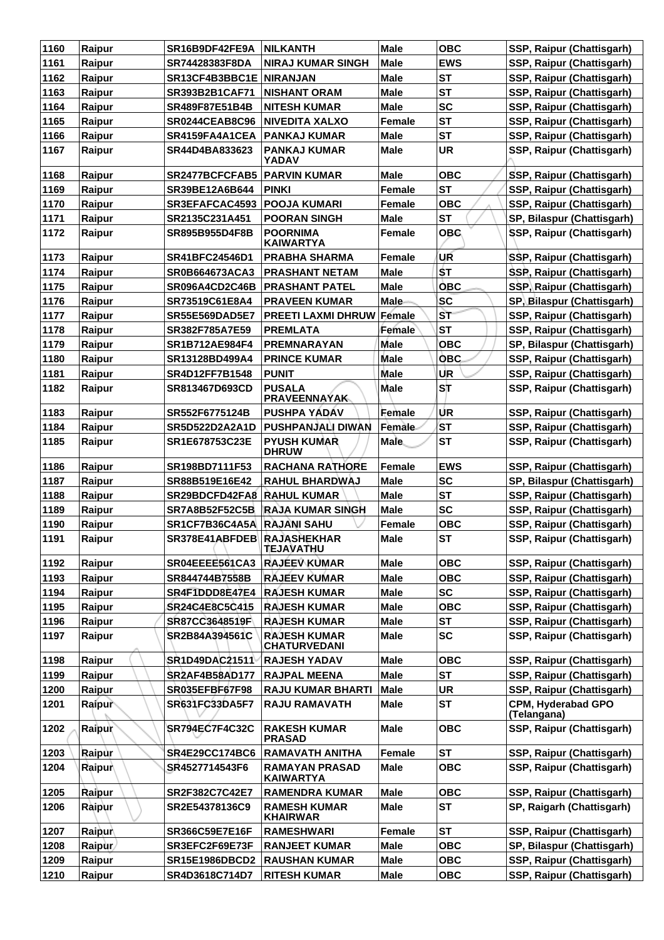| 1160 | Raipur        | SR16B9DF42FE9A             | <b>NILKANTH</b>                            | <b>Male</b>   | <b>OBC</b> | SSP, Raipur (Chattisgarh)                              |
|------|---------------|----------------------------|--------------------------------------------|---------------|------------|--------------------------------------------------------|
| 1161 | Raipur        | SR74428383F8DA             | <b>NIRAJ KUMAR SINGH</b>                   | <b>Male</b>   | <b>EWS</b> | SSP, Raipur (Chattisgarh)                              |
| 1162 | Raipur        | SR13CF4B3BBC1E             | <b>NIRANJAN</b>                            | <b>Male</b>   | <b>ST</b>  | SSP, Raipur (Chattisgarh)                              |
| 1163 | Raipur        | SR393B2B1CAF71             | <b>NISHANT ORAM</b>                        | Male          | <b>ST</b>  | SSP, Raipur (Chattisgarh)                              |
| 1164 | Raipur        | SR489F87E51B4B             | <b>NITESH KUMAR</b>                        | <b>Male</b>   | <b>SC</b>  | SSP, Raipur (Chattisgarh)                              |
| 1165 | Raipur        | <b>SR0244CEAB8C96</b>      | <b>NIVEDITA XALXO</b>                      | <b>Female</b> | <b>ST</b>  | SSP, Raipur (Chattisgarh)                              |
| 1166 | Raipur        | SR4159FA4A1CEA             | <b>PANKAJ KUMAR</b>                        | Male          | <b>ST</b>  | SSP, Raipur (Chattisgarh)                              |
| 1167 | Raipur        | SR44D4BA833623             | <b>PANKAJ KUMAR</b><br>YADAV               | <b>Male</b>   | <b>UR</b>  | SSP, Raipur (Chattisgarh)                              |
| 1168 | Raipur        | <b>SR2477BCFCFAB5</b>      | <b>PARVIN KUMAR</b>                        | Male          | <b>OBC</b> | SSP, Raipur (Chattisgarh)                              |
| 1169 | Raipur        | SR39BE12A6B644             | <b>PINKI</b>                               | Female        | <b>ST</b>  | SSP, Raipur (Chattisgarh)                              |
| 1170 | Raipur        | SR3EFAFCAC4593             | <b>POOJA KUMARI</b>                        | Female        | <b>OBC</b> | SSP, Raipur (Chattisgarh)                              |
| 1171 | Raipur        | SR2135C231A451             | <b>POORAN SINGH</b>                        | Male          | <b>ST</b>  | SP, Bilaspur (Chattisgarh)                             |
| 1172 | Raipur        | SR895B955D4F8B             | <b>POORNIMA</b><br><b>KAIWARTYA</b>        | Female        | ОВС.       | SSP, Raipur (Chattisgarh)                              |
| 1173 | Raipur        | <b>SR41BFC24546D1</b>      | <b>PRABHA SHARMA</b>                       | <b>Female</b> | UR         | SSP, Raipur (Chattisgarh)                              |
| 1174 | Raipur        | <b>SR0B664673ACA3</b>      | <b>PRASHANT NETAM</b>                      | <b>Male</b>   | \$T        | SSP, Raipur (Chattisgarh)                              |
| 1175 | Raipur        | SR096A4CD2C46B             | <b>PRASHANT PATEL</b>                      | <b>Male</b>   | <b>OBC</b> | SSP, Raipur (Chattisgarh)                              |
| 1176 | Raipur        | SR73519C61E8A4             | <b>PRAVEEN KUMAR</b>                       | <b>Male</b>   | SC         | SP, Bilaspur (Chattisgarh)                             |
| 1177 | Raipur        | <b>SR55E569DAD5E7</b>      | <b>PREETI LAXMI DHRUW Female</b>           |               | ST         | SSP, Raipur (Chattisgarh)                              |
| 1178 | Raipur        | SR382F785A7E59             | <b>PREMLATA</b>                            | Female        | <b>ST</b>  | SSP, Raipur (Chattisgarh)                              |
| 1179 | Raipur        | SR1B712AE984F4             | PREMNARAYAN                                | Male          | <b>OBC</b> | SP, Bilaspur (Chattisgarh)                             |
| 1180 | Raipur        | SR13128BD499A4             | <b>PRINCE KUMAR</b>                        | <b>Male</b>   | <b>OBC</b> | SSP, Raipur (Chattisgarh)                              |
| 1181 | Raipur        | SR4D12FF7B1548             | <b>PUNIT</b>                               | <b>Male</b>   | <b>UR</b>  | SSP, Raipur (Chattisgarh)                              |
| 1182 | Raipur        | SR813467D693CD             | <b>PUSALA</b><br><b>PRAVEENNAYAK</b>       | Male          | ST         | SSP, Raipur (Chattisgarh)                              |
| 1183 | Raipur        | SR552F6775124B             | <b>PUSHPA YADAV</b>                        | Female        | UR         | SSP, Raipur (Chattisgarh)                              |
| 1184 | Raipur        | <b>SR5D522D2A2A1D</b>      | PUSHPANJALI DIWAN                          | Female-       | <b>ST</b>  | SSP, Raipur (Chattisgarh)                              |
| 1185 | Raipur        | SR1E678753C23E             | <b>PYUSH KUMAR</b><br><b>DHRUW</b>         | <b>Male</b>   | <b>ST</b>  | SSP, Raipur (Chattisgarh)                              |
| 1186 | Raipur        | SR198BD7111F53             | <b>RACHANA RATHORE</b>                     | <b>Female</b> | <b>EWS</b> | SSP, Raipur (Chattisgarh)                              |
| 1187 | Raipur        | SR88B519E16E42             | <b>RAHUL BHARDWAJ</b>                      | Male          | <b>SC</b>  | SP, Bilaspur (Chattisgarh)                             |
| 1188 | Raipur        | SR29BDCFD42FA8             | <b>RAHUL KUMAR</b>                         | <b>Male</b>   | <b>ST</b>  | SSP, Raipur (Chattisgarh)                              |
| 1189 | Raipur        | <b>SR7A8B52F52C5B</b>      | <b>RAJA KUMAR SINGH</b>                    | <b>Male</b>   | <b>SC</b>  | SSP, Raipur (Chattisgarh)                              |
| 1190 | Raipur        | SR1CF7B36C4A5A RAJANI SAHU |                                            | <b>Female</b> | <b>OBC</b> | SSP, Raipur (Chattisgarh)                              |
| 1191 | Raipur        | SR378E41ABFDEB RAJASHEKHAR | <b>TEJAVATHU</b>                           | <b>Male</b>   | <b>ST</b>  | SSP, Raipur (Chattisgarh)                              |
| 1192 | Raipur        | SR04EEEE561CA3             | <b>RAJÉEV KUMAR</b>                        | <b>Male</b>   | <b>OBC</b> | SSP, Raipur (Chattisgarh)                              |
| 1193 | Raipur        | SR844744B7558B             | <b>RAJEEV KUMAR</b>                        | <b>Male</b>   | <b>OBC</b> | SSP, Raipur (Chattisgarh)                              |
| 1194 | Raipur        | SR4F1DDD8E47E4             | <b>RAJESH KUMAR</b>                        | <b>Male</b>   | <b>SC</b>  | SSP, Raipur (Chattisgarh)                              |
| 1195 | Raipur        | SR24C4E8C5C415             | <b>RAJESH KUMAR</b>                        | <b>Male</b>   | <b>OBC</b> | SSP, Raipur (Chattisgarh)                              |
| 1196 | Raipur        | SR87CC3648519F             | <b>RAJESH KUMAR</b>                        | <b>Male</b>   | <b>ST</b>  | SSP, Raipur (Chattisgarh)                              |
| 1197 | Raipur        | SR2B84A394561C             | <b>RAJESH KUMAR</b><br><b>CHATURVEDANI</b> | <b>Male</b>   | <b>SC</b>  | SSP, Raipur (Chattisgarh)                              |
| 1198 | Raipur        | SR1D49DAC21511             | <b>RAJESH YADAV</b>                        | <b>Male</b>   | <b>OBC</b> | SSP, Raipur (Chattisgarh)                              |
| 1199 | Raipur        | <b>SR2AF4B58AD177</b>      | <b>RAJPAL MEENA</b>                        | <b>Male</b>   | <b>ST</b>  | SSP, Raipur (Chattisgarh)                              |
| 1200 | Raipur        | SR035EFBF67F98             | <b>RAJU KUMAR BHARTI</b>                   | <b>Male</b>   | <b>UR</b>  | SSP, Raipur (Chattisgarh)                              |
| 1201 | Raipur        | SR631FC33DA5F7             | <b>RAJU RAMAVATH</b>                       | <b>Male</b>   | <b>ST</b>  | CPM, Hyderabad GPO<br>(Telangana)                      |
| 1202 | <b>Raipur</b> | SR794EC7F4C32C             | <b>RAKESH KUMAR</b><br><b>PRASAD</b>       | <b>Male</b>   | <b>OBC</b> | SSP, Raipur (Chattisgarh)                              |
| 1203 | Raipur        | SR4E29CC174BC6             | <b>RAMAVATH ANITHA</b>                     | <b>Female</b> | <b>ST</b>  | SSP, Raipur (Chattisgarh)                              |
| 1204 | <b>Raipur</b> | SR4527714543F6             | <b>RAMAYAN PRASAD</b><br><b>KAIWARTYA</b>  | <b>Male</b>   | <b>OBC</b> | SSP, Raipur (Chattisgarh)                              |
| 1205 | Raipur        | SR2F382C7C42E7             | <b>RAMENDRA KUMAR</b>                      | <b>Male</b>   | <b>OBC</b> | SSP, Raipur (Chattisgarh)                              |
| 1206 | Raipur        | SR2E54378136C9             | <b>RAMESH KUMAR</b><br><b>KHAIRWAR</b>     | <b>Male</b>   | <b>ST</b>  | SP, Raigarh (Chattisgarh)                              |
| 1207 | Raipur        | SR366C59E7E16F             | <b>RAMESHWARI</b>                          | Female        | <b>ST</b>  | SSP, Raipur (Chattisgarh)                              |
| 1208 | Raipur        | SR3EFC2F69E73F             | <b>RANJEET KUMAR</b>                       | <b>Male</b>   | <b>OBC</b> | SP, Bilaspur (Chattisgarh)                             |
|      |               |                            |                                            |               |            |                                                        |
| 1209 | Raipur        | <b>SR15E1986DBCD2</b>      | <b>RAUSHAN KUMAR</b>                       | <b>Male</b>   | <b>OBC</b> | SSP, Raipur (Chattisgarh)<br>SSP, Raipur (Chattisgarh) |